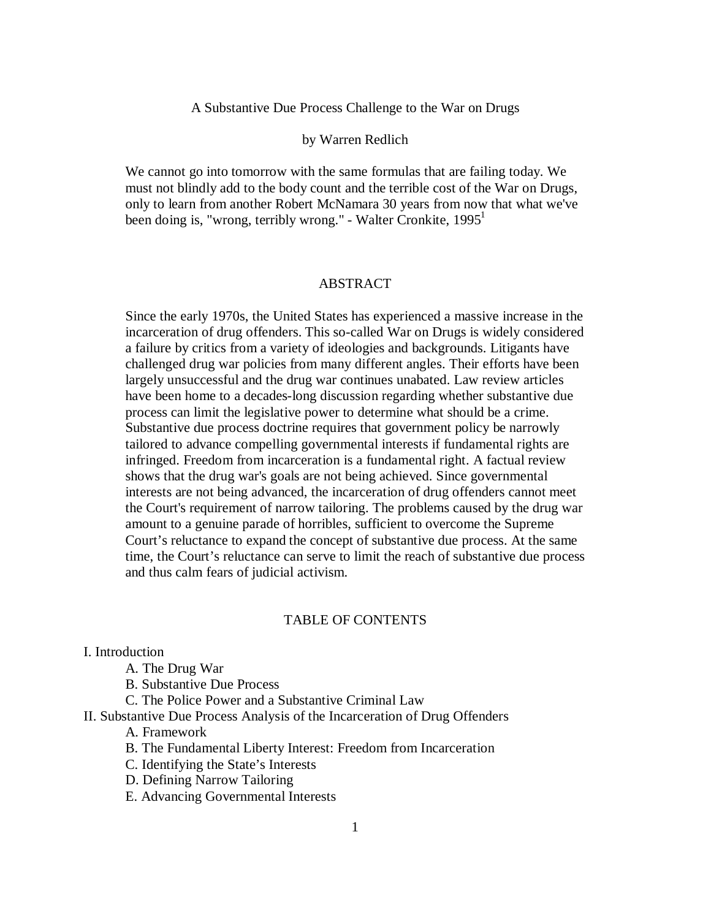## A Substantive Due Process Challenge to the War on Drugs

### by Warren Redlich

We cannot go into tomorrow with the same formulas that are failing today. We must not blindly add to the body count and the terrible cost of the War on Drugs, only to learn from another Robert McNamara 30 years from now that what we've been doing is, "wrong, terribly wrong." - Walter Cronkite,  $1995<sup>1</sup>$ 

## ABSTRACT

Since the early 1970s, the United States has experienced a massive increase in the incarceration of drug offenders. This so-called War on Drugs is widely considered a failure by critics from a variety of ideologies and backgrounds. Litigants have challenged drug war policies from many different angles. Their efforts have been largely unsuccessful and the drug war continues unabated. Law review articles have been home to a decades-long discussion regarding whether substantive due process can limit the legislative power to determine what should be a crime. Substantive due process doctrine requires that government policy be narrowly tailored to advance compelling governmental interests if fundamental rights are infringed. Freedom from incarceration is a fundamental right. A factual review shows that the drug war's goals are not being achieved. Since governmental interests are not being advanced, the incarceration of drug offenders cannot meet the Court's requirement of narrow tailoring. The problems caused by the drug war amount to a genuine parade of horribles, sufficient to overcome the Supreme Court's reluctance to expand the concept of substantive due process. At the same time, the Court's reluctance can serve to limit the reach of substantive due process and thus calm fears of judicial activism.

## TABLE OF CONTENTS

# I. Introduction

A. The Drug War

B. Substantive Due Process

C. The Police Power and a Substantive Criminal Law

#### II. Substantive Due Process Analysis of the Incarceration of Drug Offenders

A. Framework

- B. The Fundamental Liberty Interest: Freedom from Incarceration
- C. Identifying the State's Interests
- D. Defining Narrow Tailoring
- E. Advancing Governmental Interests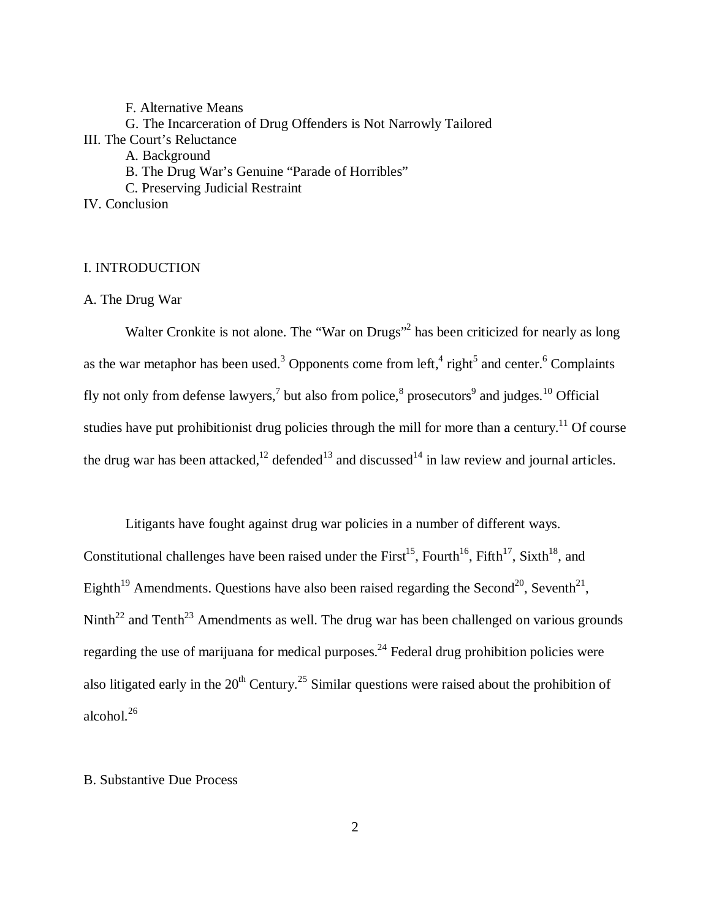F. Alternative Means G. The Incarceration of Drug Offenders is Not Narrowly Tailored III. The Court's Reluctance A. Background B. The Drug War's Genuine "Parade of Horribles" C. Preserving Judicial Restraint IV. Conclusion

# I. INTRODUCTION

A. The Drug War

Walter Cronkite is not alone. The "War on Drugs"<sup>2</sup> has been criticized for nearly as long as the war metaphor has been used.<sup>3</sup> Opponents come from left,<sup>4</sup> right<sup>5</sup> and center.<sup>6</sup> Complaints fly not only from defense lawyers,<sup>7</sup> but also from police,<sup>8</sup> prosecutors<sup>9</sup> and judges.<sup>10</sup> Official studies have put prohibitionist drug policies through the mill for more than a century.<sup>11</sup> Of course the drug war has been attacked, $^{12}$  defended<sup>13</sup> and discussed<sup>14</sup> in law review and journal articles.

Litigants have fought against drug war policies in a number of different ways. Constitutional challenges have been raised under the First<sup>15</sup>, Fourth<sup>16</sup>, Fifth<sup>17</sup>, Sixth<sup>18</sup>, and Eighth<sup>19</sup> Amendments. Questions have also been raised regarding the Second<sup>20</sup>, Seventh<sup>21</sup>, Ninth<sup>22</sup> and Tenth<sup>23</sup> Amendments as well. The drug war has been challenged on various grounds regarding the use of marijuana for medical purposes.<sup>24</sup> Federal drug prohibition policies were also litigated early in the  $20<sup>th</sup>$  Century.<sup>25</sup> Similar questions were raised about the prohibition of alcohol. $^{26}$ 

# B. Substantive Due Process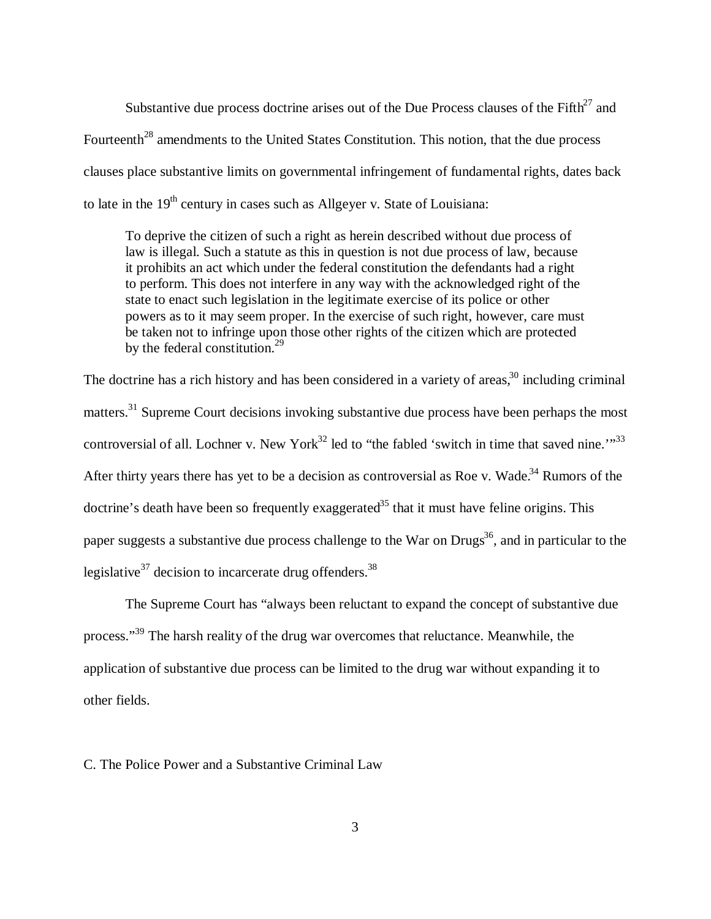Substantive due process doctrine arises out of the Due Process clauses of the Fifth<sup>27</sup> and Fourteenth<sup>28</sup> amendments to the United States Constitution. This notion, that the due process clauses place substantive limits on governmental infringement of fundamental rights, dates back to late in the  $19<sup>th</sup>$  century in cases such as Allgeyer v. State of Louisiana:

To deprive the citizen of such a right as herein described without due process of law is illegal. Such a statute as this in question is not due process of law, because it prohibits an act which under the federal constitution the defendants had a right to perform. This does not interfere in any way with the acknowledged right of the state to enact such legislation in the legitimate exercise of its police or other powers as to it may seem proper. In the exercise of such right, however, care must be taken not to infringe upon those other rights of the citizen which are protected by the federal constitution.<sup>29</sup>

The doctrine has a rich history and has been considered in a variety of areas,<sup>30</sup> including criminal matters.<sup>31</sup> Supreme Court decisions invoking substantive due process have been perhaps the most controversial of all. Lochner v. New York<sup>32</sup> led to "the fabled 'switch in time that saved nine.'"<sup>33</sup> After thirty years there has yet to be a decision as controversial as Roe v. Wade.<sup>34</sup> Rumors of the doctrine's death have been so frequently exaggerated<sup>35</sup> that it must have feline origins. This paper suggests a substantive due process challenge to the War on Drugs<sup>36</sup>, and in particular to the legislative $37$  decision to incarcerate drug offenders.<sup>38</sup>

The Supreme Court has "always been reluctant to expand the concept of substantive due process."<sup>39</sup> The harsh reality of the drug war overcomes that reluctance. Meanwhile, the application of substantive due process can be limited to the drug war without expanding it to other fields.

C. The Police Power and a Substantive Criminal Law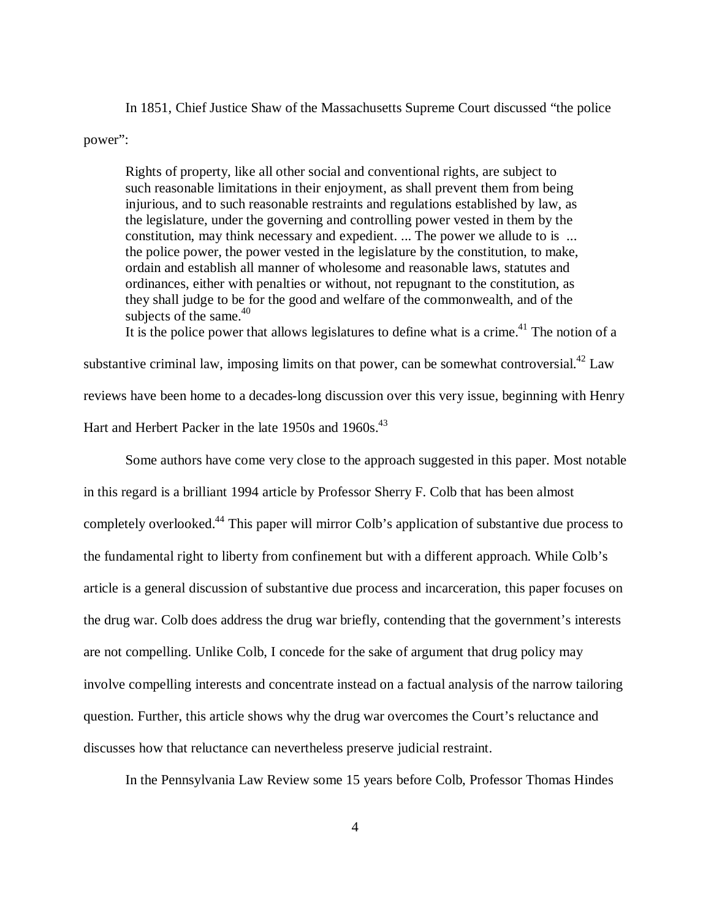In 1851, Chief Justice Shaw of the Massachusetts Supreme Court discussed "the police power":

Rights of property, like all other social and conventional rights, are subject to such reasonable limitations in their enjoyment, as shall prevent them from being injurious, and to such reasonable restraints and regulations established by law, as the legislature, under the governing and controlling power vested in them by the constitution, may think necessary and expedient. ... The power we allude to is ... the police power, the power vested in the legislature by the constitution, to make, ordain and establish all manner of wholesome and reasonable laws, statutes and ordinances, either with penalties or without, not repugnant to the constitution, as they shall judge to be for the good and welfare of the commonwealth, and of the subjects of the same.<sup>40</sup>

It is the police power that allows legislatures to define what is a crime.<sup>41</sup> The notion of a substantive criminal law, imposing limits on that power, can be somewhat controversial.<sup>42</sup> Law reviews have been home to a decades-long discussion over this very issue, beginning with Henry Hart and Herbert Packer in the late 1950s and 1960s.<sup>43</sup>

Some authors have come very close to the approach suggested in this paper. Most notable in this regard is a brilliant 1994 article by Professor Sherry F. Colb that has been almost completely overlooked.<sup>44</sup> This paper will mirror Colb's application of substantive due process to the fundamental right to liberty from confinement but with a different approach. While Colb's article is a general discussion of substantive due process and incarceration, this paper focuses on the drug war. Colb does address the drug war briefly, contending that the government's interests are not compelling. Unlike Colb, I concede for the sake of argument that drug policy may involve compelling interests and concentrate instead on a factual analysis of the narrow tailoring question. Further, this article shows why the drug war overcomes the Court's reluctance and discusses how that reluctance can nevertheless preserve judicial restraint.

In the Pennsylvania Law Review some 15 years before Colb, Professor Thomas Hindes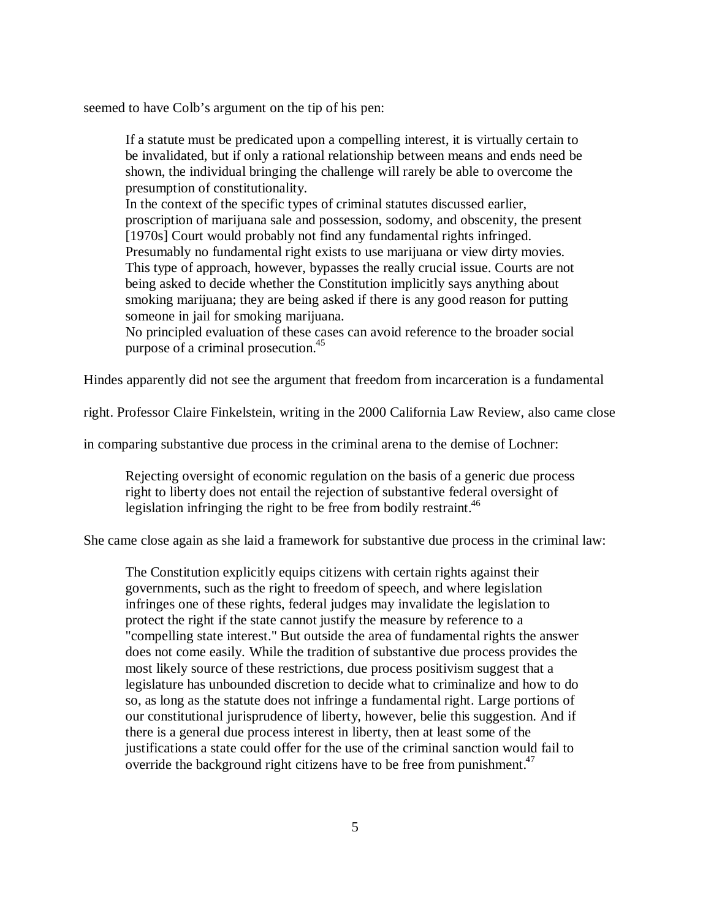seemed to have Colb's argument on the tip of his pen:

If a statute must be predicated upon a compelling interest, it is virtually certain to be invalidated, but if only a rational relationship between means and ends need be shown, the individual bringing the challenge will rarely be able to overcome the presumption of constitutionality.

In the context of the specific types of criminal statutes discussed earlier, proscription of marijuana sale and possession, sodomy, and obscenity, the present [1970s] Court would probably not find any fundamental rights infringed. Presumably no fundamental right exists to use marijuana or view dirty movies. This type of approach, however, bypasses the really crucial issue. Courts are not being asked to decide whether the Constitution implicitly says anything about smoking marijuana; they are being asked if there is any good reason for putting someone in jail for smoking marijuana.

No principled evaluation of these cases can avoid reference to the broader social purpose of a criminal prosecution.<sup>45</sup>

Hindes apparently did not see the argument that freedom from incarceration is a fundamental

right. Professor Claire Finkelstein, writing in the 2000 California Law Review, also came close

in comparing substantive due process in the criminal arena to the demise of Lochner:

Rejecting oversight of economic regulation on the basis of a generic due process right to liberty does not entail the rejection of substantive federal oversight of legislation infringing the right to be free from bodily restraint.<sup>46</sup>

She came close again as she laid a framework for substantive due process in the criminal law:

The Constitution explicitly equips citizens with certain rights against their governments, such as the right to freedom of speech, and where legislation infringes one of these rights, federal judges may invalidate the legislation to protect the right if the state cannot justify the measure by reference to a "compelling state interest." But outside the area of fundamental rights the answer does not come easily. While the tradition of substantive due process provides the most likely source of these restrictions, due process positivism suggest that a legislature has unbounded discretion to decide what to criminalize and how to do so, as long as the statute does not infringe a fundamental right. Large portions of our constitutional jurisprudence of liberty, however, belie this suggestion. And if there is a general due process interest in liberty, then at least some of the justifications a state could offer for the use of the criminal sanction would fail to override the background right citizens have to be free from punishment.<sup> $47$ </sup>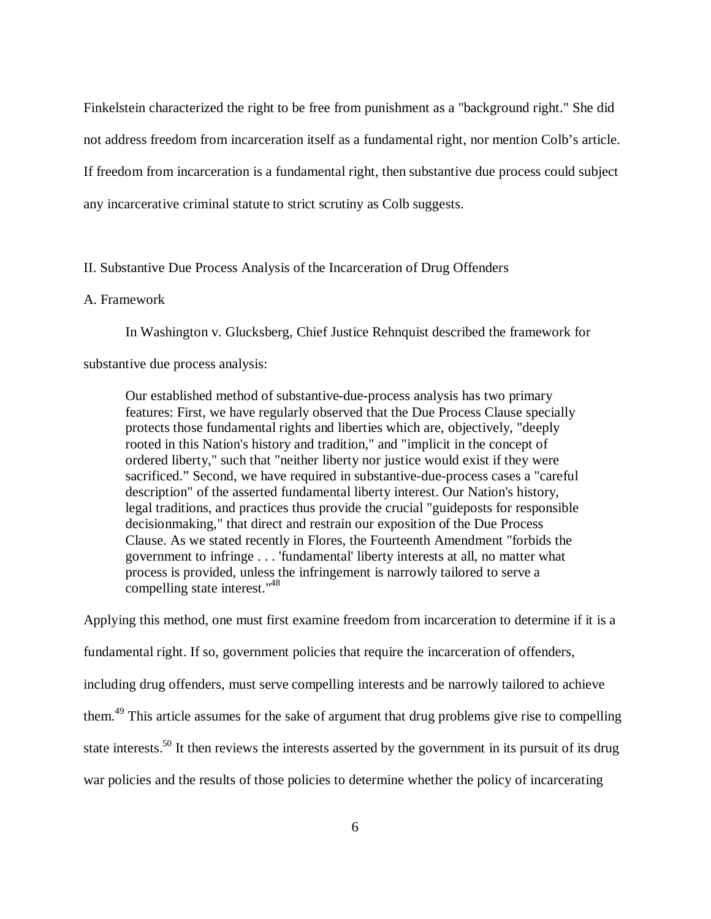Finkelstein characterized the right to be free from punishment as a "background right." She did not address freedom from incarceration itself as a fundamental right, nor mention Colb's article. If freedom from incarceration is a fundamental right, then substantive due process could subject any incarcerative criminal statute to strict scrutiny as Colb suggests.

# II. Substantive Due Process Analysis of the Incarceration of Drug Offenders

# A. Framework

In Washington v. Glucksberg, Chief Justice Rehnquist described the framework for

substantive due process analysis:

Our established method of substantive-due-process analysis has two primary features: First, we have regularly observed that the Due Process Clause specially protects those fundamental rights and liberties which are, objectively, "deeply rooted in this Nation's history and tradition," and "implicit in the concept of ordered liberty," such that "neither liberty nor justice would exist if they were sacrificed." Second, we have required in substantive-due-process cases a "careful description" of the asserted fundamental liberty interest. Our Nation's history, legal traditions, and practices thus provide the crucial "guideposts for responsible decisionmaking," that direct and restrain our exposition of the Due Process Clause. As we stated recently in Flores, the Fourteenth Amendment "forbids the government to infringe . . . 'fundamental' liberty interests at all, no matter what process is provided, unless the infringement is narrowly tailored to serve a compelling state interest."<sup>48</sup>

Applying this method, one must first examine freedom from incarceration to determine if it is a fundamental right. If so, government policies that require the incarceration of offenders, including drug offenders, must serve compelling interests and be narrowly tailored to achieve them.<sup>49</sup> This article assumes for the sake of argument that drug problems give rise to compelling state interests.<sup>50</sup> It then reviews the interests asserted by the government in its pursuit of its drug war policies and the results of those policies to determine whether the policy of incarcerating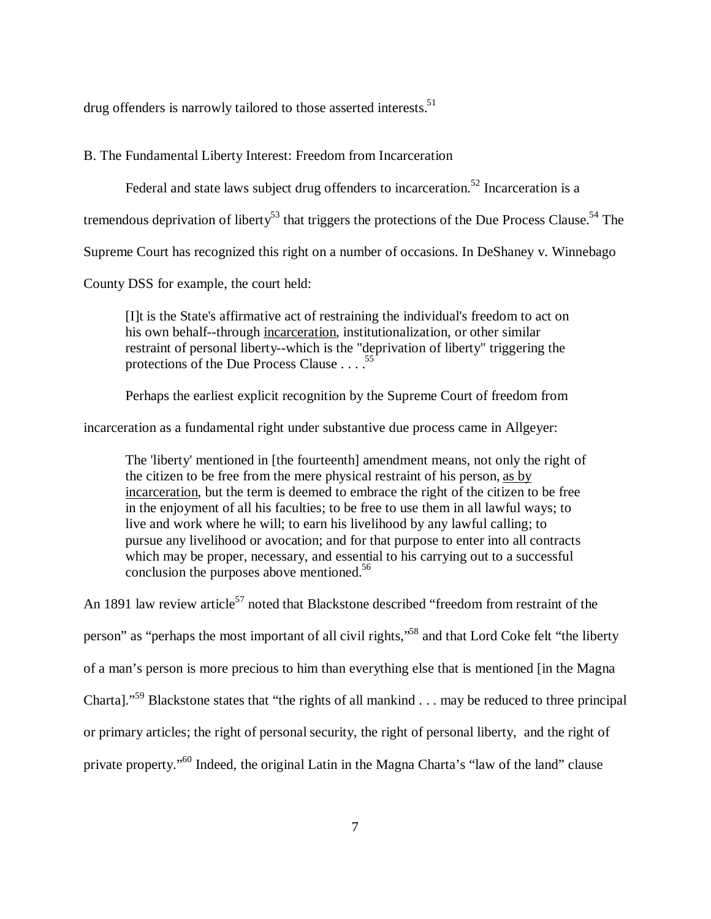drug offenders is narrowly tailored to those asserted interests.<sup>51</sup>

# B. The Fundamental Liberty Interest: Freedom from Incarceration

Federal and state laws subject drug offenders to incarceration.<sup>52</sup> Incarceration is a

tremendous deprivation of liberty<sup>53</sup> that triggers the protections of the Due Process Clause.<sup>54</sup> The

Supreme Court has recognized this right on a number of occasions. In DeShaney v. Winnebago

County DSS for example, the court held:

[I]t is the State's affirmative act of restraining the individual's freedom to act on his own behalf--through incarceration, institutionalization, or other similar restraint of personal liberty--which is the "deprivation of liberty" triggering the protections of the Due Process Clause  $\ldots$ . <sup>55</sup>

Perhaps the earliest explicit recognition by the Supreme Court of freedom from

incarceration as a fundamental right under substantive due process came in Allgeyer:

The 'liberty' mentioned in [the fourteenth] amendment means, not only the right of the citizen to be free from the mere physical restraint of his person, as by incarceration, but the term is deemed to embrace the right of the citizen to be free in the enjoyment of all his faculties; to be free to use them in all lawful ways; to live and work where he will; to earn his livelihood by any lawful calling; to pursue any livelihood or avocation; and for that purpose to enter into all contracts which may be proper, necessary, and essential to his carrying out to a successful conclusion the purposes above mentioned.<sup>56</sup>

An 1891 law review article $57$  noted that Blackstone described "freedom from restraint of the person" as "perhaps the most important of all civil rights,"<sup>58</sup> and that Lord Coke felt "the liberty of a man's person is more precious to him than everything else that is mentioned [in the Magna Charta]."<sup>59</sup> Blackstone states that "the rights of all mankind . . . may be reduced to three principal or primary articles; the right of personal security, the right of personal liberty, and the right of private property."<sup>60</sup> Indeed, the original Latin in the Magna Charta's "law of the land" clause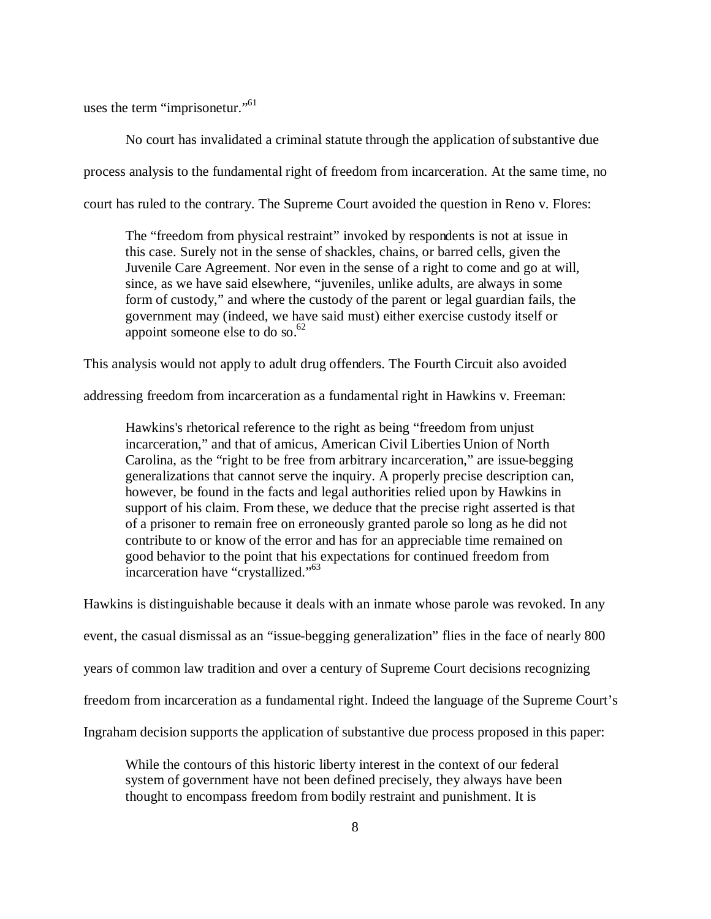uses the term "imprisonetur."<sup>61</sup>

No court has invalidated a criminal statute through the application of substantive due process analysis to the fundamental right of freedom from incarceration. At the same time, no court has ruled to the contrary. The Supreme Court avoided the question in Reno v. Flores:

The "freedom from physical restraint" invoked by respondents is not at issue in this case. Surely not in the sense of shackles, chains, or barred cells, given the Juvenile Care Agreement. Nor even in the sense of a right to come and go at will, since, as we have said elsewhere, "juveniles, unlike adults, are always in some form of custody," and where the custody of the parent or legal guardian fails, the government may (indeed, we have said must) either exercise custody itself or appoint someone else to do so. $62$ 

This analysis would not apply to adult drug offenders. The Fourth Circuit also avoided

addressing freedom from incarceration as a fundamental right in Hawkins v. Freeman:

Hawkins's rhetorical reference to the right as being "freedom from unjust incarceration," and that of amicus, American Civil Liberties Union of North Carolina, as the "right to be free from arbitrary incarceration," are issue-begging generalizations that cannot serve the inquiry. A properly precise description can, however, be found in the facts and legal authorities relied upon by Hawkins in support of his claim. From these, we deduce that the precise right asserted is that of a prisoner to remain free on erroneously granted parole so long as he did not contribute to or know of the error and has for an appreciable time remained on good behavior to the point that his expectations for continued freedom from incarceration have "crystallized."<sup>63</sup>

Hawkins is distinguishable because it deals with an inmate whose parole was revoked. In any event, the casual dismissal as an "issue-begging generalization" flies in the face of nearly 800 years of common law tradition and over a century of Supreme Court decisions recognizing freedom from incarceration as a fundamental right. Indeed the language of the Supreme Court's Ingraham decision supports the application of substantive due process proposed in this paper:

While the contours of this historic liberty interest in the context of our federal system of government have not been defined precisely, they always have been thought to encompass freedom from bodily restraint and punishment. It is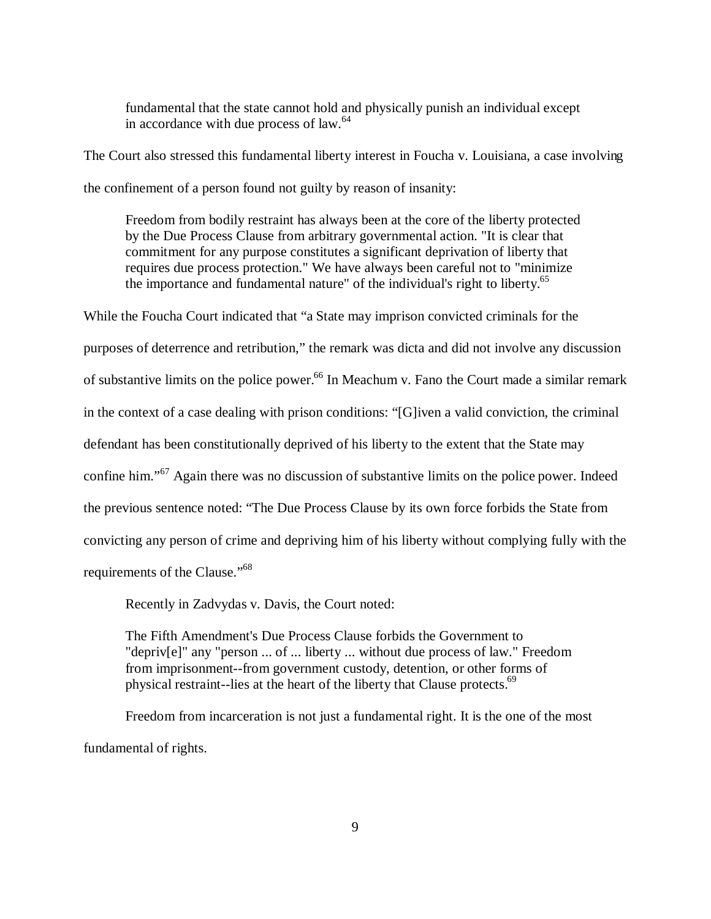fundamental that the state cannot hold and physically punish an individual except in accordance with due process of law.<sup>64</sup>

The Court also stressed this fundamental liberty interest in Foucha v. Louisiana, a case involving the confinement of a person found not guilty by reason of insanity:

Freedom from bodily restraint has always been at the core of the liberty protected by the Due Process Clause from arbitrary governmental action. "It is clear that commitment for any purpose constitutes a significant deprivation of liberty that requires due process protection." We have always been careful not to "minimize the importance and fundamental nature" of the individual's right to liberty.<sup>65</sup>

While the Foucha Court indicated that "a State may imprison convicted criminals for the purposes of deterrence and retribution," the remark was dicta and did not involve any discussion of substantive limits on the police power.<sup>66</sup> In Meachum v. Fano the Court made a similar remark in the context of a case dealing with prison conditions: "[G]iven a valid conviction, the criminal defendant has been constitutionally deprived of his liberty to the extent that the State may confine him."<sup>67</sup> Again there was no discussion of substantive limits on the police power. Indeed the previous sentence noted: "The Due Process Clause by its own force forbids the State from convicting any person of crime and depriving him of his liberty without complying fully with the requirements of the Clause."<sup>68</sup>

Recently in Zadvydas v. Davis, the Court noted:

The Fifth Amendment's Due Process Clause forbids the Government to "depriv[e]" any "person ... of ... liberty ... without due process of law." Freedom from imprisonment--from government custody, detention, or other forms of physical restraint--lies at the heart of the liberty that Clause protects.<sup>69</sup>

Freedom from incarceration is not just a fundamental right. It is the one of the most fundamental of rights.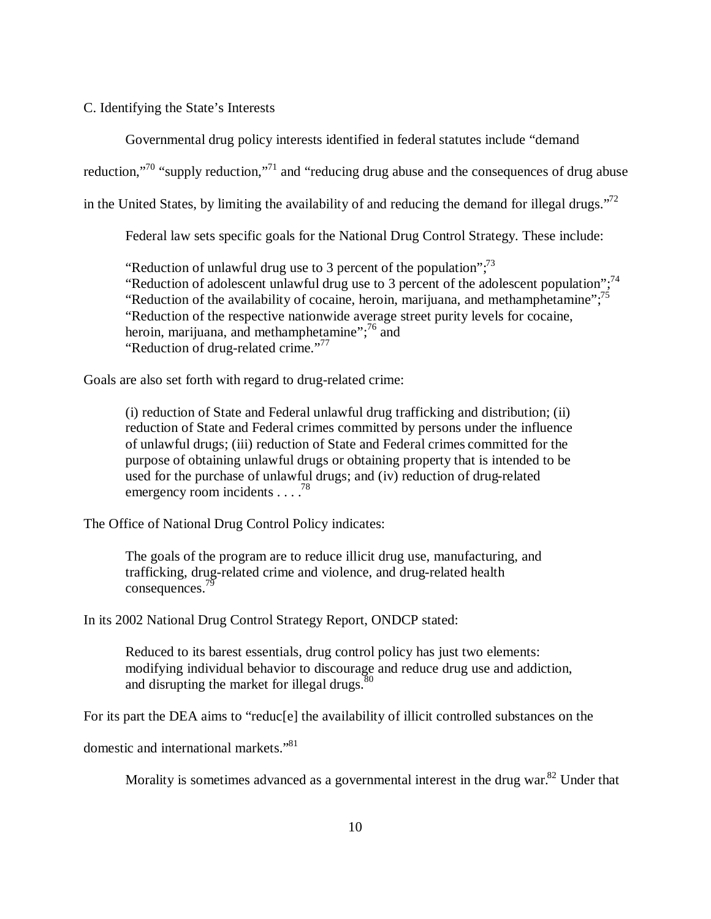# C. Identifying the State's Interests

Governmental drug policy interests identified in federal statutes include "demand

reduction,"<sup>70</sup> "supply reduction,"<sup>71</sup> and "reducing drug abuse and the consequences of drug abuse

in the United States, by limiting the availability of and reducing the demand for illegal drugs."<sup>72</sup>

Federal law sets specific goals for the National Drug Control Strategy. These include:

"Reduction of unlawful drug use to 3 percent of the population";  $7<sup>3</sup>$ "Reduction of adolescent unlawful drug use to 3 percent of the adolescent population";<sup>74</sup> "Reduction of the availability of cocaine, heroin, marijuana, and methamphetamine"; $^{75}$ "Reduction of the respective nationwide average street purity levels for cocaine, heroin, marijuana, and methamphetamine";<sup>76</sup> and "Reduction of drug-related crime."<sup>77</sup>

Goals are also set forth with regard to drug-related crime:

(i) reduction of State and Federal unlawful drug trafficking and distribution; (ii) reduction of State and Federal crimes committed by persons under the influence of unlawful drugs; (iii) reduction of State and Federal crimes committed for the purpose of obtaining unlawful drugs or obtaining property that is intended to be used for the purchase of unlawful drugs; and (iv) reduction of drug-related emergency room incidents . . . . <sup>78</sup>

The Office of National Drug Control Policy indicates:

The goals of the program are to reduce illicit drug use, manufacturing, and trafficking, drug-related crime and violence, and drug-related health consequences.<sup>79</sup>

In its 2002 National Drug Control Strategy Report, ONDCP stated:

Reduced to its barest essentials, drug control policy has just two elements: modifying individual behavior to discourage and reduce drug use and addiction, and disrupting the market for illegal drugs. $80$ 

For its part the DEA aims to "reduc[e] the availability of illicit controlled substances on the

domestic and international markets."<sup>81</sup>

Morality is sometimes advanced as a governmental interest in the drug war.<sup>82</sup> Under that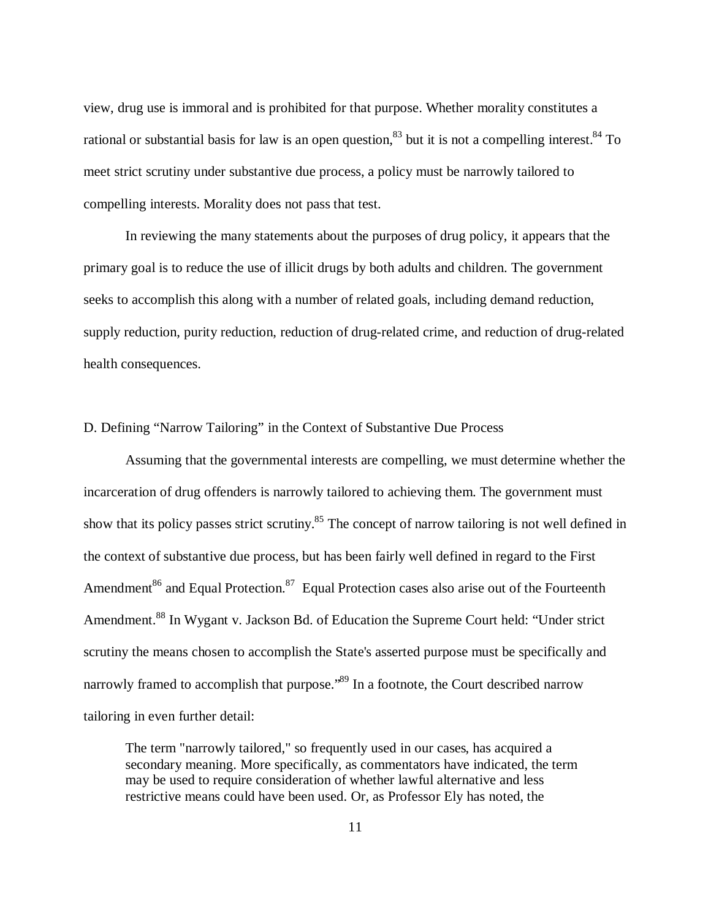view, drug use is immoral and is prohibited for that purpose. Whether morality constitutes a rational or substantial basis for law is an open question,  $83$  but it is not a compelling interest.  $84$  To meet strict scrutiny under substantive due process, a policy must be narrowly tailored to compelling interests. Morality does not pass that test.

In reviewing the many statements about the purposes of drug policy, it appears that the primary goal is to reduce the use of illicit drugs by both adults and children. The government seeks to accomplish this along with a number of related goals, including demand reduction, supply reduction, purity reduction, reduction of drug-related crime, and reduction of drug-related health consequences.

# D. Defining "Narrow Tailoring" in the Context of Substantive Due Process

Assuming that the governmental interests are compelling, we must determine whether the incarceration of drug offenders is narrowly tailored to achieving them. The government must show that its policy passes strict scrutiny.<sup>85</sup> The concept of narrow tailoring is not well defined in the context of substantive due process, but has been fairly well defined in regard to the First Amendment<sup>86</sup> and Equal Protection.<sup>87</sup> Equal Protection cases also arise out of the Fourteenth Amendment.<sup>88</sup> In Wygant v. Jackson Bd. of Education the Supreme Court held: "Under strict scrutiny the means chosen to accomplish the State's asserted purpose must be specifically and narrowly framed to accomplish that purpose.<sup>89</sup> In a footnote, the Court described narrow tailoring in even further detail:

The term "narrowly tailored," so frequently used in our cases, has acquired a secondary meaning. More specifically, as commentators have indicated, the term may be used to require consideration of whether lawful alternative and less restrictive means could have been used. Or, as Professor Ely has noted, the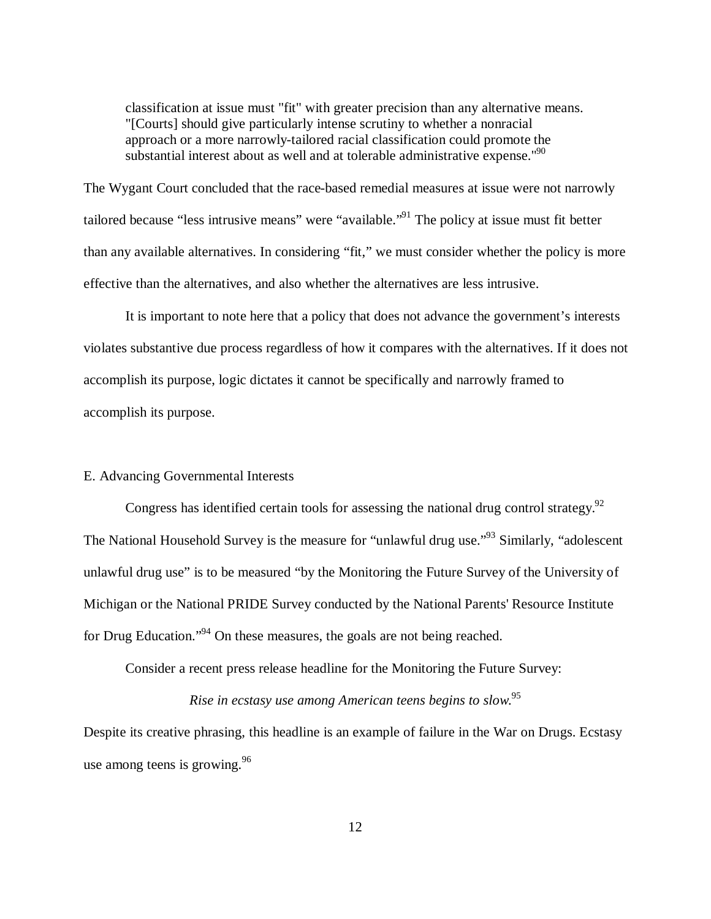classification at issue must "fit" with greater precision than any alternative means. "[Courts] should give particularly intense scrutiny to whether a nonracial approach or a more narrowly-tailored racial classification could promote the substantial interest about as well and at tolerable administrative expense." $90$ 

The Wygant Court concluded that the race-based remedial measures at issue were not narrowly tailored because "less intrusive means" were "available."<sup>91</sup> The policy at issue must fit better than any available alternatives. In considering "fit," we must consider whether the policy is more effective than the alternatives, and also whether the alternatives are less intrusive.

It is important to note here that a policy that does not advance the government's interests violates substantive due process regardless of how it compares with the alternatives. If it does not accomplish its purpose, logic dictates it cannot be specifically and narrowly framed to accomplish its purpose.

## E. Advancing Governmental Interests

Congress has identified certain tools for assessing the national drug control strategy.<sup>92</sup> The National Household Survey is the measure for "unlawful drug use."<sup>93</sup> Similarly, "adolescent" unlawful drug use" is to be measured "by the Monitoring the Future Survey of the University of Michigan or the National PRIDE Survey conducted by the National Parents' Resource Institute for Drug Education."<sup>94</sup> On these measures, the goals are not being reached.

Consider a recent press release headline for the Monitoring the Future Survey:

# *Rise in ecstasy use among American teens begins to slow.*<sup>95</sup>

Despite its creative phrasing, this headline is an example of failure in the War on Drugs. Ecstasy use among teens is growing. $96$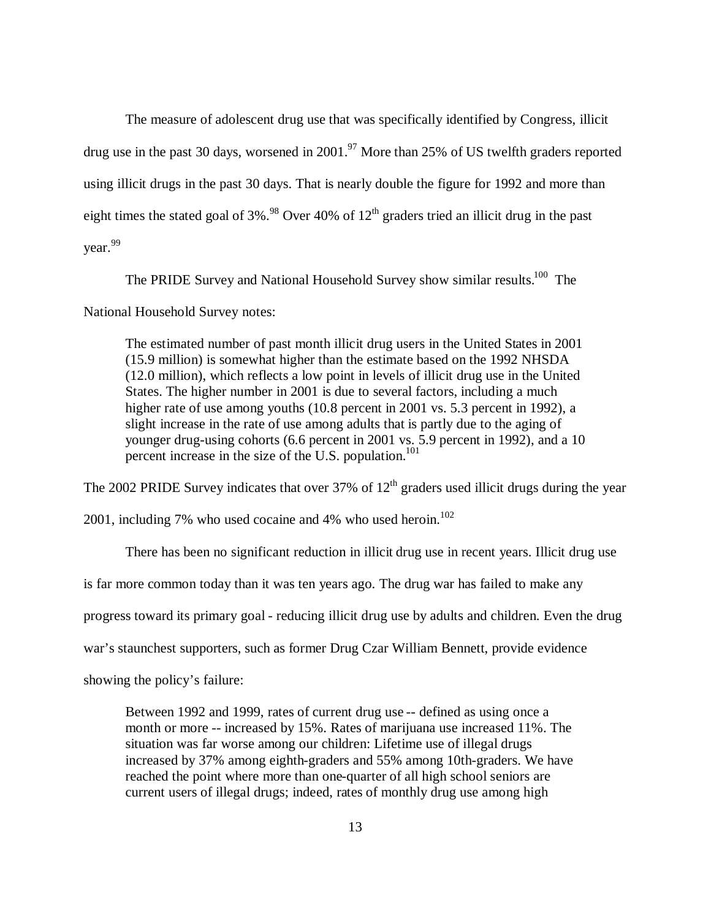The measure of adolescent drug use that was specifically identified by Congress, illicit drug use in the past 30 days, worsened in 2001.<sup>97</sup> More than 25% of US twelfth graders reported using illicit drugs in the past 30 days. That is nearly double the figure for 1992 and more than eight times the stated goal of  $3\%$ .<sup>98</sup> Over 40% of  $12<sup>th</sup>$  graders tried an illicit drug in the past year.<sup>99</sup>

The PRIDE Survey and National Household Survey show similar results.<sup>100</sup> The

National Household Survey notes:

The estimated number of past month illicit drug users in the United States in 2001 (15.9 million) is somewhat higher than the estimate based on the 1992 NHSDA (12.0 million), which reflects a low point in levels of illicit drug use in the United States. The higher number in 2001 is due to several factors, including a much higher rate of use among youths (10.8 percent in 2001 vs. 5.3 percent in 1992), a slight increase in the rate of use among adults that is partly due to the aging of younger drug-using cohorts (6.6 percent in 2001 vs. 5.9 percent in 1992), and a 10 percent increase in the size of the U.S. population.<sup>101</sup>

The 2002 PRIDE Survey indicates that over  $37\%$  of  $12<sup>th</sup>$  graders used illicit drugs during the year

2001, including 7% who used cocaine and 4% who used heroin. $102$ 

There has been no significant reduction in illicit drug use in recent years. Illicit drug use is far more common today than it was ten years ago. The drug war has failed to make any progress toward its primary goal - reducing illicit drug use by adults and children. Even the drug war's staunchest supporters, such as former Drug Czar William Bennett, provide evidence

showing the policy's failure:

Between 1992 and 1999, rates of current drug use -- defined as using once a month or more -- increased by 15%. Rates of marijuana use increased 11%. The situation was far worse among our children: Lifetime use of illegal drugs increased by 37% among eighth-graders and 55% among 10th-graders. We have reached the point where more than one-quarter of all high school seniors are current users of illegal drugs; indeed, rates of monthly drug use among high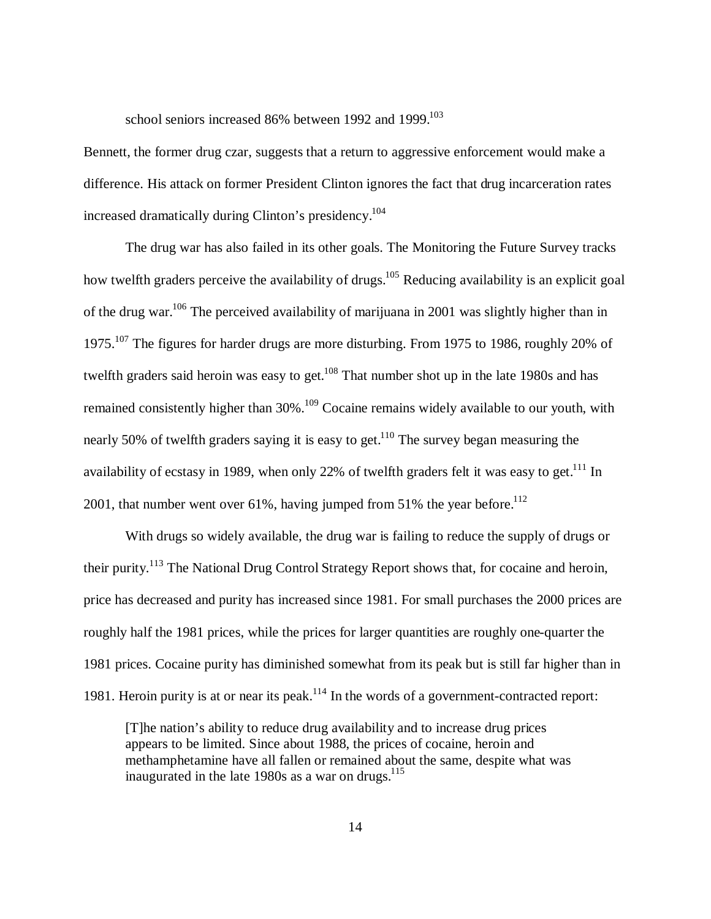school seniors increased 86% between 1992 and 1999.<sup>103</sup>

Bennett, the former drug czar, suggests that a return to aggressive enforcement would make a difference. His attack on former President Clinton ignores the fact that drug incarceration rates increased dramatically during Clinton's presidency.<sup>104</sup>

The drug war has also failed in its other goals. The Monitoring the Future Survey tracks how twelfth graders perceive the availability of drugs.<sup>105</sup> Reducing availability is an explicit goal of the drug war.<sup>106</sup> The perceived availability of marijuana in 2001 was slightly higher than in 1975.<sup>107</sup> The figures for harder drugs are more disturbing. From 1975 to 1986, roughly 20% of twelfth graders said heroin was easy to get.<sup>108</sup> That number shot up in the late 1980s and has remained consistently higher than  $30\%$ .<sup>109</sup> Cocaine remains widely available to our youth, with nearly 50% of twelfth graders saying it is easy to get.<sup>110</sup> The survey began measuring the availability of ecstasy in 1989, when only 22% of twelfth graders felt it was easy to get.<sup>111</sup> In 2001, that number went over 61%, having jumped from 51% the year before.<sup>112</sup>

With drugs so widely available, the drug war is failing to reduce the supply of drugs or their purity.<sup>113</sup> The National Drug Control Strategy Report shows that, for cocaine and heroin, price has decreased and purity has increased since 1981. For small purchases the 2000 prices are roughly half the 1981 prices, while the prices for larger quantities are roughly one-quarter the 1981 prices. Cocaine purity has diminished somewhat from its peak but is still far higher than in 1981. Heroin purity is at or near its peak.<sup>114</sup> In the words of a government-contracted report:

[T]he nation's ability to reduce drug availability and to increase drug prices appears to be limited. Since about 1988, the prices of cocaine, heroin and methamphetamine have all fallen or remained about the same, despite what was inaugurated in the late 1980s as a war on drugs.<sup>115</sup>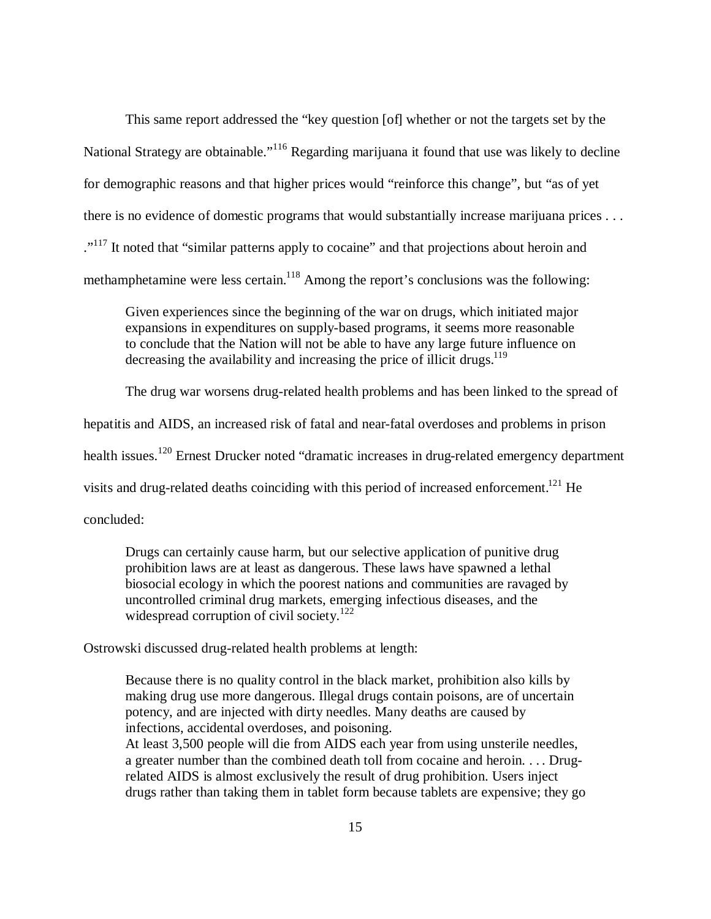This same report addressed the "key question [of] whether or not the targets set by the National Strategy are obtainable."<sup>116</sup> Regarding marijuana it found that use was likely to decline for demographic reasons and that higher prices would "reinforce this change", but "as of yet there is no evidence of domestic programs that would substantially increase marijuana prices . . . ."<sup>117</sup> It noted that "similar patterns apply to cocaine" and that projections about heroin and methamphetamine were less certain.<sup>118</sup> Among the report's conclusions was the following:

Given experiences since the beginning of the war on drugs, which initiated major expansions in expenditures on supply-based programs, it seems more reasonable to conclude that the Nation will not be able to have any large future influence on decreasing the availability and increasing the price of illicit drugs.<sup>119</sup>

The drug war worsens drug-related health problems and has been linked to the spread of hepatitis and AIDS, an increased risk of fatal and near-fatal overdoses and problems in prison health issues.<sup>120</sup> Ernest Drucker noted "dramatic increases in drug-related emergency department visits and drug-related deaths coinciding with this period of increased enforcement.<sup>121</sup> He concluded:

Drugs can certainly cause harm, but our selective application of punitive drug prohibition laws are at least as dangerous. These laws have spawned a lethal biosocial ecology in which the poorest nations and communities are ravaged by uncontrolled criminal drug markets, emerging infectious diseases, and the widespread corruption of civil society.<sup>122</sup>

Ostrowski discussed drug-related health problems at length:

Because there is no quality control in the black market, prohibition also kills by making drug use more dangerous. Illegal drugs contain poisons, are of uncertain potency, and are injected with dirty needles. Many deaths are caused by infections, accidental overdoses, and poisoning.

At least 3,500 people will die from AIDS each year from using unsterile needles, a greater number than the combined death toll from cocaine and heroin. . . . Drugrelated AIDS is almost exclusively the result of drug prohibition. Users inject drugs rather than taking them in tablet form because tablets are expensive; they go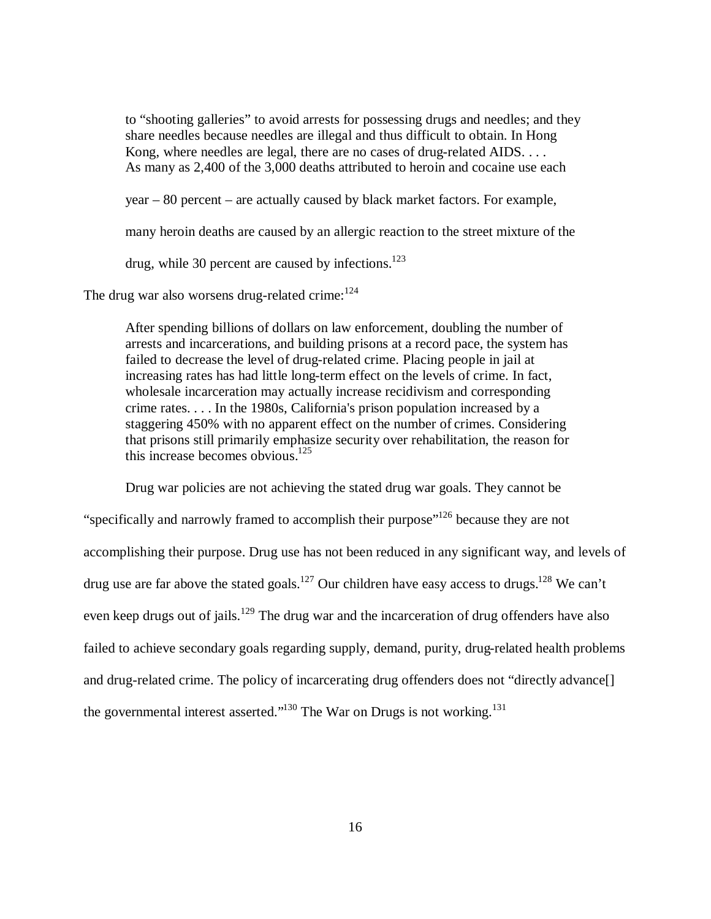to "shooting galleries" to avoid arrests for possessing drugs and needles; and they share needles because needles are illegal and thus difficult to obtain. In Hong Kong, where needles are legal, there are no cases of drug-related AIDS. . . . As many as 2,400 of the 3,000 deaths attributed to heroin and cocaine use each

year – 80 percent – are actually caused by black market factors. For example,

many heroin deaths are caused by an allergic reaction to the street mixture of the

drug, while 30 percent are caused by infections.<sup>123</sup>

The drug war also worsens drug-related crime:  $124$ 

After spending billions of dollars on law enforcement, doubling the number of arrests and incarcerations, and building prisons at a record pace, the system has failed to decrease the level of drug-related crime. Placing people in jail at increasing rates has had little long-term effect on the levels of crime. In fact, wholesale incarceration may actually increase recidivism and corresponding crime rates. . . . In the 1980s, California's prison population increased by a staggering 450% with no apparent effect on the number of crimes. Considering that prisons still primarily emphasize security over rehabilitation, the reason for this increase becomes obvious.<sup>125</sup>

Drug war policies are not achieving the stated drug war goals. They cannot be "specifically and narrowly framed to accomplish their purpose"<sup>126</sup> because they are not accomplishing their purpose. Drug use has not been reduced in any significant way, and levels of drug use are far above the stated goals.<sup>127</sup> Our children have easy access to drugs.<sup>128</sup> We can't even keep drugs out of jails.<sup>129</sup> The drug war and the incarceration of drug offenders have also failed to achieve secondary goals regarding supply, demand, purity, drug-related health problems and drug-related crime. The policy of incarcerating drug offenders does not "directly advance[] the governmental interest asserted."<sup>130</sup> The War on Drugs is not working.<sup>131</sup>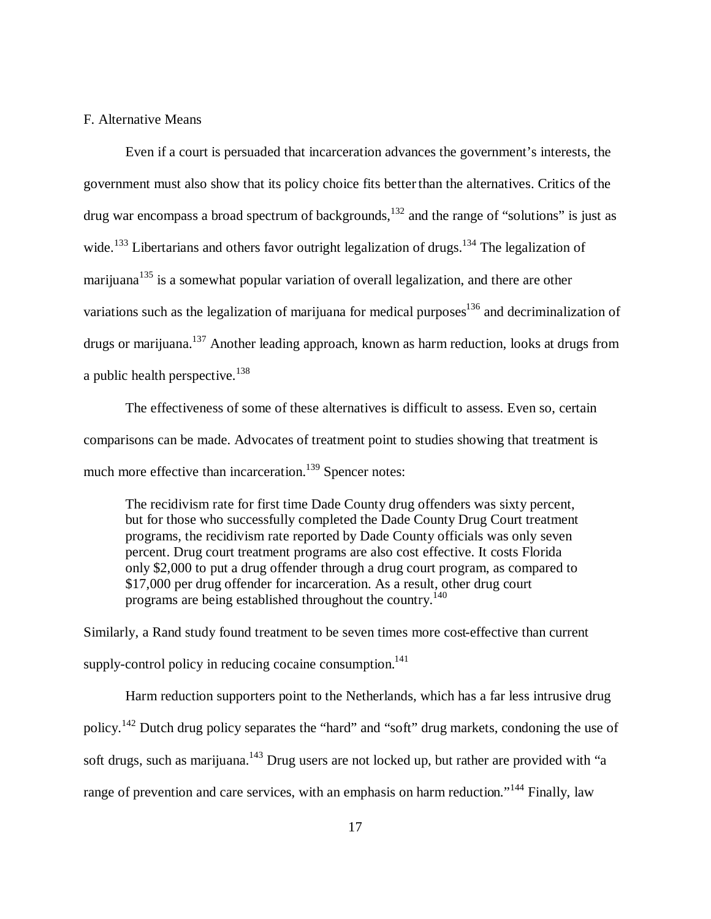#### F. Alternative Means

Even if a court is persuaded that incarceration advances the government's interests, the government must also show that its policy choice fits better than the alternatives. Critics of the drug war encompass a broad spectrum of backgrounds, $132$  and the range of "solutions" is just as wide.<sup>133</sup> Libertarians and others favor outright legalization of drugs.<sup>134</sup> The legalization of marijuana<sup>135</sup> is a somewhat popular variation of overall legalization, and there are other variations such as the legalization of marijuana for medical purposes $136$  and decriminalization of drugs or marijuana.<sup>137</sup> Another leading approach, known as harm reduction, looks at drugs from a public health perspective.<sup>138</sup>

The effectiveness of some of these alternatives is difficult to assess. Even so, certain comparisons can be made. Advocates of treatment point to studies showing that treatment is much more effective than incarceration.<sup>139</sup> Spencer notes:

The recidivism rate for first time Dade County drug offenders was sixty percent, but for those who successfully completed the Dade County Drug Court treatment programs, the recidivism rate reported by Dade County officials was only seven percent. Drug court treatment programs are also cost effective. It costs Florida only \$2,000 to put a drug offender through a drug court program, as compared to \$17,000 per drug offender for incarceration. As a result, other drug court programs are being established throughout the country.<sup>140</sup>

Similarly, a Rand study found treatment to be seven times more cost-effective than current supply-control policy in reducing cocaine consumption.<sup>141</sup>

Harm reduction supporters point to the Netherlands, which has a far less intrusive drug policy.<sup>142</sup> Dutch drug policy separates the "hard" and "soft" drug markets, condoning the use of soft drugs, such as marijuana.<sup>143</sup> Drug users are not locked up, but rather are provided with "a range of prevention and care services, with an emphasis on harm reduction."<sup>144</sup> Finally, law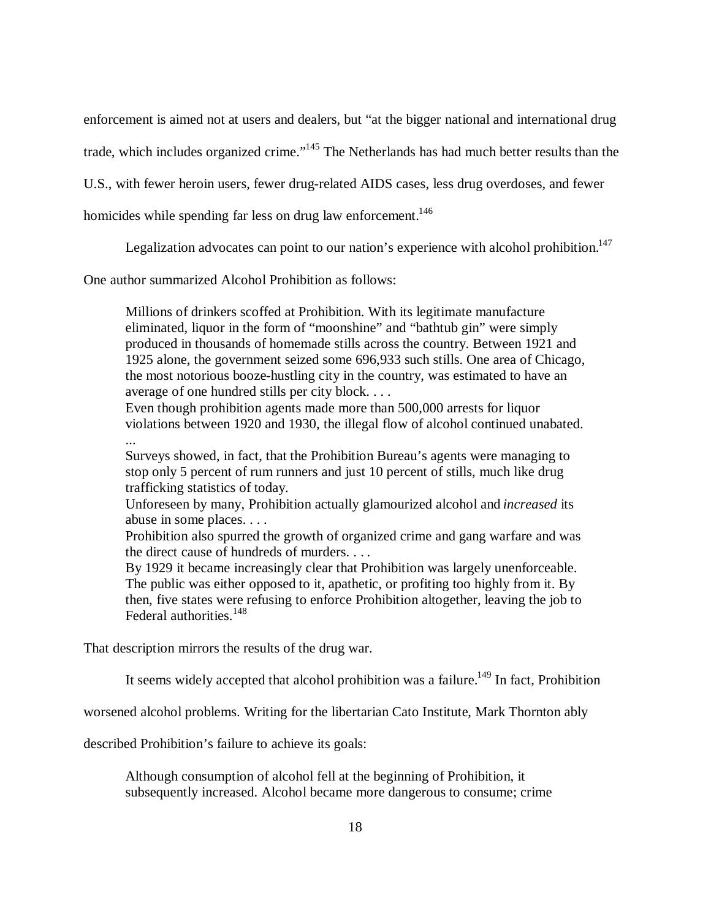enforcement is aimed not at users and dealers, but "at the bigger national and international drug

trade, which includes organized crime."<sup>145</sup> The Netherlands has had much better results than the

U.S., with fewer heroin users, fewer drug-related AIDS cases, less drug overdoses, and fewer

homicides while spending far less on drug law enforcement.<sup>146</sup>

Legalization advocates can point to our nation's experience with alcohol prohibition.<sup>147</sup>

One author summarized Alcohol Prohibition as follows:

Millions of drinkers scoffed at Prohibition. With its legitimate manufacture eliminated, liquor in the form of "moonshine" and "bathtub gin" were simply produced in thousands of homemade stills across the country. Between 1921 and 1925 alone, the government seized some 696,933 such stills. One area of Chicago, the most notorious booze-hustling city in the country, was estimated to have an average of one hundred stills per city block. . . .

Even though prohibition agents made more than 500,000 arrests for liquor violations between 1920 and 1930, the illegal flow of alcohol continued unabated. ...

Surveys showed, in fact, that the Prohibition Bureau's agents were managing to stop only 5 percent of rum runners and just 10 percent of stills, much like drug trafficking statistics of today.

Unforeseen by many, Prohibition actually glamourized alcohol and *increased* its abuse in some places. . . .

Prohibition also spurred the growth of organized crime and gang warfare and was the direct cause of hundreds of murders. . . .

By 1929 it became increasingly clear that Prohibition was largely unenforceable. The public was either opposed to it, apathetic, or profiting too highly from it. By then, five states were refusing to enforce Prohibition altogether, leaving the job to Federal authorities.<sup>148</sup>

That description mirrors the results of the drug war.

It seems widely accepted that alcohol prohibition was a failure.<sup>149</sup> In fact, Prohibition

worsened alcohol problems. Writing for the libertarian Cato Institute, Mark Thornton ably

described Prohibition's failure to achieve its goals:

Although consumption of alcohol fell at the beginning of Prohibition, it subsequently increased. Alcohol became more dangerous to consume; crime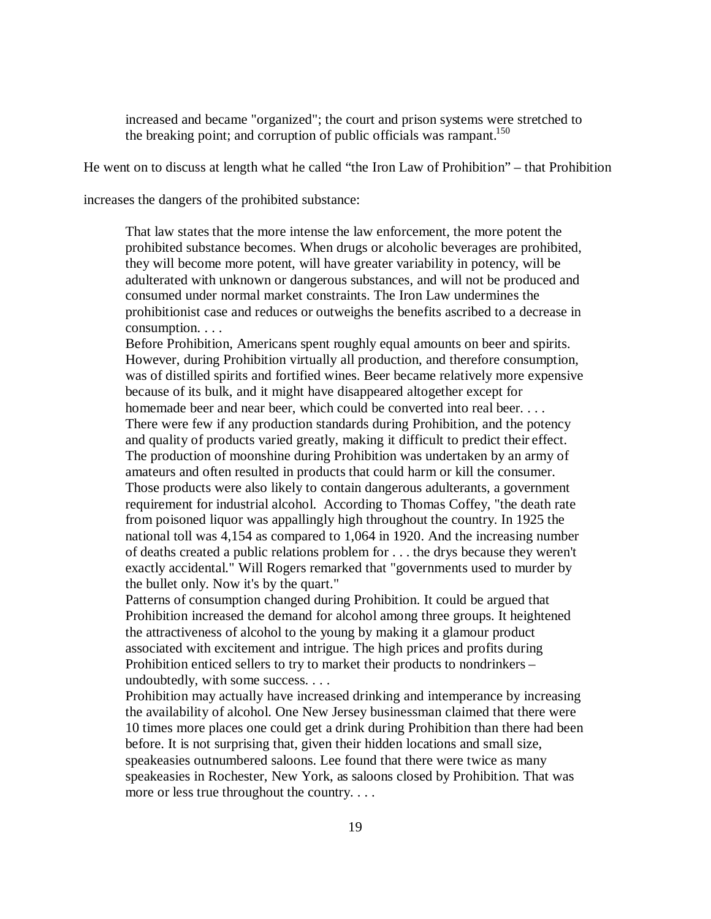increased and became "organized"; the court and prison systems were stretched to the breaking point; and corruption of public officials was rampant.<sup>150</sup>

He went on to discuss at length what he called "the Iron Law of Prohibition" – that Prohibition

increases the dangers of the prohibited substance:

That law states that the more intense the law enforcement, the more potent the prohibited substance becomes. When drugs or alcoholic beverages are prohibited, they will become more potent, will have greater variability in potency, will be adulterated with unknown or dangerous substances, and will not be produced and consumed under normal market constraints. The Iron Law undermines the prohibitionist case and reduces or outweighs the benefits ascribed to a decrease in consumption. . . .

Before Prohibition, Americans spent roughly equal amounts on beer and spirits. However, during Prohibition virtually all production, and therefore consumption, was of distilled spirits and fortified wines. Beer became relatively more expensive because of its bulk, and it might have disappeared altogether except for homemade beer and near beer, which could be converted into real beer. . . . There were few if any production standards during Prohibition, and the potency and quality of products varied greatly, making it difficult to predict their effect. The production of moonshine during Prohibition was undertaken by an army of amateurs and often resulted in products that could harm or kill the consumer. Those products were also likely to contain dangerous adulterants, a government requirement for industrial alcohol. According to Thomas Coffey, "the death rate from poisoned liquor was appallingly high throughout the country. In 1925 the national toll was 4,154 as compared to 1,064 in 1920. And the increasing number of deaths created a public relations problem for . . . the drys because they weren't exactly accidental." Will Rogers remarked that "governments used to murder by the bullet only. Now it's by the quart."

Patterns of consumption changed during Prohibition. It could be argued that Prohibition increased the demand for alcohol among three groups. It heightened the attractiveness of alcohol to the young by making it a glamour product associated with excitement and intrigue. The high prices and profits during Prohibition enticed sellers to try to market their products to nondrinkers – undoubtedly, with some success. . . .

Prohibition may actually have increased drinking and intemperance by increasing the availability of alcohol. One New Jersey businessman claimed that there were 10 times more places one could get a drink during Prohibition than there had been before. It is not surprising that, given their hidden locations and small size, speakeasies outnumbered saloons. Lee found that there were twice as many speakeasies in Rochester, New York, as saloons closed by Prohibition. That was more or less true throughout the country. . . .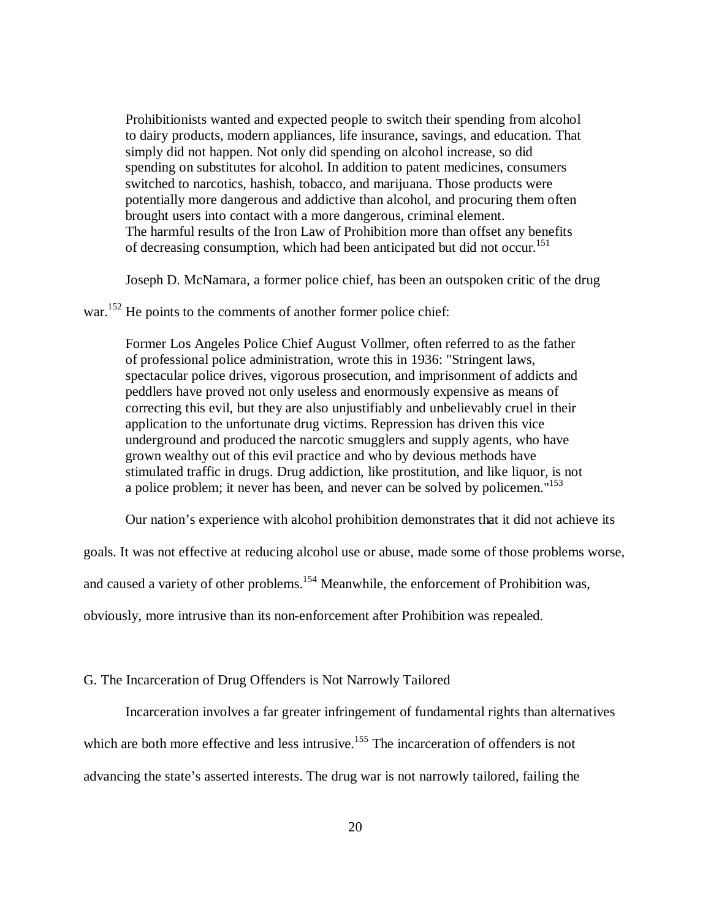Prohibitionists wanted and expected people to switch their spending from alcohol to dairy products, modern appliances, life insurance, savings, and education. That simply did not happen. Not only did spending on alcohol increase, so did spending on substitutes for alcohol. In addition to patent medicines, consumers switched to narcotics, hashish, tobacco, and marijuana. Those products were potentially more dangerous and addictive than alcohol, and procuring them often brought users into contact with a more dangerous, criminal element. The harmful results of the Iron Law of Prohibition more than offset any benefits of decreasing consumption, which had been anticipated but did not occur.<sup>151</sup>

Joseph D. McNamara, a former police chief, has been an outspoken critic of the drug

war.<sup>152</sup> He points to the comments of another former police chief:

Former Los Angeles Police Chief August Vollmer, often referred to as the father of professional police administration, wrote this in 1936: "Stringent laws, spectacular police drives, vigorous prosecution, and imprisonment of addicts and peddlers have proved not only useless and enormously expensive as means of correcting this evil, but they are also unjustifiably and unbelievably cruel in their application to the unfortunate drug victims. Repression has driven this vice underground and produced the narcotic smugglers and supply agents, who have grown wealthy out of this evil practice and who by devious methods have stimulated traffic in drugs. Drug addiction, like prostitution, and like liquor, is not a police problem; it never has been, and never can be solved by policemen."<sup>153</sup>

Our nation's experience with alcohol prohibition demonstrates that it did not achieve its

goals. It was not effective at reducing alcohol use or abuse, made some of those problems worse,

and caused a variety of other problems.<sup>154</sup> Meanwhile, the enforcement of Prohibition was,

obviously, more intrusive than its non-enforcement after Prohibition was repealed.

#### G. The Incarceration of Drug Offenders is Not Narrowly Tailored

Incarceration involves a far greater infringement of fundamental rights than alternatives

which are both more effective and less intrusive.<sup>155</sup> The incarceration of offenders is not

advancing the state's asserted interests. The drug war is not narrowly tailored, failing the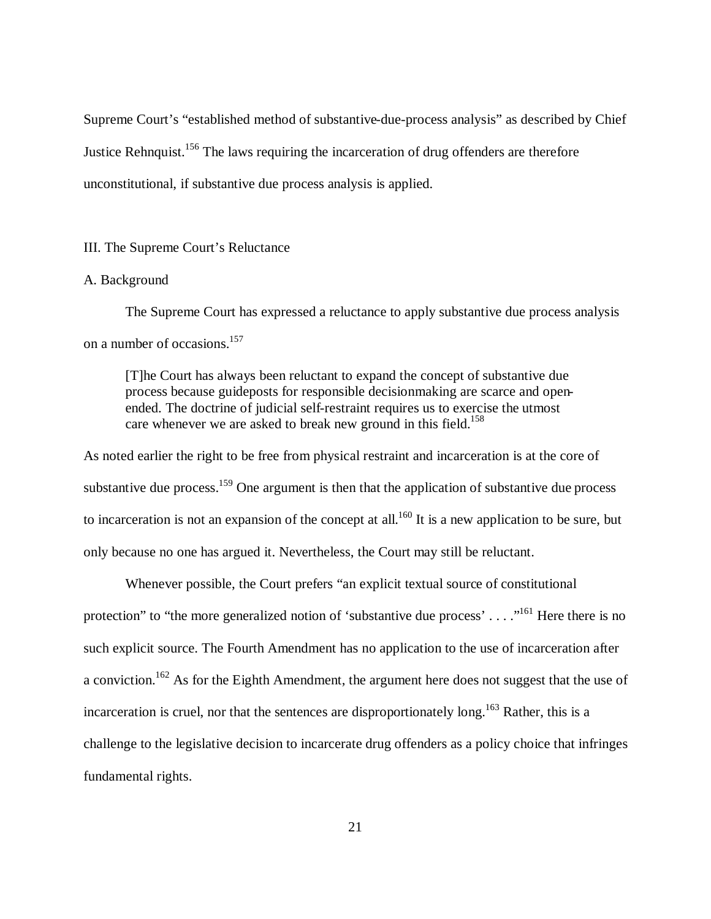Supreme Court's "established method of substantive-due-process analysis" as described by Chief Justice Rehnquist.<sup>156</sup> The laws requiring the incarceration of drug offenders are therefore unconstitutional, if substantive due process analysis is applied.

## III. The Supreme Court's Reluctance

# A. Background

The Supreme Court has expressed a reluctance to apply substantive due process analysis on a number of occasions.<sup>157</sup>

[T]he Court has always been reluctant to expand the concept of substantive due process because guideposts for responsible decisionmaking are scarce and openended. The doctrine of judicial self-restraint requires us to exercise the utmost care whenever we are asked to break new ground in this field.<sup>158</sup>

As noted earlier the right to be free from physical restraint and incarceration is at the core of substantive due process.<sup>159</sup> One argument is then that the application of substantive due process to incarceration is not an expansion of the concept at all.<sup>160</sup> It is a new application to be sure, but only because no one has argued it. Nevertheless, the Court may still be reluctant.

Whenever possible, the Court prefers "an explicit textual source of constitutional protection" to "the more generalized notion of 'substantive due process'  $\dots$ ."<sup>161</sup> Here there is no such explicit source. The Fourth Amendment has no application to the use of incarceration after a conviction.<sup>162</sup> As for the Eighth Amendment, the argument here does not suggest that the use of incarceration is cruel, nor that the sentences are disproportionately long.<sup>163</sup> Rather, this is a challenge to the legislative decision to incarcerate drug offenders as a policy choice that infringes fundamental rights.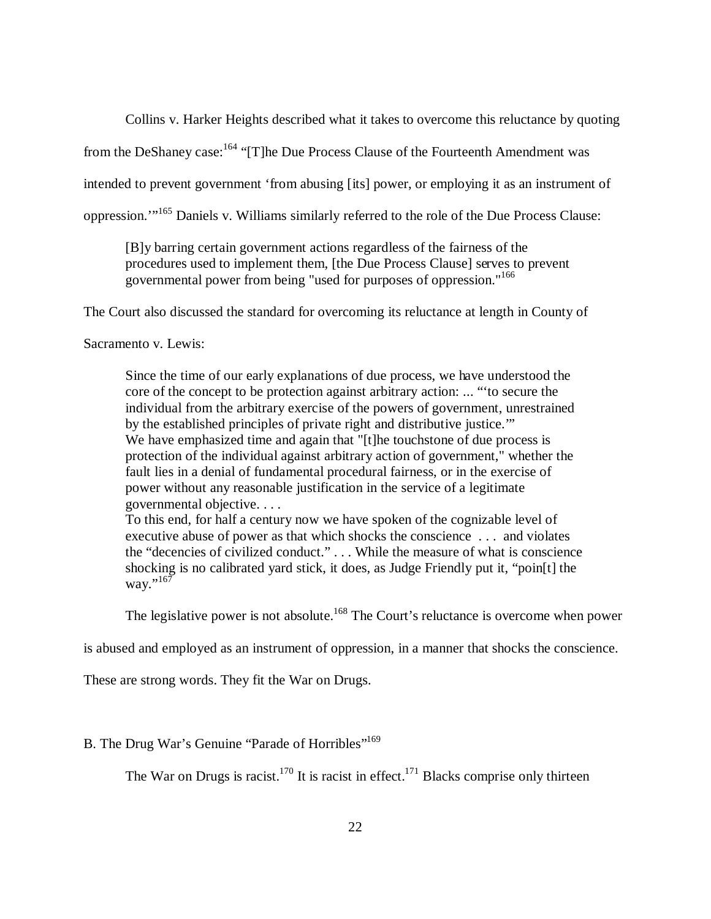Collins v. Harker Heights described what it takes to overcome this reluctance by quoting

from the DeShaney case:<sup>164</sup> "[T]he Due Process Clause of the Fourteenth Amendment was

intended to prevent government 'from abusing [its] power, or employing it as an instrument of

oppression.'"<sup>165</sup> Daniels v. Williams similarly referred to the role of the Due Process Clause:

[B]y barring certain government actions regardless of the fairness of the procedures used to implement them, [the Due Process Clause] serves to prevent governmental power from being "used for purposes of oppression."<sup>166</sup>

The Court also discussed the standard for overcoming its reluctance at length in County of

Sacramento v. Lewis:

Since the time of our early explanations of due process, we have understood the core of the concept to be protection against arbitrary action: ... "'to secure the individual from the arbitrary exercise of the powers of government, unrestrained by the established principles of private right and distributive justice.'" We have emphasized time and again that "[t]he touchstone of due process is protection of the individual against arbitrary action of government," whether the fault lies in a denial of fundamental procedural fairness, or in the exercise of power without any reasonable justification in the service of a legitimate governmental objective. . . .

To this end, for half a century now we have spoken of the cognizable level of executive abuse of power as that which shocks the conscience . . . and violates the "decencies of civilized conduct." . . . While the measure of what is conscience shocking is no calibrated yard stick, it does, as Judge Friendly put it, "poin[t] the way." $^{167}$ 

The legislative power is not absolute.<sup>168</sup> The Court's reluctance is overcome when power

is abused and employed as an instrument of oppression, in a manner that shocks the conscience.

These are strong words. They fit the War on Drugs.

### B. The Drug War's Genuine "Parade of Horribles"<sup>169</sup>

The War on Drugs is racist.<sup>170</sup> It is racist in effect.<sup>171</sup> Blacks comprise only thirteen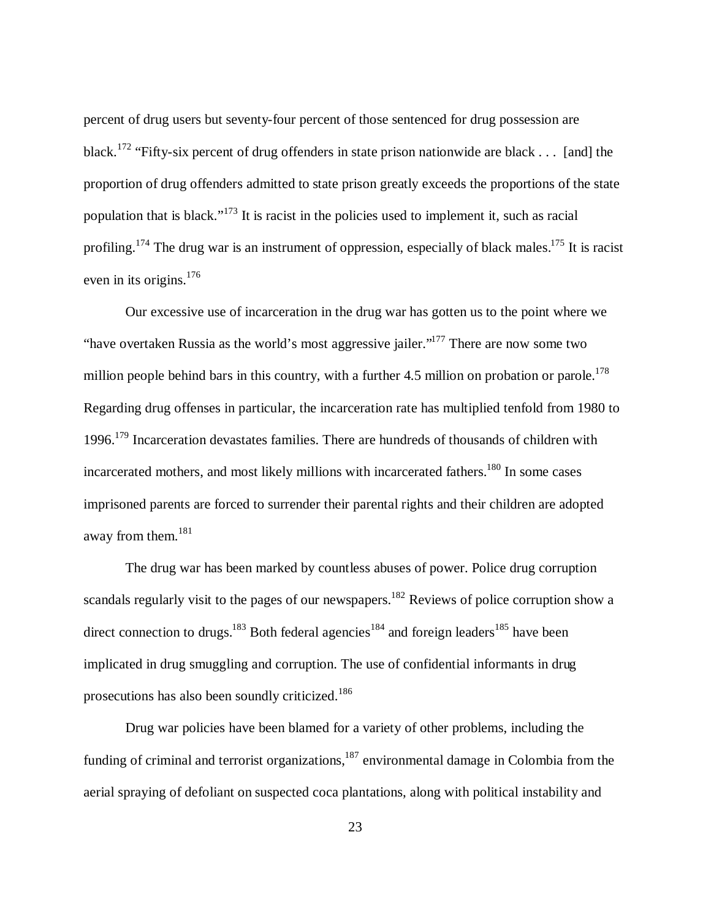percent of drug users but seventy-four percent of those sentenced for drug possession are black.<sup>172</sup> "Fifty-six percent of drug offenders in state prison nationwide are black . . . [and] the proportion of drug offenders admitted to state prison greatly exceeds the proportions of the state population that is black."<sup>173</sup> It is racist in the policies used to implement it, such as racial profiling.<sup>174</sup> The drug war is an instrument of oppression, especially of black males.<sup>175</sup> It is racist even in its origins. $176$ 

Our excessive use of incarceration in the drug war has gotten us to the point where we "have overtaken Russia as the world's most aggressive jailer."<sup>177</sup> There are now some two million people behind bars in this country, with a further 4.5 million on probation or parole.<sup>178</sup> Regarding drug offenses in particular, the incarceration rate has multiplied tenfold from 1980 to 1996.<sup>179</sup> Incarceration devastates families. There are hundreds of thousands of children with incarcerated mothers, and most likely millions with incarcerated fathers.<sup>180</sup> In some cases imprisoned parents are forced to surrender their parental rights and their children are adopted away from them.<sup>181</sup>

The drug war has been marked by countless abuses of power. Police drug corruption scandals regularly visit to the pages of our newspapers.<sup>182</sup> Reviews of police corruption show a direct connection to drugs.<sup>183</sup> Both federal agencies<sup>184</sup> and foreign leaders<sup>185</sup> have been implicated in drug smuggling and corruption. The use of confidential informants in drug prosecutions has also been soundly criticized.<sup>186</sup>

Drug war policies have been blamed for a variety of other problems, including the funding of criminal and terrorist organizations, $187$  environmental damage in Colombia from the aerial spraying of defoliant on suspected coca plantations, along with political instability and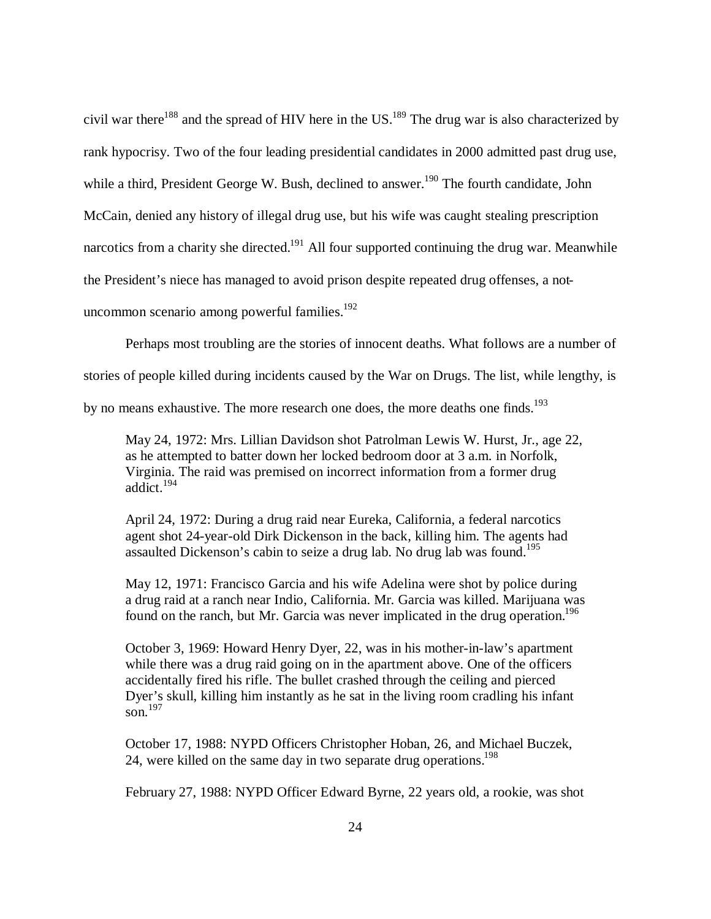civil war there<sup>188</sup> and the spread of HIV here in the US.<sup>189</sup> The drug war is also characterized by rank hypocrisy. Two of the four leading presidential candidates in 2000 admitted past drug use, while a third, President George W. Bush, declined to answer.<sup>190</sup> The fourth candidate, John McCain, denied any history of illegal drug use, but his wife was caught stealing prescription narcotics from a charity she directed.<sup>191</sup> All four supported continuing the drug war. Meanwhile the President's niece has managed to avoid prison despite repeated drug offenses, a notuncommon scenario among powerful families. $192$ 

Perhaps most troubling are the stories of innocent deaths. What follows are a number of

stories of people killed during incidents caused by the War on Drugs. The list, while lengthy, is

by no means exhaustive. The more research one does, the more deaths one finds.<sup>193</sup>

May 24, 1972: Mrs. Lillian Davidson shot Patrolman Lewis W. Hurst, Jr., age 22, as he attempted to batter down her locked bedroom door at 3 a.m. in Norfolk, Virginia. The raid was premised on incorrect information from a former drug addict<sup>194</sup>

April 24, 1972: During a drug raid near Eureka, California, a federal narcotics agent shot 24-year-old Dirk Dickenson in the back, killing him. The agents had assaulted Dickenson's cabin to seize a drug lab. No drug lab was found.<sup>195</sup>

May 12, 1971: Francisco Garcia and his wife Adelina were shot by police during a drug raid at a ranch near Indio, California. Mr. Garcia was killed. Marijuana was found on the ranch, but Mr. Garcia was never implicated in the drug operation.<sup>196</sup>

October 3, 1969: Howard Henry Dyer, 22, was in his mother-in-law's apartment while there was a drug raid going on in the apartment above. One of the officers accidentally fired his rifle. The bullet crashed through the ceiling and pierced Dyer's skull, killing him instantly as he sat in the living room cradling his infant son. $^{197}$ 

October 17, 1988: NYPD Officers Christopher Hoban, 26, and Michael Buczek, 24, were killed on the same day in two separate drug operations.<sup>198</sup>

February 27, 1988: NYPD Officer Edward Byrne, 22 years old, a rookie, was shot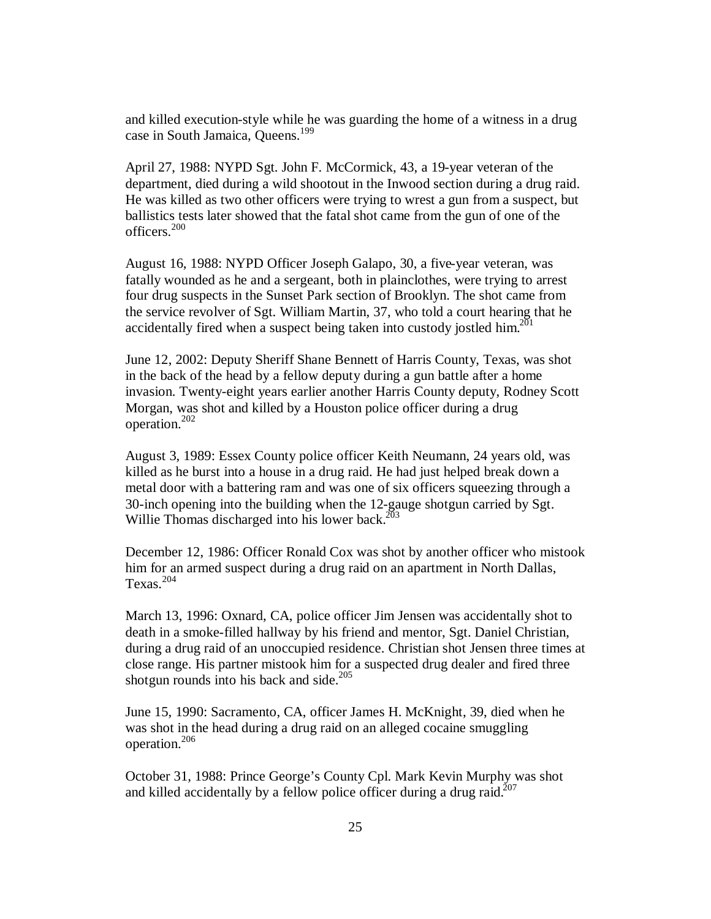and killed execution-style while he was guarding the home of a witness in a drug case in South Jamaica, Queens.<sup>199</sup>

April 27, 1988: NYPD Sgt. John F. McCormick, 43, a 19-year veteran of the department, died during a wild shootout in the Inwood section during a drug raid. He was killed as two other officers were trying to wrest a gun from a suspect, but ballistics tests later showed that the fatal shot came from the gun of one of the officers.<sup>200</sup>

August 16, 1988: NYPD Officer Joseph Galapo, 30, a five-year veteran, was fatally wounded as he and a sergeant, both in plainclothes, were trying to arrest four drug suspects in the Sunset Park section of Brooklyn. The shot came from the service revolver of Sgt. William Martin, 37, who told a court hearing that he accidentally fired when a suspect being taken into custody jostled him. $^{201}$ 

June 12, 2002: Deputy Sheriff Shane Bennett of Harris County, Texas, was shot in the back of the head by a fellow deputy during a gun battle after a home invasion. Twenty-eight years earlier another Harris County deputy, Rodney Scott Morgan, was shot and killed by a Houston police officer during a drug operation.<sup>202</sup>

August 3, 1989: Essex County police officer Keith Neumann, 24 years old, was killed as he burst into a house in a drug raid. He had just helped break down a metal door with a battering ram and was one of six officers squeezing through a 30-inch opening into the building when the 12-gauge shotgun carried by Sgt. Willie Thomas discharged into his lower back. $^{203}$ 

December 12, 1986: Officer Ronald Cox was shot by another officer who mistook him for an armed suspect during a drug raid on an apartment in North Dallas, Texas.<sup>204</sup>

March 13, 1996: Oxnard, CA, police officer Jim Jensen was accidentally shot to death in a smoke-filled hallway by his friend and mentor, Sgt. Daniel Christian, during a drug raid of an unoccupied residence. Christian shot Jensen three times at close range. His partner mistook him for a suspected drug dealer and fired three shotgun rounds into his back and side. $205$ 

June 15, 1990: Sacramento, CA, officer James H. McKnight, 39, died when he was shot in the head during a drug raid on an alleged cocaine smuggling operation.<sup>206</sup>

October 31, 1988: Prince George's County Cpl. Mark Kevin Murphy was shot and killed accidentally by a fellow police officer during a drug raid.<sup>207</sup>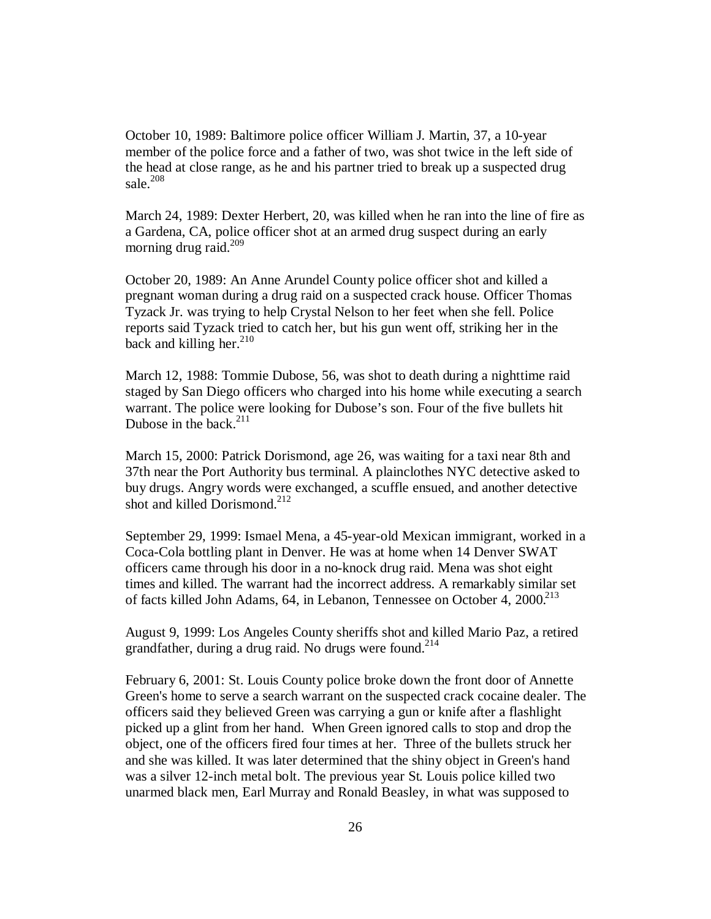October 10, 1989: Baltimore police officer William J. Martin, 37, a 10-year member of the police force and a father of two, was shot twice in the left side of the head at close range, as he and his partner tried to break up a suspected drug sale $^{208}$ 

March 24, 1989: Dexter Herbert, 20, was killed when he ran into the line of fire as a Gardena, CA, police officer shot at an armed drug suspect during an early morning drug raid. $^{209}$ 

October 20, 1989: An Anne Arundel County police officer shot and killed a pregnant woman during a drug raid on a suspected crack house. Officer Thomas Tyzack Jr. was trying to help Crystal Nelson to her feet when she fell. Police reports said Tyzack tried to catch her, but his gun went off, striking her in the back and killing her. $^{210}$ 

March 12, 1988: Tommie Dubose, 56, was shot to death during a nighttime raid staged by San Diego officers who charged into his home while executing a search warrant. The police were looking for Dubose's son. Four of the five bullets hit Dubose in the back. $211$ 

March 15, 2000: Patrick Dorismond, age 26, was waiting for a taxi near 8th and 37th near the Port Authority bus terminal. A plainclothes NYC detective asked to buy drugs. Angry words were exchanged, a scuffle ensued, and another detective shot and killed Dorismond.<sup>212</sup>

September 29, 1999: Ismael Mena, a 45-year-old Mexican immigrant, worked in a Coca-Cola bottling plant in Denver. He was at home when 14 Denver SWAT officers came through his door in a no-knock drug raid. Mena was shot eight times and killed. The warrant had the incorrect address. A remarkably similar set of facts killed John Adams, 64, in Lebanon, Tennessee on October 4, 2000.<sup>213</sup>

August 9, 1999: Los Angeles County sheriffs shot and killed Mario Paz, a retired grandfather, during a drug raid. No drugs were found.<sup>214</sup>

February 6, 2001: St. Louis County police broke down the front door of Annette Green's home to serve a search warrant on the suspected crack cocaine dealer. The officers said they believed Green was carrying a gun or knife after a flashlight picked up a glint from her hand. When Green ignored calls to stop and drop the object, one of the officers fired four times at her. Three of the bullets struck her and she was killed. It was later determined that the shiny object in Green's hand was a silver 12-inch metal bolt. The previous year St. Louis police killed two unarmed black men, Earl Murray and Ronald Beasley, in what was supposed to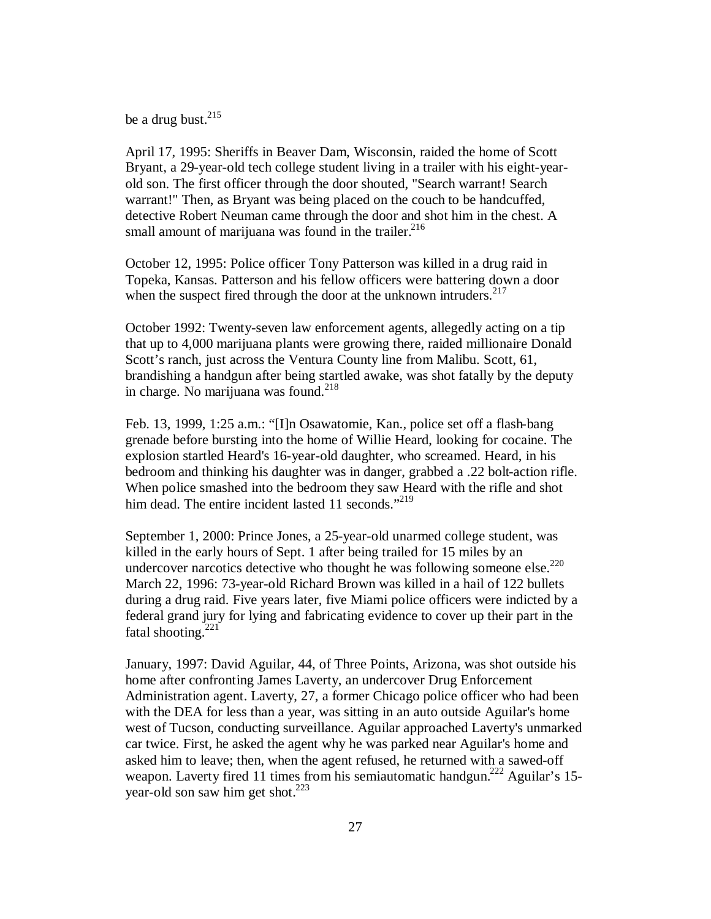be a drug bust. $^{215}$ 

April 17, 1995: Sheriffs in Beaver Dam, Wisconsin, raided the home of Scott Bryant, a 29-year-old tech college student living in a trailer with his eight-yearold son. The first officer through the door shouted, "Search warrant! Search warrant!" Then, as Bryant was being placed on the couch to be handcuffed, detective Robert Neuman came through the door and shot him in the chest. A small amount of marijuana was found in the trailer. $216$ 

October 12, 1995: Police officer Tony Patterson was killed in a drug raid in Topeka, Kansas. Patterson and his fellow officers were battering down a door when the suspect fired through the door at the unknown intruders.  $217$ 

October 1992: Twenty-seven law enforcement agents, allegedly acting on a tip that up to 4,000 marijuana plants were growing there, raided millionaire Donald Scott's ranch, just across the Ventura County line from Malibu. Scott, 61, brandishing a handgun after being startled awake, was shot fatally by the deputy in charge. No marijuana was found.<sup>218</sup>

Feb. 13, 1999, 1:25 a.m.: "[I]n Osawatomie, Kan., police set off a flash-bang grenade before bursting into the home of Willie Heard, looking for cocaine. The explosion startled Heard's 16-year-old daughter, who screamed. Heard, in his bedroom and thinking his daughter was in danger, grabbed a .22 bolt-action rifle. When police smashed into the bedroom they saw Heard with the rifle and shot him dead. The entire incident lasted 11 seconds."<sup>219</sup>

September 1, 2000: Prince Jones, a 25-year-old unarmed college student, was killed in the early hours of Sept. 1 after being trailed for 15 miles by an undercover narcotics detective who thought he was following someone else.<sup>220</sup> March 22, 1996: 73-year-old Richard Brown was killed in a hail of 122 bullets during a drug raid. Five years later, five Miami police officers were indicted by a federal grand jury for lying and fabricating evidence to cover up their part in the fatal shooting. $221$ 

January, 1997: David Aguilar, 44, of Three Points, Arizona, was shot outside his home after confronting James Laverty, an undercover Drug Enforcement Administration agent. Laverty, 27, a former Chicago police officer who had been with the DEA for less than a year, was sitting in an auto outside Aguilar's home west of Tucson, conducting surveillance. Aguilar approached Laverty's unmarked car twice. First, he asked the agent why he was parked near Aguilar's home and asked him to leave; then, when the agent refused, he returned with a sawed-off weapon. Laverty fired 11 times from his semiautomatic handgun.<sup>222</sup> Aguilar's 15year-old son saw him get shot.<sup>223</sup>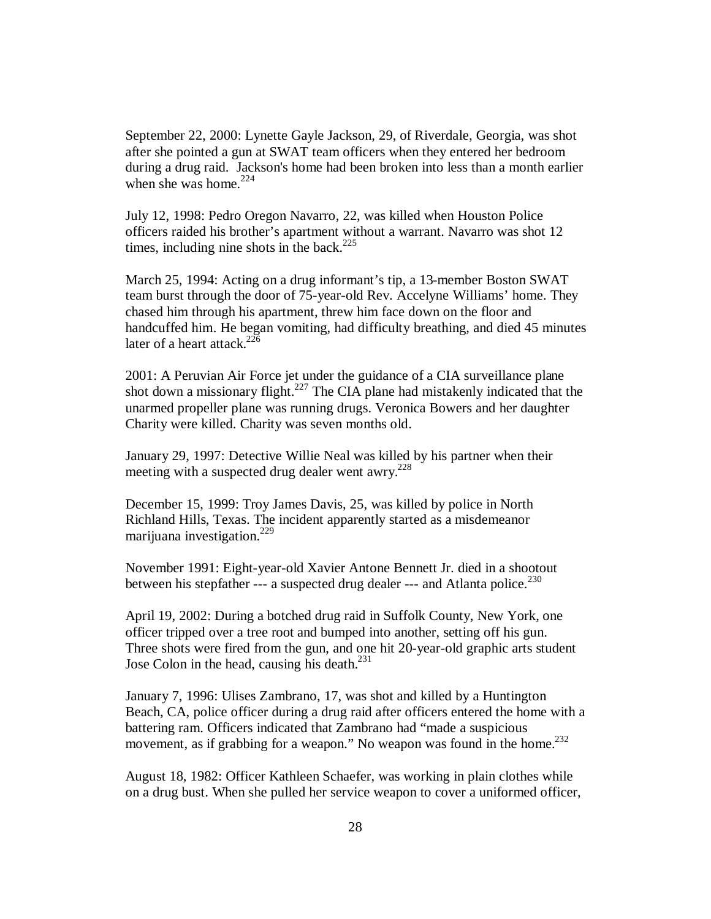September 22, 2000: Lynette Gayle Jackson, 29, of Riverdale, Georgia, was shot after she pointed a gun at SWAT team officers when they entered her bedroom during a drug raid. Jackson's home had been broken into less than a month earlier when she was home. $224$ 

July 12, 1998: Pedro Oregon Navarro, 22, was killed when Houston Police officers raided his brother's apartment without a warrant. Navarro was shot 12 times, including nine shots in the back.<sup>225</sup>

March 25, 1994: Acting on a drug informant's tip, a 13-member Boston SWAT team burst through the door of 75-year-old Rev. Accelyne Williams' home. They chased him through his apartment, threw him face down on the floor and handcuffed him. He began vomiting, had difficulty breathing, and died 45 minutes later of a heart attack.<sup>226</sup>

2001: A Peruvian Air Force jet under the guidance of a CIA surveillance plane shot down a missionary flight.<sup>227</sup> The CIA plane had mistakenly indicated that the unarmed propeller plane was running drugs. Veronica Bowers and her daughter Charity were killed. Charity was seven months old.

January 29, 1997: Detective Willie Neal was killed by his partner when their meeting with a suspected drug dealer went awry. $228$ 

December 15, 1999: Troy James Davis, 25, was killed by police in North Richland Hills, Texas. The incident apparently started as a misdemeanor marijuana investigation.<sup>229</sup>

November 1991: Eight-year-old Xavier Antone Bennett Jr. died in a shootout between his stepfather --- a suspected drug dealer --- and Atlanta police.<sup>230</sup>

April 19, 2002: During a botched drug raid in Suffolk County, New York, one officer tripped over a tree root and bumped into another, setting off his gun. Three shots were fired from the gun, and one hit 20-year-old graphic arts student Jose Colon in the head, causing his death.<sup>231</sup>

January 7, 1996: Ulises Zambrano, 17, was shot and killed by a Huntington Beach, CA, police officer during a drug raid after officers entered the home with a battering ram. Officers indicated that Zambrano had "made a suspicious movement, as if grabbing for a weapon." No weapon was found in the home. $^{232}$ 

August 18, 1982: Officer Kathleen Schaefer, was working in plain clothes while on a drug bust. When she pulled her service weapon to cover a uniformed officer,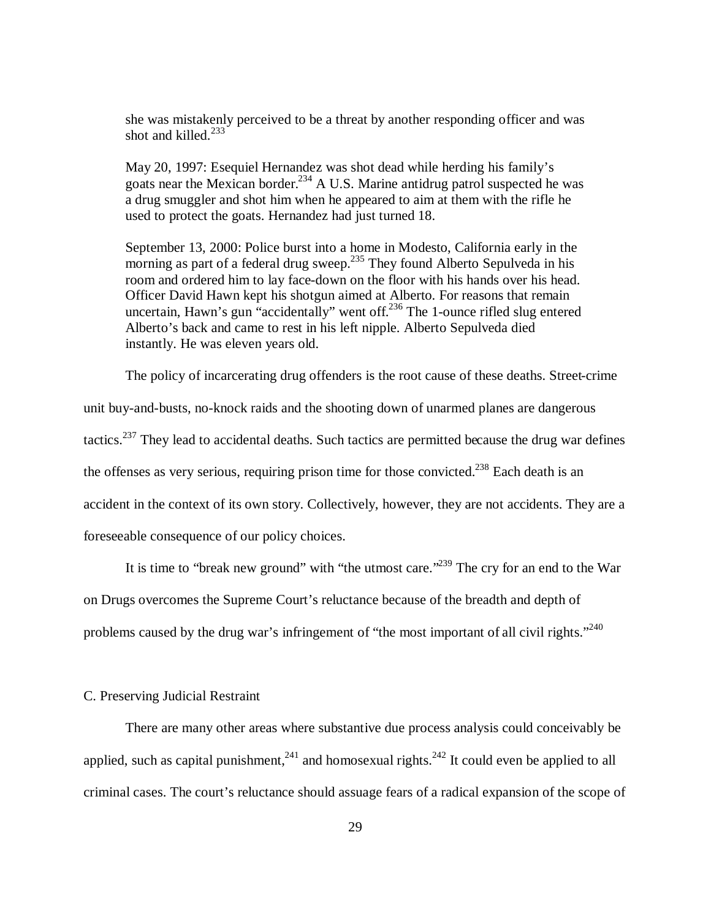she was mistakenly perceived to be a threat by another responding officer and was shot and killed. $233$ 

May 20, 1997: Esequiel Hernandez was shot dead while herding his family's goats near the Mexican border.<sup>234</sup> A U.S. Marine antidrug patrol suspected he was a drug smuggler and shot him when he appeared to aim at them with the rifle he used to protect the goats. Hernandez had just turned 18.

September 13, 2000: Police burst into a home in Modesto, California early in the morning as part of a federal drug sweep.<sup>235</sup> They found Alberto Sepulveda in his room and ordered him to lay face-down on the floor with his hands over his head. Officer David Hawn kept his shotgun aimed at Alberto. For reasons that remain uncertain, Hawn's gun "accidentally" went off.<sup>236</sup> The 1-ounce rifled slug entered Alberto's back and came to rest in his left nipple. Alberto Sepulveda died instantly. He was eleven years old.

The policy of incarcerating drug offenders is the root cause of these deaths. Street-crime

unit buy-and-busts, no-knock raids and the shooting down of unarmed planes are dangerous tactics.<sup>237</sup> They lead to accidental deaths. Such tactics are permitted because the drug war defines the offenses as very serious, requiring prison time for those convicted.<sup>238</sup> Each death is an accident in the context of its own story. Collectively, however, they are not accidents. They are a foreseeable consequence of our policy choices.

It is time to "break new ground" with "the utmost care."<sup>239</sup> The cry for an end to the War on Drugs overcomes the Supreme Court's reluctance because of the breadth and depth of problems caused by the drug war's infringement of "the most important of all civil rights."<sup>240</sup>

# C. Preserving Judicial Restraint

There are many other areas where substantive due process analysis could conceivably be applied, such as capital punishment,  $241$  and homosexual rights.  $242$  It could even be applied to all criminal cases. The court's reluctance should assuage fears of a radical expansion of the scope of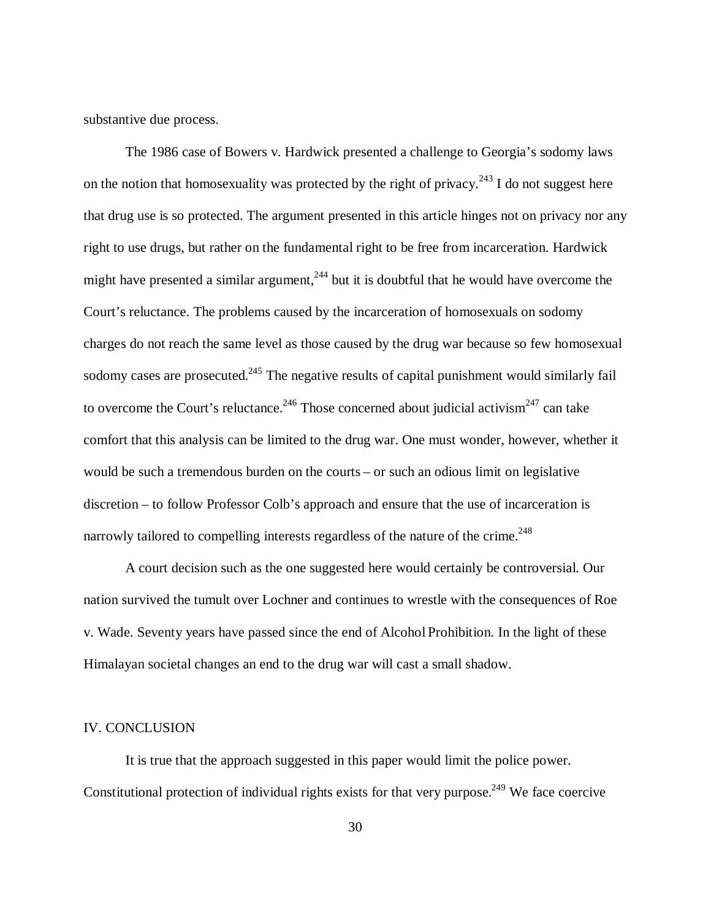substantive due process.

The 1986 case of Bowers v. Hardwick presented a challenge to Georgia's sodomy laws on the notion that homosexuality was protected by the right of privacy.<sup>243</sup> I do not suggest here that drug use is so protected. The argument presented in this article hinges not on privacy nor any right to use drugs, but rather on the fundamental right to be free from incarceration. Hardwick might have presented a similar argument,  $244$  but it is doubtful that he would have overcome the Court's reluctance. The problems caused by the incarceration of homosexuals on sodomy charges do not reach the same level as those caused by the drug war because so few homosexual sodomy cases are prosecuted.<sup>245</sup> The negative results of capital punishment would similarly fail to overcome the Court's reluctance.<sup>246</sup> Those concerned about judicial activism<sup>247</sup> can take comfort that this analysis can be limited to the drug war. One must wonder, however, whether it would be such a tremendous burden on the courts – or such an odious limit on legislative discretion – to follow Professor Colb's approach and ensure that the use of incarceration is narrowly tailored to compelling interests regardless of the nature of the crime.<sup>248</sup>

A court decision such as the one suggested here would certainly be controversial. Our nation survived the tumult over Lochner and continues to wrestle with the consequences of Roe v. Wade. Seventy years have passed since the end of Alcohol Prohibition. In the light of these Himalayan societal changes an end to the drug war will cast a small shadow.

# IV. CONCLUSION

It is true that the approach suggested in this paper would limit the police power. Constitutional protection of individual rights exists for that very purpose.<sup>249</sup> We face coercive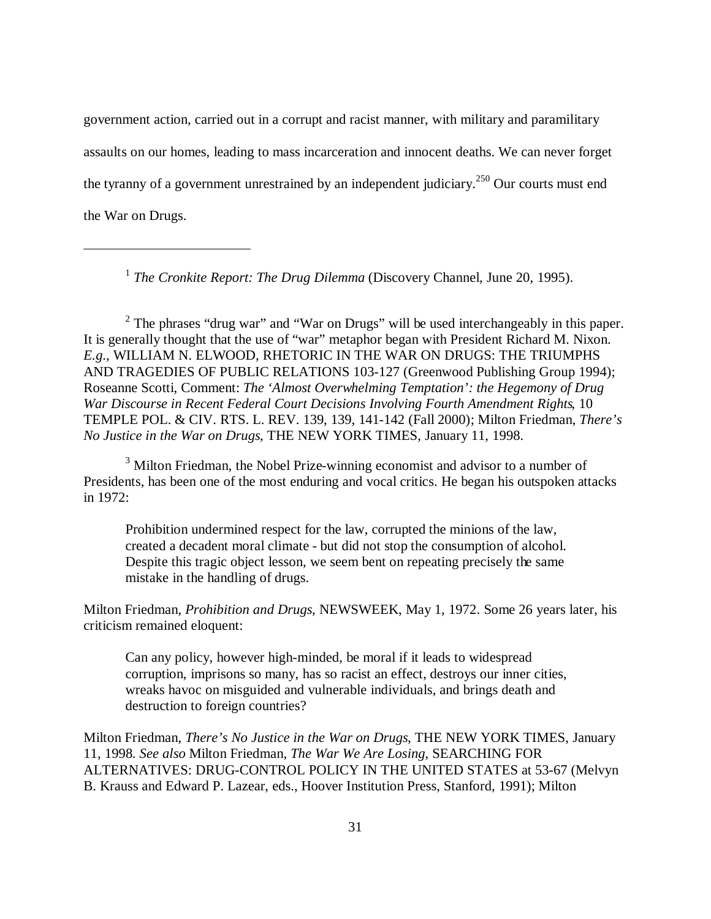government action, carried out in a corrupt and racist manner, with military and paramilitary assaults on our homes, leading to mass incarceration and innocent deaths. We can never forget the tyranny of a government unrestrained by an independent judiciary.<sup>250</sup> Our courts must end the War on Drugs.

<sup>1</sup> The Cronkite Report: The Drug Dilemma (Discovery Channel, June 20, 1995).

 $\overline{a}$ 

<sup>2</sup> The phrases "drug war" and "War on Drugs" will be used interchangeably in this paper. It is generally thought that the use of "war" metaphor began with President Richard M. Nixon. *E.g.,* WILLIAM N. ELWOOD, RHETORIC IN THE WAR ON DRUGS: THE TRIUMPHS AND TRAGEDIES OF PUBLIC RELATIONS 103-127 (Greenwood Publishing Group 1994); Roseanne Scotti, Comment: *The 'Almost Overwhelming Temptation': the Hegemony of Drug War Discourse in Recent Federal Court Decisions Involving Fourth Amendment Rights*, 10 TEMPLE POL. & CIV. RTS. L. REV. 139, 139, 141-142 (Fall 2000); Milton Friedman, *There's No Justice in the War on Drugs*, THE NEW YORK TIMES, January 11, 1998.

<sup>3</sup> Milton Friedman, the Nobel Prize-winning economist and advisor to a number of Presidents, has been one of the most enduring and vocal critics. He began his outspoken attacks in 1972:

Prohibition undermined respect for the law, corrupted the minions of the law, created a decadent moral climate - but did not stop the consumption of alcohol. Despite this tragic object lesson, we seem bent on repeating precisely the same mistake in the handling of drugs.

Milton Friedman, *Prohibition and Drugs*, NEWSWEEK, May 1, 1972. Some 26 years later, his criticism remained eloquent:

Can any policy, however high-minded, be moral if it leads to widespread corruption, imprisons so many, has so racist an effect, destroys our inner cities, wreaks havoc on misguided and vulnerable individuals, and brings death and destruction to foreign countries?

Milton Friedman, *There's No Justice in the War on Drugs*, THE NEW YORK TIMES, January 11, 1998. *See also* Milton Friedman, *The War We Are Losing*, SEARCHING FOR ALTERNATIVES: DRUG-CONTROL POLICY IN THE UNITED STATES at 53-67 (Melvyn B. Krauss and Edward P. Lazear, eds., Hoover Institution Press, Stanford, 1991); Milton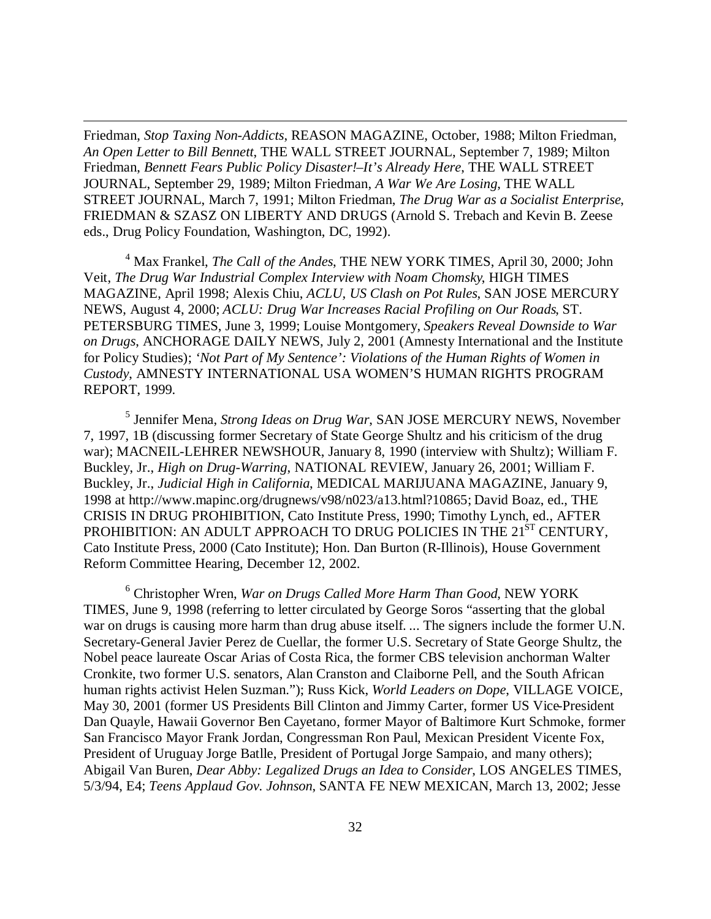Friedman, *Stop Taxing Non-Addicts*, REASON MAGAZINE, October, 1988; Milton Friedman, *An Open Letter to Bill Bennett*, THE WALL STREET JOURNAL, September 7, 1989; Milton Friedman, *Bennett Fears Public Policy Disaster!–It's Already Here*, THE WALL STREET JOURNAL, September 29, 1989; Milton Friedman, *A War We Are Losing*, THE WALL STREET JOURNAL, March 7, 1991; Milton Friedman, *The Drug War as a Socialist Enterprise*, FRIEDMAN & SZASZ ON LIBERTY AND DRUGS (Arnold S. Trebach and Kevin B. Zeese eds., Drug Policy Foundation, Washington, DC, 1992).

 $\overline{a}$ 

4 Max Frankel, *The Call of the Andes*, THE NEW YORK TIMES, April 30, 2000; John Veit, *The Drug War Industrial Complex Interview with Noam Chomsky*, HIGH TIMES MAGAZINE, April 1998; Alexis Chiu, *ACLU, US Clash on Pot Rules*, SAN JOSE MERCURY NEWS, August 4, 2000; *ACLU: Drug War Increases Racial Profiling on Our Roads*, ST. PETERSBURG TIMES, June 3, 1999; Louise Montgomery, *Speakers Reveal Downside to War on Drugs*, ANCHORAGE DAILY NEWS, July 2, 2001 (Amnesty International and the Institute for Policy Studies); *'Not Part of My Sentence': Violations of the Human Rights of Women in Custody*, AMNESTY INTERNATIONAL USA WOMEN'S HUMAN RIGHTS PROGRAM REPORT, 1999.

5 Jennifer Mena, *Strong Ideas on Drug War*, SAN JOSE MERCURY NEWS, November 7, 1997, 1B (discussing former Secretary of State George Shultz and his criticism of the drug war); MACNEIL-LEHRER NEWSHOUR, January 8, 1990 (interview with Shultz); William F. Buckley, Jr., *High on Drug-Warring*, NATIONAL REVIEW, January 26, 2001; William F. Buckley, Jr., *Judicial High in California*, MEDICAL MARIJUANA MAGAZINE, January 9, 1998 at http://www.mapinc.org/drugnews/v98/n023/a13.html?10865; David Boaz, ed., THE CRISIS IN DRUG PROHIBITION, Cato Institute Press, 1990; Timothy Lynch, ed., AFTER PROHIBITION: AN ADULT APPROACH TO DRUG POLICIES IN THE 21<sup>ST</sup> CENTURY, Cato Institute Press, 2000 (Cato Institute); Hon. Dan Burton (R-Illinois), House Government Reform Committee Hearing, December 12, 2002.

6 Christopher Wren, *War on Drugs Called More Harm Than Good*, NEW YORK TIMES, June 9, 1998 (referring to letter circulated by George Soros "asserting that the global war on drugs is causing more harm than drug abuse itself. ... The signers include the former U.N. Secretary-General Javier Perez de Cuellar, the former U.S. Secretary of State George Shultz, the Nobel peace laureate Oscar Arias of Costa Rica, the former CBS television anchorman Walter Cronkite, two former U.S. senators, Alan Cranston and Claiborne Pell, and the South African human rights activist Helen Suzman."); Russ Kick, *World Leaders on Dope*, VILLAGE VOICE, May 30, 2001 (former US Presidents Bill Clinton and Jimmy Carter, former US Vice-President Dan Quayle, Hawaii Governor Ben Cayetano, former Mayor of Baltimore Kurt Schmoke, former San Francisco Mayor Frank Jordan, Congressman Ron Paul, Mexican President Vicente Fox, President of Uruguay Jorge Batlle, President of Portugal Jorge Sampaio, and many others); Abigail Van Buren, *Dear Abby: Legalized Drugs an Idea to Consider*, LOS ANGELES TIMES, 5/3/94, E4; *Teens Applaud Gov. Johnson*, SANTA FE NEW MEXICAN, March 13, 2002; Jesse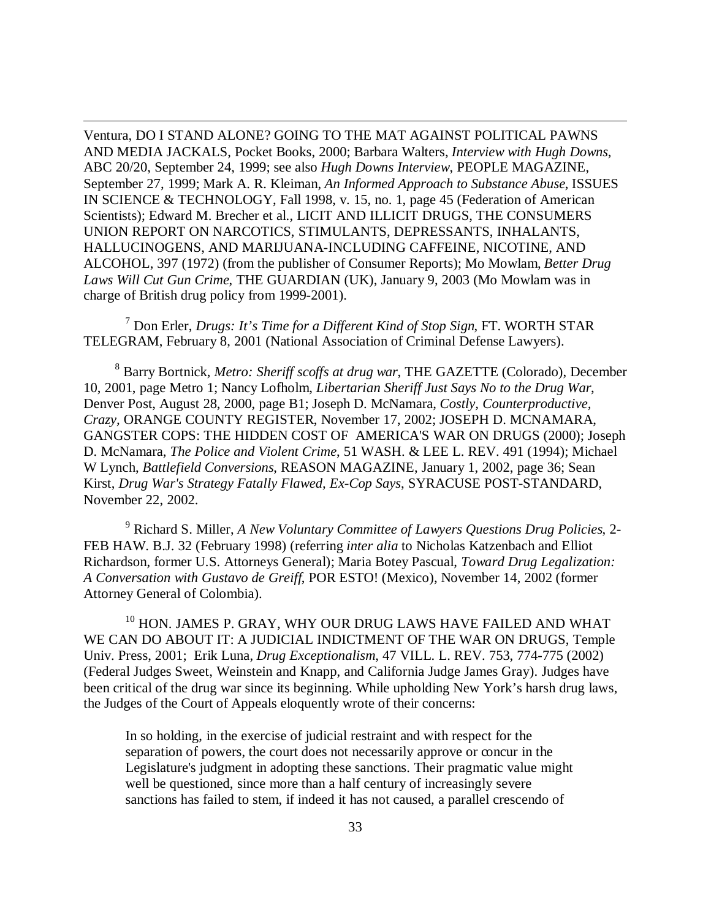Ventura, DO I STAND ALONE? GOING TO THE MAT AGAINST POLITICAL PAWNS AND MEDIA JACKALS, Pocket Books, 2000; Barbara Walters, *Interview with Hugh Downs*, ABC 20/20, September 24, 1999; see also *Hugh Downs Interview*, PEOPLE MAGAZINE, September 27, 1999; Mark A. R. Kleiman, *An Informed Approach to Substance Abuse*, ISSUES IN SCIENCE & TECHNOLOGY, Fall 1998, v. 15, no. 1, page 45 (Federation of American Scientists); Edward M. Brecher et al., LICIT AND ILLICIT DRUGS, THE CONSUMERS UNION REPORT ON NARCOTICS, STIMULANTS, DEPRESSANTS, INHALANTS, HALLUCINOGENS, AND MARIJUANA-INCLUDING CAFFEINE, NICOTINE, AND ALCOHOL, 397 (1972) (from the publisher of Consumer Reports); Mo Mowlam, *Better Drug Laws Will Cut Gun Crime*, THE GUARDIAN (UK), January 9, 2003 (Mo Mowlam was in charge of British drug policy from 1999-2001).

 $\overline{a}$ 

7 Don Erler, *Drugs: It's Time for a Different Kind of Stop Sign*, FT. WORTH STAR TELEGRAM, February 8, 2001 (National Association of Criminal Defense Lawyers).

8 Barry Bortnick, *Metro: Sheriff scoffs at drug war*, THE GAZETTE (Colorado), December 10, 2001, page Metro 1; Nancy Lofholm, *Libertarian Sheriff Just Says No to the Drug War*, Denver Post, August 28, 2000, page B1; Joseph D. McNamara, *Costly, Counterproductive, Crazy,* ORANGE COUNTY REGISTER, November 17, 2002; JOSEPH D. MCNAMARA, GANGSTER COPS: THE HIDDEN COST OF AMERICA'S WAR ON DRUGS (2000); Joseph D. McNamara, *The Police and Violent Crime*, 51 WASH. & LEE L. REV. 491 (1994); Michael W Lynch, *Battlefield Conversions*, REASON MAGAZINE, January 1, 2002, page 36; Sean Kirst, *Drug War's Strategy Fatally Flawed, Ex-Cop Says*, SYRACUSE POST-STANDARD, November 22, 2002.

9 Richard S. Miller, *A New Voluntary Committee of Lawyers Questions Drug Policies*, 2- FEB HAW. B.J. 32 (February 1998) (referring *inter alia* to Nicholas Katzenbach and Elliot Richardson, former U.S. Attorneys General); Maria Botey Pascual, *Toward Drug Legalization: A Conversation with Gustavo de Greiff*, POR ESTO! (Mexico), November 14, 2002 (former Attorney General of Colombia).

<sup>10</sup> HON. JAMES P. GRAY, WHY OUR DRUG LAWS HAVE FAILED AND WHAT WE CAN DO ABOUT IT: A JUDICIAL INDICTMENT OF THE WAR ON DRUGS, Temple Univ. Press, 2001; Erik Luna, *Drug Exceptionalism*, 47 VILL. L. REV. 753, 774-775 (2002) (Federal Judges Sweet, Weinstein and Knapp, and California Judge James Gray). Judges have been critical of the drug war since its beginning. While upholding New York's harsh drug laws, the Judges of the Court of Appeals eloquently wrote of their concerns:

In so holding, in the exercise of judicial restraint and with respect for the separation of powers, the court does not necessarily approve or concur in the Legislature's judgment in adopting these sanctions. Their pragmatic value might well be questioned, since more than a half century of increasingly severe sanctions has failed to stem, if indeed it has not caused, a parallel crescendo of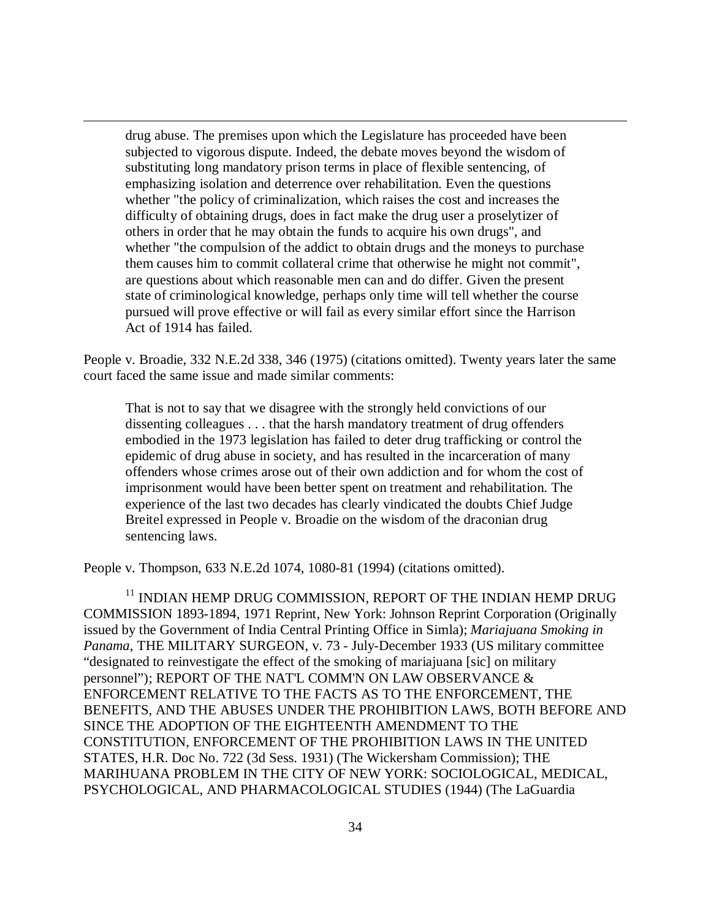drug abuse. The premises upon which the Legislature has proceeded have been subjected to vigorous dispute. Indeed, the debate moves beyond the wisdom of substituting long mandatory prison terms in place of flexible sentencing, of emphasizing isolation and deterrence over rehabilitation. Even the questions whether "the policy of criminalization, which raises the cost and increases the difficulty of obtaining drugs, does in fact make the drug user a proselytizer of others in order that he may obtain the funds to acquire his own drugs", and whether "the compulsion of the addict to obtain drugs and the moneys to purchase them causes him to commit collateral crime that otherwise he might not commit", are questions about which reasonable men can and do differ. Given the present state of criminological knowledge, perhaps only time will tell whether the course pursued will prove effective or will fail as every similar effort since the Harrison Act of 1914 has failed.

 $\overline{a}$ 

People v. Broadie, 332 N.E.2d 338, 346 (1975) (citations omitted). Twenty years later the same court faced the same issue and made similar comments:

That is not to say that we disagree with the strongly held convictions of our dissenting colleagues . . . that the harsh mandatory treatment of drug offenders embodied in the 1973 legislation has failed to deter drug trafficking or control the epidemic of drug abuse in society, and has resulted in the incarceration of many offenders whose crimes arose out of their own addiction and for whom the cost of imprisonment would have been better spent on treatment and rehabilitation. The experience of the last two decades has clearly vindicated the doubts Chief Judge Breitel expressed in People v. Broadie on the wisdom of the draconian drug sentencing laws.

People v. Thompson, 633 N.E.2d 1074, 1080-81 (1994) (citations omitted).

 $^{11}$  INDIAN HEMP DRUG COMMISSION, REPORT OF THE INDIAN HEMP DRUG  $\,$ COMMISSION 1893-1894, 1971 Reprint, New York: Johnson Reprint Corporation (Originally issued by the Government of India Central Printing Office in Simla); *Mariajuana Smoking in Panama*, THE MILITARY SURGEON, v. 73 - July-December 1933 (US military committee "designated to reinvestigate the effect of the smoking of mariajuana [sic] on military personnel"); REPORT OF THE NAT'L COMM'N ON LAW OBSERVANCE & ENFORCEMENT RELATIVE TO THE FACTS AS TO THE ENFORCEMENT, THE BENEFITS, AND THE ABUSES UNDER THE PROHIBITION LAWS, BOTH BEFORE AND SINCE THE ADOPTION OF THE EIGHTEENTH AMENDMENT TO THE CONSTITUTION, ENFORCEMENT OF THE PROHIBITION LAWS IN THE UNITED STATES, H.R. Doc No. 722 (3d Sess. 1931) (The Wickersham Commission); THE MARIHUANA PROBLEM IN THE CITY OF NEW YORK: SOCIOLOGICAL, MEDICAL, PSYCHOLOGICAL, AND PHARMACOLOGICAL STUDIES (1944) (The LaGuardia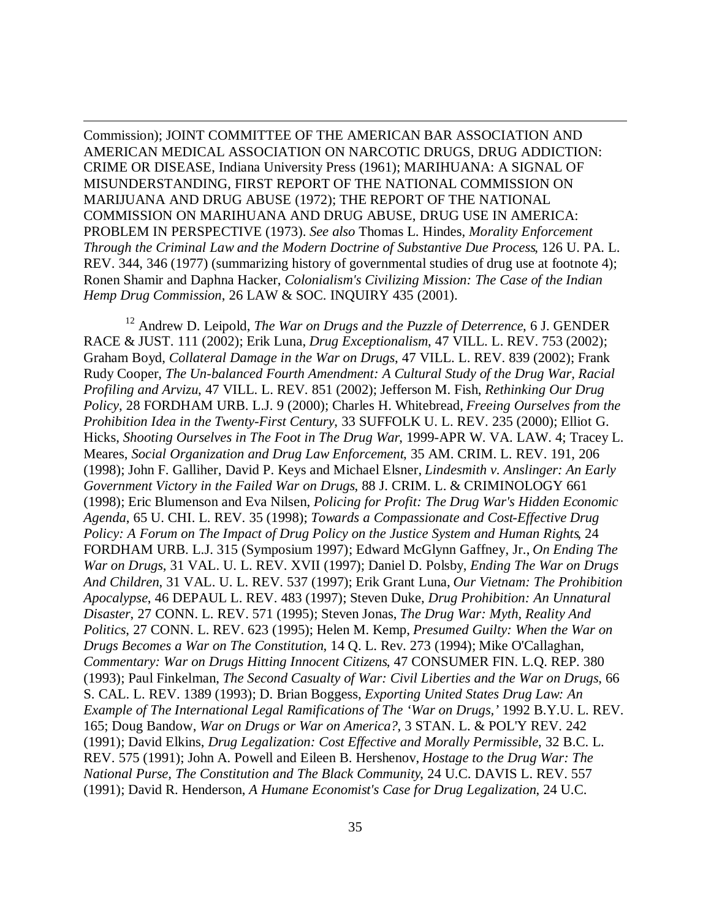Commission); JOINT COMMITTEE OF THE AMERICAN BAR ASSOCIATION AND AMERICAN MEDICAL ASSOCIATION ON NARCOTIC DRUGS, DRUG ADDICTION: CRIME OR DISEASE, Indiana University Press (1961); MARIHUANA: A SIGNAL OF MISUNDERSTANDING, FIRST REPORT OF THE NATIONAL COMMISSION ON MARIJUANA AND DRUG ABUSE (1972); THE REPORT OF THE NATIONAL COMMISSION ON MARIHUANA AND DRUG ABUSE, DRUG USE IN AMERICA: PROBLEM IN PERSPECTIVE (1973). *See also* Thomas L. Hindes, *Morality Enforcement Through the Criminal Law and the Modern Doctrine of Substantive Due Process*, 126 U. PA. L. REV. 344, 346 (1977) (summarizing history of governmental studies of drug use at footnote 4); Ronen Shamir and Daphna Hacker, *Colonialism's Civilizing Mission: The Case of the Indian Hemp Drug Commission*, 26 LAW & SOC. INQUIRY 435 (2001).

 $\overline{a}$ 

<sup>12</sup> Andrew D. Leipold, *The War on Drugs and the Puzzle of Deterrence*, 6 J. GENDER RACE & JUST. 111 (2002); Erik Luna, *Drug Exceptionalism*, 47 VILL. L. REV. 753 (2002); Graham Boyd, *Collateral Damage in the War on Drugs*, 47 VILL. L. REV. 839 (2002); Frank Rudy Cooper, *The Un-balanced Fourth Amendment: A Cultural Study of the Drug War, Racial Profiling and Arvizu*, 47 VILL. L. REV. 851 (2002); Jefferson M. Fish, *Rethinking Our Drug Policy*, 28 FORDHAM URB. L.J. 9 (2000); Charles H. Whitebread, *Freeing Ourselves from the Prohibition Idea in the Twenty-First Century*, 33 SUFFOLK U. L. REV. 235 (2000); Elliot G. Hicks, *Shooting Ourselves in The Foot in The Drug War*, 1999-APR W. VA. LAW. 4; Tracey L. Meares, *Social Organization and Drug Law Enforcement*, 35 AM. CRIM. L. REV. 191, 206 (1998); John F. Galliher, David P. Keys and Michael Elsner, *Lindesmith v. Anslinger: An Early Government Victory in the Failed War on Drugs*, 88 J. CRIM. L. & CRIMINOLOGY 661 (1998); Eric Blumenson and Eva Nilsen, *Policing for Profit: The Drug War's Hidden Economic Agenda*, 65 U. CHI. L. REV. 35 (1998); *Towards a Compassionate and Cost-Effective Drug Policy: A Forum on The Impact of Drug Policy on the Justice System and Human Rights*, 24 FORDHAM URB. L.J. 315 (Symposium 1997); Edward McGlynn Gaffney, Jr., *On Ending The War on Drugs*, 31 VAL. U. L. REV. XVII (1997); Daniel D. Polsby, *Ending The War on Drugs And Children*, 31 VAL. U. L. REV. 537 (1997); Erik Grant Luna, *Our Vietnam: The Prohibition Apocalypse*, 46 DEPAUL L. REV. 483 (1997); Steven Duke, *Drug Prohibition: An Unnatural Disaster*, 27 CONN. L. REV. 571 (1995); Steven Jonas, *The Drug War: Myth, Reality And Politics*, 27 CONN. L. REV. 623 (1995); Helen M. Kemp, *Presumed Guilty: When the War on Drugs Becomes a War on The Constitution*, 14 Q. L. Rev. 273 (1994); Mike O'Callaghan, *Commentary: War on Drugs Hitting Innocent Citizens*, 47 CONSUMER FIN. L.Q. REP. 380 (1993); Paul Finkelman, *The Second Casualty of War: Civil Liberties and the War on Drugs*, 66 S. CAL. L. REV. 1389 (1993); D. Brian Boggess, *Exporting United States Drug Law: An Example of The International Legal Ramifications of The 'War on Drugs,'* 1992 B.Y.U. L. REV. 165; Doug Bandow, *War on Drugs or War on America?*, 3 STAN. L. & POL'Y REV. 242 (1991); David Elkins, *Drug Legalization: Cost Effective and Morally Permissible*, 32 B.C. L. REV. 575 (1991); John A. Powell and Eileen B. Hershenov, *Hostage to the Drug War: The National Purse, The Constitution and The Black Community*, 24 U.C. DAVIS L. REV. 557 (1991); David R. Henderson, *A Humane Economist's Case for Drug Legalization*, 24 U.C.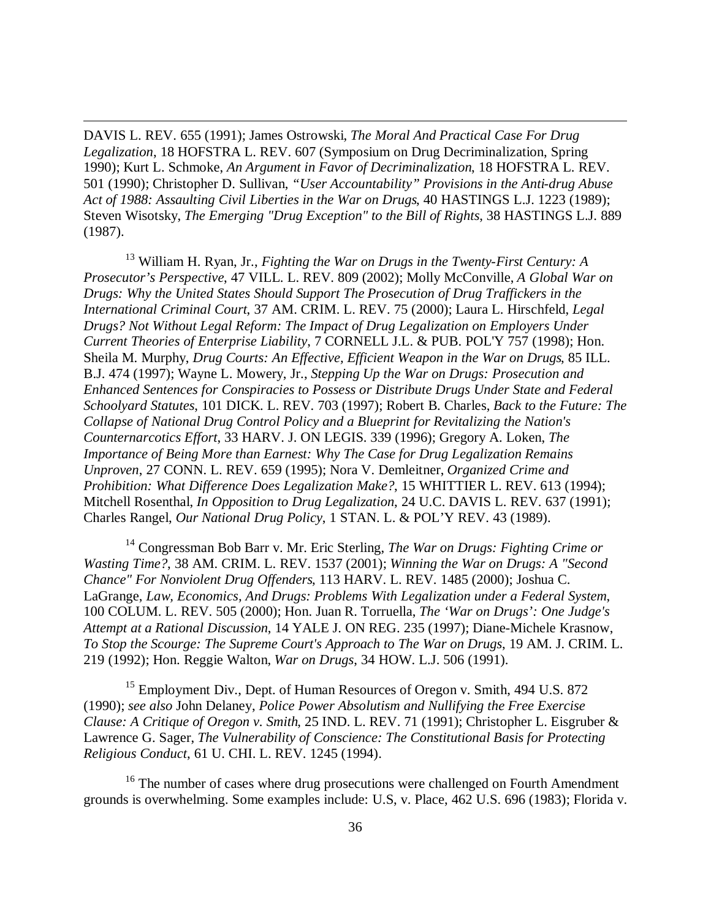DAVIS L. REV. 655 (1991); James Ostrowski, *The Moral And Practical Case For Drug Legalization*, 18 HOFSTRA L. REV. 607 (Symposium on Drug Decriminalization, Spring 1990); Kurt L. Schmoke, *An Argument in Favor of Decriminalization*, 18 HOFSTRA L. REV. 501 (1990); Christopher D. Sullivan, *"User Accountability" Provisions in the Anti-drug Abuse Act of 1988: Assaulting Civil Liberties in the War on Drugs*, 40 HASTINGS L.J. 1223 (1989); Steven Wisotsky, *The Emerging "Drug Exception" to the Bill of Rights*, 38 HASTINGS L.J. 889 (1987).

 $\overline{a}$ 

<sup>13</sup> William H. Ryan, Jr., *Fighting the War on Drugs in the Twenty-First Century: A Prosecutor's Perspective*, 47 VILL. L. REV. 809 (2002); Molly McConville, *A Global War on Drugs: Why the United States Should Support The Prosecution of Drug Traffickers in the International Criminal Court*, 37 AM. CRIM. L. REV. 75 (2000); Laura L. Hirschfeld, *Legal Drugs? Not Without Legal Reform: The Impact of Drug Legalization on Employers Under Current Theories of Enterprise Liability*, 7 CORNELL J.L. & PUB. POL'Y 757 (1998); Hon. Sheila M. Murphy, *Drug Courts: An Effective, Efficient Weapon in the War on Drugs*, 85 ILL. B.J. 474 (1997); Wayne L. Mowery, Jr., *Stepping Up the War on Drugs: Prosecution and Enhanced Sentences for Conspiracies to Possess or Distribute Drugs Under State and Federal Schoolyard Statutes*, 101 DICK. L. REV. 703 (1997); Robert B. Charles, *Back to the Future: The Collapse of National Drug Control Policy and a Blueprint for Revitalizing the Nation's Counternarcotics Effort*, 33 HARV. J. ON LEGIS. 339 (1996); Gregory A. Loken, *The Importance of Being More than Earnest: Why The Case for Drug Legalization Remains Unproven*, 27 CONN. L. REV. 659 (1995); Nora V. Demleitner, *Organized Crime and Prohibition: What Difference Does Legalization Make?*, 15 WHITTIER L. REV. 613 (1994); Mitchell Rosenthal, *In Opposition to Drug Legalization*, 24 U.C. DAVIS L. REV. 637 (1991); Charles Rangel, *Our National Drug Policy*, 1 STAN. L. & POL'Y REV. 43 (1989).

<sup>14</sup> Congressman Bob Barr v. Mr. Eric Sterling, *The War on Drugs: Fighting Crime or Wasting Time?*, 38 AM. CRIM. L. REV. 1537 (2001); *Winning the War on Drugs: A "Second Chance" For Nonviolent Drug Offenders*, 113 HARV. L. REV. 1485 (2000); Joshua C. LaGrange, *Law, Economics, And Drugs: Problems With Legalization under a Federal System*, 100 COLUM. L. REV. 505 (2000); Hon. Juan R. Torruella, *The 'War on Drugs': One Judge's Attempt at a Rational Discussion*, 14 YALE J. ON REG. 235 (1997); Diane-Michele Krasnow, *To Stop the Scourge: The Supreme Court's Approach to The War on Drugs*, 19 AM. J. CRIM. L. 219 (1992); Hon. Reggie Walton, *War on Drugs*, 34 HOW. L.J. 506 (1991).

 $15$  Employment Div., Dept. of Human Resources of Oregon v. Smith, 494 U.S. 872 (1990); *see also* John Delaney, *Police Power Absolutism and Nullifying the Free Exercise Clause: A Critique of Oregon v. Smith*, 25 IND. L. REV. 71 (1991); Christopher L. Eisgruber & Lawrence G. Sager, *The Vulnerability of Conscience: The Constitutional Basis for Protecting Religious Conduct*, 61 U. CHI. L. REV. 1245 (1994).

 $16$  The number of cases where drug prosecutions were challenged on Fourth Amendment grounds is overwhelming. Some examples include: U.S, v. Place, 462 U.S. 696 (1983); Florida v.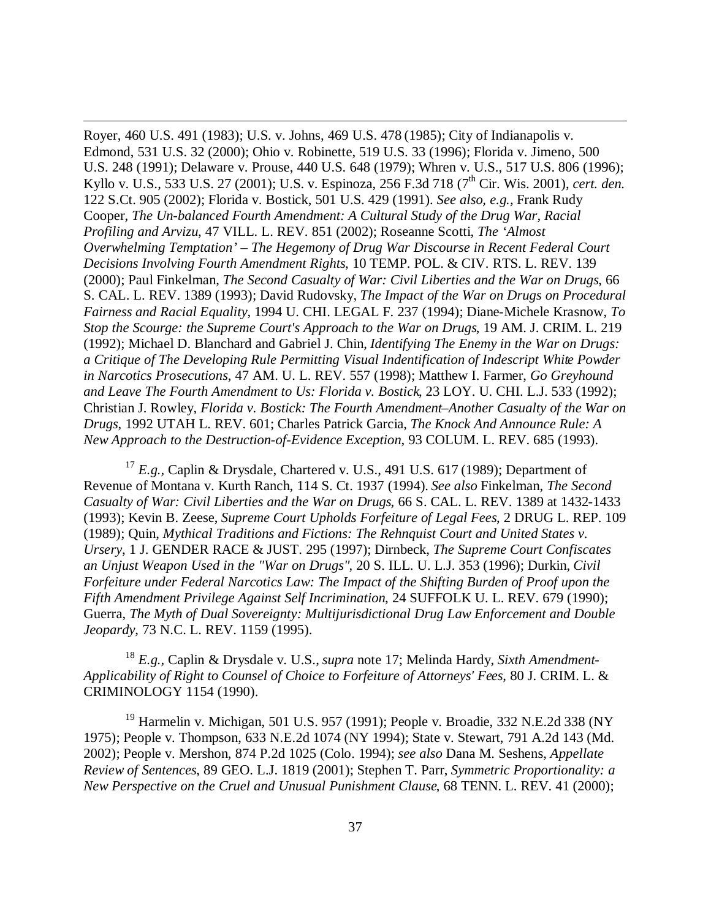Royer, 460 U.S. 491 (1983); U.S. v. Johns, 469 U.S. 478 (1985); City of Indianapolis v. Edmond, 531 U.S. 32 (2000); Ohio v. Robinette, 519 U.S. 33 (1996); Florida v. Jimeno, 500 U.S. 248 (1991); Delaware v. Prouse, 440 U.S. 648 (1979); Whren v. U.S., 517 U.S. 806 (1996); Kyllo v. U.S., 533 U.S. 27 (2001); U.S. v. Espinoza, 256 F.3d 718 (7<sup>th</sup> Cir. Wis. 2001), *cert. den.* 122 S.Ct. 905 (2002); Florida v. Bostick, 501 U.S. 429 (1991). *See also, e.g.,* Frank Rudy Cooper, *The Un-balanced Fourth Amendment: A Cultural Study of the Drug War, Racial Profiling and Arvizu*, 47 VILL. L. REV. 851 (2002); Roseanne Scotti, *The 'Almost Overwhelming Temptation' – The Hegemony of Drug War Discourse in Recent Federal Court Decisions Involving Fourth Amendment Rights*, 10 TEMP. POL. & CIV. RTS. L. REV. 139 (2000); Paul Finkelman, *The Second Casualty of War: Civil Liberties and the War on Drugs*, 66 S. CAL. L. REV. 1389 (1993); David Rudovsky, *The Impact of the War on Drugs on Procedural Fairness and Racial Equality*, 1994 U. CHI. LEGAL F. 237 (1994); Diane-Michele Krasnow, *To Stop the Scourge: the Supreme Court's Approach to the War on Drugs*, 19 AM. J. CRIM. L. 219 (1992); Michael D. Blanchard and Gabriel J. Chin, *Identifying The Enemy in the War on Drugs: a Critique of The Developing Rule Permitting Visual Indentification of Indescript White Powder in Narcotics Prosecutions*, 47 AM. U. L. REV. 557 (1998); Matthew I. Farmer, *Go Greyhound and Leave The Fourth Amendment to Us: Florida v. Bostick*, 23 LOY. U. CHI. L.J. 533 (1992); Christian J. Rowley, *Florida v. Bostick: The Fourth Amendment–Another Casualty of the War on Drugs*, 1992 UTAH L. REV. 601; Charles Patrick Garcia, *The Knock And Announce Rule: A New Approach to the Destruction-of-Evidence Exception*, 93 COLUM. L. REV. 685 (1993).

 $\overline{a}$ 

<sup>17</sup> *E.g.*, Caplin & Drysdale, Chartered v. U.S., 491 U.S. 617 (1989); Department of Revenue of Montana v. Kurth Ranch, 114 S. Ct. 1937 (1994). *See also* Finkelman, *The Second Casualty of War: Civil Liberties and the War on Drugs*, 66 S. CAL. L. REV. 1389 at 1432-1433 (1993); Kevin B. Zeese, *Supreme Court Upholds Forfeiture of Legal Fees*, 2 DRUG L. REP. 109 (1989); Quin, *Mythical Traditions and Fictions: The Rehnquist Court and United States v. Ursery*, 1 J. GENDER RACE & JUST. 295 (1997); Dirnbeck, *The Supreme Court Confiscates an Unjust Weapon Used in the "War on Drugs"*, 20 S. ILL. U. L.J. 353 (1996); Durkin, *Civil Forfeiture under Federal Narcotics Law: The Impact of the Shifting Burden of Proof upon the Fifth Amendment Privilege Against Self Incrimination*, 24 SUFFOLK U. L. REV. 679 (1990); Guerra, *The Myth of Dual Sovereignty: Multijurisdictional Drug Law Enforcement and Double Jeopardy*, 73 N.C. L. REV. 1159 (1995).

<sup>18</sup> *E.g.,* Caplin & Drysdale v. U.S., *supra* note 17; Melinda Hardy, *Sixth Amendment-Applicability of Right to Counsel of Choice to Forfeiture of Attorneys' Fees*, 80 J. CRIM. L. & CRIMINOLOGY 1154 (1990).

<sup>19</sup> Harmelin v. Michigan, 501 U.S. 957 (1991); People v. Broadie, 332 N.E.2d 338 (NY 1975); People v. Thompson, 633 N.E.2d 1074 (NY 1994); State v. Stewart, 791 A.2d 143 (Md. 2002); People v. Mershon, 874 P.2d 1025 (Colo. 1994); *see also* Dana M. Seshens, *Appellate Review of Sentences*, 89 GEO. L.J. 1819 (2001); Stephen T. Parr, *Symmetric Proportionality: a New Perspective on the Cruel and Unusual Punishment Clause*, 68 TENN. L. REV. 41 (2000);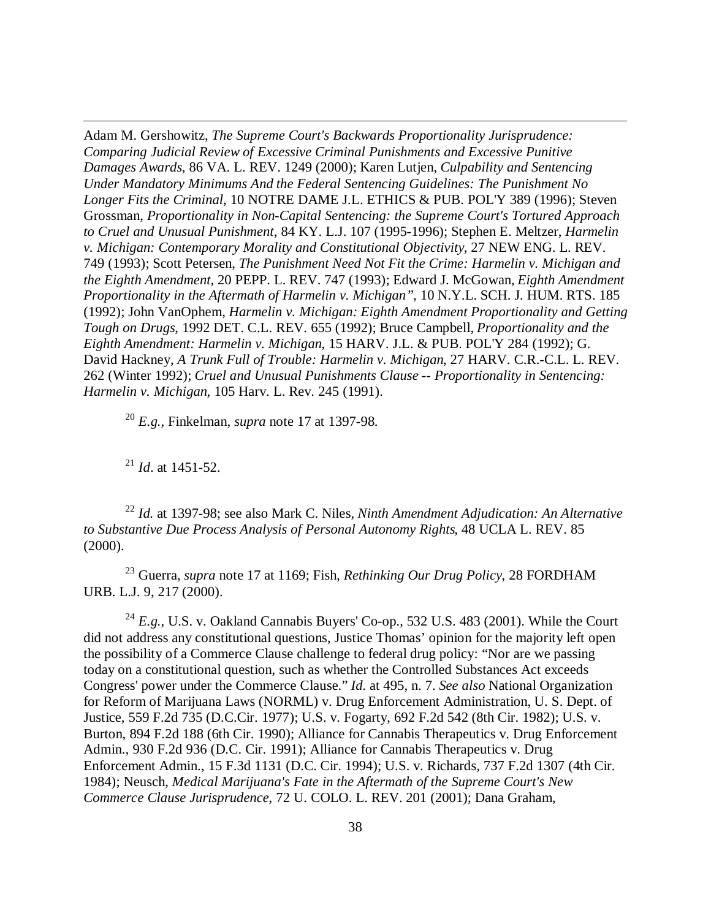Adam M. Gershowitz, *The Supreme Court's Backwards Proportionality Jurisprudence: Comparing Judicial Review of Excessive Criminal Punishments and Excessive Punitive Damages Awards*, 86 VA. L. REV. 1249 (2000); Karen Lutjen, *Culpability and Sentencing Under Mandatory Minimums And the Federal Sentencing Guidelines: The Punishment No Longer Fits the Criminal*, 10 NOTRE DAME J.L. ETHICS & PUB. POL'Y 389 (1996); Steven Grossman, *Proportionality in Non-Capital Sentencing: the Supreme Court's Tortured Approach to Cruel and Unusual Punishment*, 84 KY. L.J. 107 (1995-1996); Stephen E. Meltzer, *Harmelin v. Michigan: Contemporary Morality and Constitutional Objectivity*, 27 NEW ENG. L. REV. 749 (1993); Scott Petersen, *The Punishment Need Not Fit the Crime: Harmelin v. Michigan and the Eighth Amendment*, 20 PEPP. L. REV. 747 (1993); Edward J. McGowan, *Eighth Amendment Proportionality in the Aftermath of Harmelin v. Michigan"*, 10 N.Y.L. SCH. J. HUM. RTS. 185 (1992); John VanOphem, *Harmelin v. Michigan: Eighth Amendment Proportionality and Getting Tough on Drugs*, 1992 DET. C.L. REV. 655 (1992); Bruce Campbell, *Proportionality and the Eighth Amendment: Harmelin v. Michigan*, 15 HARV. J.L. & PUB. POL'Y 284 (1992); G. David Hackney, *A Trunk Full of Trouble: Harmelin v. Michigan*, 27 HARV. C.R.-C.L. L. REV. 262 (Winter 1992); *Cruel and Unusual Punishments Clause -- Proportionality in Sentencing: Harmelin v. Michigan*, 105 Harv. L. Rev. 245 (1991).

<sup>20</sup> *E.g.,* Finkelman, *supra* note 17 at 1397-98.

<sup>21</sup> *Id*. at 1451-52.

 $\overline{a}$ 

<sup>22</sup> *Id.* at 1397-98; see also Mark C. Niles, *Ninth Amendment Adjudication: An Alternative to Substantive Due Process Analysis of Personal Autonomy Rights*, 48 UCLA L. REV. 85 (2000).

<sup>23</sup> Guerra, *supra* note 17 at 1169; Fish, *Rethinking Our Drug Policy*, 28 FORDHAM URB. L.J. 9, 217 (2000).

<sup>24</sup> *E.g.*, U.S. v. Oakland Cannabis Buyers' Co-op., 532 U.S. 483 (2001). While the Court did not address any constitutional questions, Justice Thomas' opinion for the majority left open the possibility of a Commerce Clause challenge to federal drug policy: "Nor are we passing today on a constitutional question, such as whether the Controlled Substances Act exceeds Congress' power under the Commerce Clause." *Id.* at 495, n. 7. *See also* National Organization for Reform of Marijuana Laws (NORML) v. Drug Enforcement Administration, U. S. Dept. of Justice, 559 F.2d 735 (D.C.Cir. 1977); U.S. v. Fogarty, 692 F.2d 542 (8th Cir. 1982); U.S. v. Burton, 894 F.2d 188 (6th Cir. 1990); Alliance for Cannabis Therapeutics v. Drug Enforcement Admin., 930 F.2d 936 (D.C. Cir. 1991); Alliance for Cannabis Therapeutics v. Drug Enforcement Admin., 15 F.3d 1131 (D.C. Cir. 1994); U.S. v. Richards, 737 F.2d 1307 (4th Cir. 1984); Neusch, *Medical Marijuana's Fate in the Aftermath of the Supreme Court's New Commerce Clause Jurisprudence*, 72 U. COLO. L. REV. 201 (2001); Dana Graham,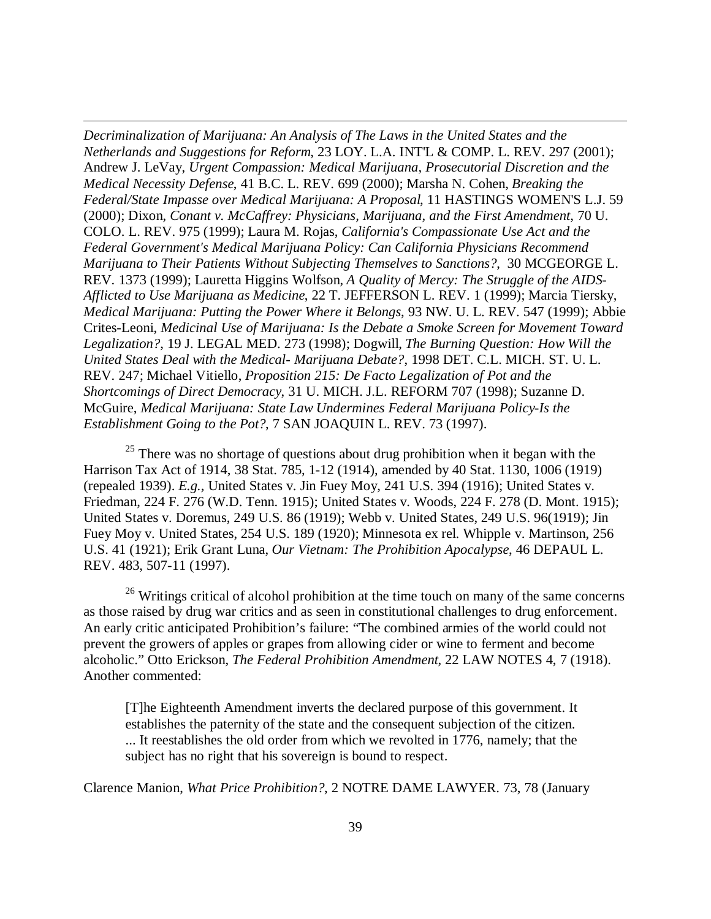*Decriminalization of Marijuana: An Analysis of The Laws in the United States and the Netherlands and Suggestions for Reform*, 23 LOY. L.A. INT'L & COMP. L. REV. 297 (2001); Andrew J. LeVay, *Urgent Compassion: Medical Marijuana, Prosecutorial Discretion and the Medical Necessity Defense*, 41 B.C. L. REV. 699 (2000); Marsha N. Cohen, *Breaking the Federal/State Impasse over Medical Marijuana: A Proposal*, 11 HASTINGS WOMEN'S L.J. 59 (2000); Dixon, *Conant v. McCaffrey: Physicians, Marijuana, and the First Amendment*, 70 U. COLO. L. REV. 975 (1999); Laura M. Rojas, *California's Compassionate Use Act and the Federal Government's Medical Marijuana Policy: Can California Physicians Recommend Marijuana to Their Patients Without Subjecting Themselves to Sanctions?*, 30 MCGEORGE L. REV. 1373 (1999); Lauretta Higgins Wolfson, *A Quality of Mercy: The Struggle of the AIDS-Afflicted to Use Marijuana as Medicine*, 22 T. JEFFERSON L. REV. 1 (1999); Marcia Tiersky, *Medical Marijuana: Putting the Power Where it Belongs*, 93 NW. U. L. REV. 547 (1999); Abbie Crites-Leoni, *Medicinal Use of Marijuana: Is the Debate a Smoke Screen for Movement Toward Legalization?*, 19 J. LEGAL MED. 273 (1998); Dogwill, *The Burning Question: How Will the United States Deal with the Medical- Marijuana Debate?*, 1998 DET. C.L. MICH. ST. U. L. REV. 247; Michael Vitiello, *Proposition 215: De Facto Legalization of Pot and the Shortcomings of Direct Democracy*, 31 U. MICH. J.L. REFORM 707 (1998); Suzanne D. McGuire, *Medical Marijuana: State Law Undermines Federal Marijuana Policy-Is the Establishment Going to the Pot?*, 7 SAN JOAQUIN L. REV. 73 (1997).

 $\overline{a}$ 

 $25$  There was no shortage of questions about drug prohibition when it began with the Harrison Tax Act of 1914, 38 Stat. 785, 1-12 (1914), amended by 40 Stat. 1130, 1006 (1919) (repealed 1939). *E.g.,* United States v. Jin Fuey Moy, 241 U.S. 394 (1916); United States v. Friedman, 224 F. 276 (W.D. Tenn. 1915); United States v. Woods, 224 F. 278 (D. Mont. 1915); United States v. Doremus, 249 U.S. 86 (1919); Webb v. United States, 249 U.S. 96(1919); Jin Fuey Moy v. United States, 254 U.S. 189 (1920); Minnesota ex rel. Whipple v. Martinson, 256 U.S. 41 (1921); Erik Grant Luna, *Our Vietnam: The Prohibition Apocalypse*, 46 DEPAUL L. REV. 483, 507-11 (1997).

 $26$  Writings critical of alcohol prohibition at the time touch on many of the same concerns as those raised by drug war critics and as seen in constitutional challenges to drug enforcement. An early critic anticipated Prohibition's failure: "The combined armies of the world could not prevent the growers of apples or grapes from allowing cider or wine to ferment and become alcoholic." Otto Erickson, *The Federal Prohibition Amendment*, 22 LAW NOTES 4, 7 (1918). Another commented:

[T]he Eighteenth Amendment inverts the declared purpose of this government. It establishes the paternity of the state and the consequent subjection of the citizen. ... It reestablishes the old order from which we revolted in 1776, namely; that the subject has no right that his sovereign is bound to respect.

Clarence Manion, *What Price Prohibition?*, 2 NOTRE DAME LAWYER. 73, 78 (January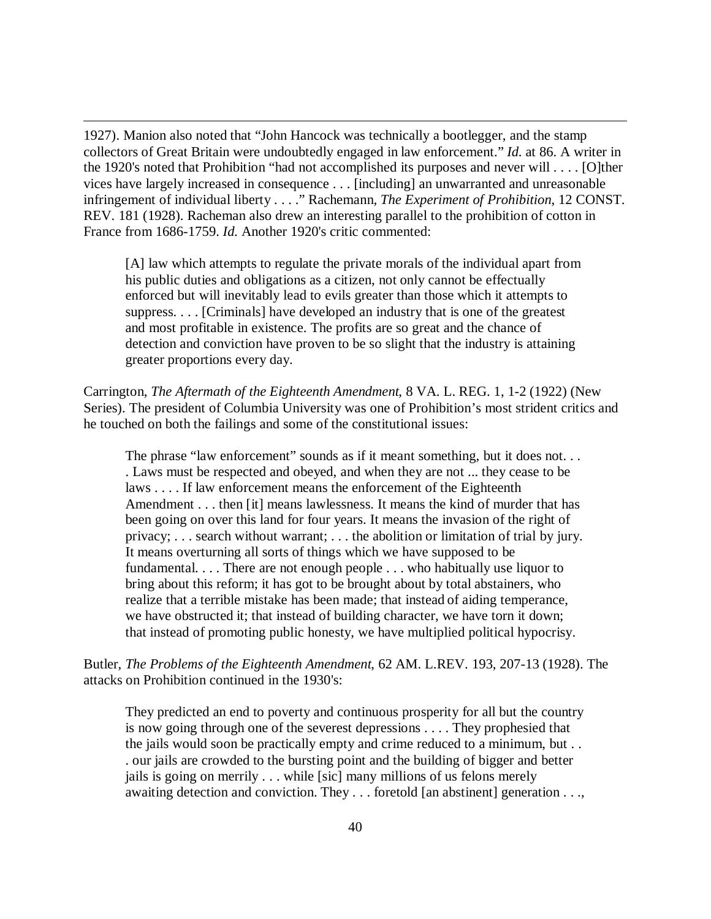1927). Manion also noted that "John Hancock was technically a bootlegger, and the stamp collectors of Great Britain were undoubtedly engaged in law enforcement." *Id.* at 86. A writer in the 1920's noted that Prohibition "had not accomplished its purposes and never will . . . . [O]ther vices have largely increased in consequence . . . [including] an unwarranted and unreasonable infringement of individual liberty . . . ." Rachemann, *The Experiment of Prohibition*, 12 CONST. REV. 181 (1928). Racheman also drew an interesting parallel to the prohibition of cotton in France from 1686-1759. *Id.* Another 1920's critic commented:

 $\overline{a}$ 

[A] law which attempts to regulate the private morals of the individual apart from his public duties and obligations as a citizen, not only cannot be effectually enforced but will inevitably lead to evils greater than those which it attempts to suppress. . . . [Criminals] have developed an industry that is one of the greatest and most profitable in existence. The profits are so great and the chance of detection and conviction have proven to be so slight that the industry is attaining greater proportions every day.

Carrington, *The Aftermath of the Eighteenth Amendment*, 8 VA. L. REG. 1, 1-2 (1922) (New Series). The president of Columbia University was one of Prohibition's most strident critics and he touched on both the failings and some of the constitutional issues:

The phrase "law enforcement" sounds as if it meant something, but it does not... . Laws must be respected and obeyed, and when they are not ... they cease to be laws . . . . If law enforcement means the enforcement of the Eighteenth Amendment . . . then [it] means lawlessness. It means the kind of murder that has been going on over this land for four years. It means the invasion of the right of privacy; . . . search without warrant; . . . the abolition or limitation of trial by jury. It means overturning all sorts of things which we have supposed to be fundamental. . . . There are not enough people . . . who habitually use liquor to bring about this reform; it has got to be brought about by total abstainers, who realize that a terrible mistake has been made; that instead of aiding temperance, we have obstructed it; that instead of building character, we have torn it down; that instead of promoting public honesty, we have multiplied political hypocrisy.

Butler, *The Problems of the Eighteenth Amendment*, 62 AM. L.REV. 193, 207-13 (1928). The attacks on Prohibition continued in the 1930's:

They predicted an end to poverty and continuous prosperity for all but the country is now going through one of the severest depressions . . . . They prophesied that the jails would soon be practically empty and crime reduced to a minimum, but . . . our jails are crowded to the bursting point and the building of bigger and better jails is going on merrily . . . while [sic] many millions of us felons merely awaiting detection and conviction. They . . . foretold [an abstinent] generation . . .,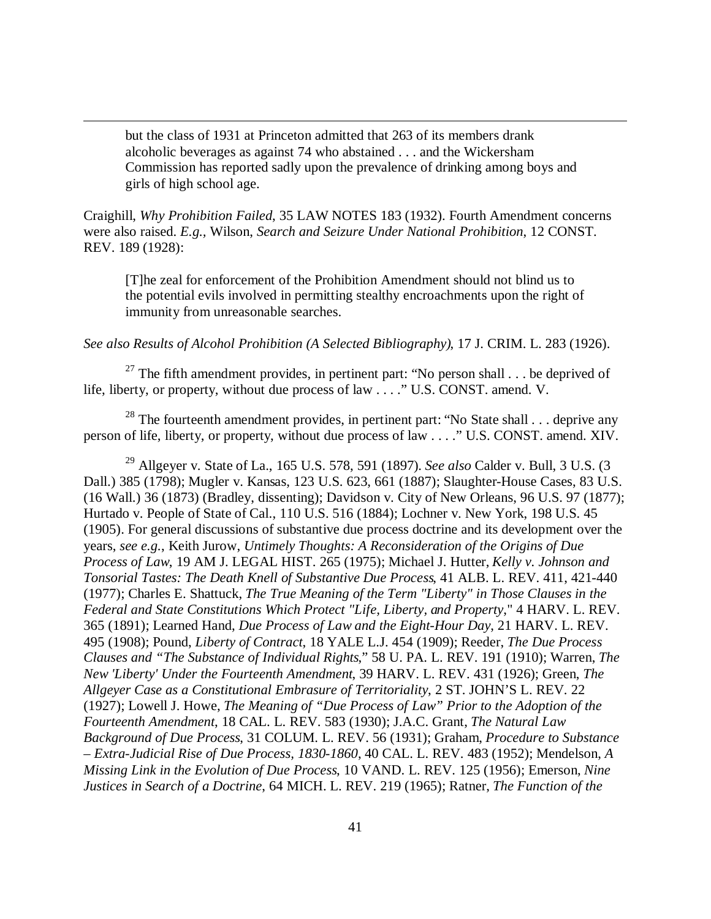but the class of 1931 at Princeton admitted that 263 of its members drank alcoholic beverages as against 74 who abstained . . . and the Wickersham Commission has reported sadly upon the prevalence of drinking among boys and girls of high school age.

 $\overline{a}$ 

Craighill, *Why Prohibition Failed*, 35 LAW NOTES 183 (1932). Fourth Amendment concerns were also raised. *E.g.,* Wilson, *Search and Seizure Under National Prohibition*, 12 CONST. REV. 189 (1928):

[T]he zeal for enforcement of the Prohibition Amendment should not blind us to the potential evils involved in permitting stealthy encroachments upon the right of immunity from unreasonable searches.

*See also Results of Alcohol Prohibition (A Selected Bibliography)*, 17 J. CRIM. L. 283 (1926).

<sup>27</sup> The fifth amendment provides, in pertinent part: "No person shall  $\dots$  be deprived of life, liberty, or property, without due process of law . . . ." U.S. CONST. amend. V.

<sup>28</sup> The fourteenth amendment provides, in pertinent part: "No State shall  $\dots$  deprive any person of life, liberty, or property, without due process of law . . . ." U.S. CONST. amend. XIV.

<sup>29</sup> Allgeyer v. State of La., 165 U.S. 578, 591 (1897). *See also* Calder v. Bull, 3 U.S. (3 Dall.) 385 (1798); Mugler v. Kansas, 123 U.S. 623, 661 (1887); Slaughter-House Cases, 83 U.S. (16 Wall.) 36 (1873) (Bradley, dissenting); Davidson v. City of New Orleans, 96 U.S. 97 (1877); Hurtado v. People of State of Cal., 110 U.S. 516 (1884); Lochner v. New York, 198 U.S. 45 (1905). For general discussions of substantive due process doctrine and its development over the years, *see e.g.*, Keith Jurow, *Untimely Thoughts: A Reconsideration of the Origins of Due Process of Law*, 19 AM J. LEGAL HIST. 265 (1975); Michael J. Hutter, *Kelly v. Johnson and Tonsorial Tastes: The Death Knell of Substantive Due Process*, 41 ALB. L. REV. 411, 421-440 (1977); Charles E. Shattuck, *The True Meaning of the Term "Liberty" in Those Clauses in the Federal and State Constitutions Which Protect "Life, Liberty, and Property*," 4 HARV. L. REV. 365 (1891); Learned Hand, *Due Process of Law and the Eight-Hour Day*, 21 HARV. L. REV. 495 (1908); Pound, *Liberty of Contract*, 18 YALE L.J. 454 (1909); Reeder, *The Due Process Clauses and "The Substance of Individual Rights*," 58 U. PA. L. REV. 191 (1910); Warren, *The New 'Liberty' Under the Fourteenth Amendment*, 39 HARV. L. REV. 431 (1926); Green, *The Allgeyer Case as a Constitutional Embrasure of Territoriality*, 2 ST. JOHN'S L. REV. 22 (1927); Lowell J. Howe, *The Meaning of "Due Process of Law" Prior to the Adoption of the Fourteenth Amendment*, 18 CAL. L. REV. 583 (1930); J.A.C. Grant, *The Natural Law Background of Due Process*, 31 COLUM. L. REV. 56 (1931); Graham, *Procedure to Substance – Extra-Judicial Rise of Due Process, 1830-1860*, 40 CAL. L. REV. 483 (1952); Mendelson, *A Missing Link in the Evolution of Due Process*, 10 VAND. L. REV. 125 (1956); Emerson, *Nine Justices in Search of a Doctrine*, 64 MICH. L. REV. 219 (1965); Ratner, *The Function of the*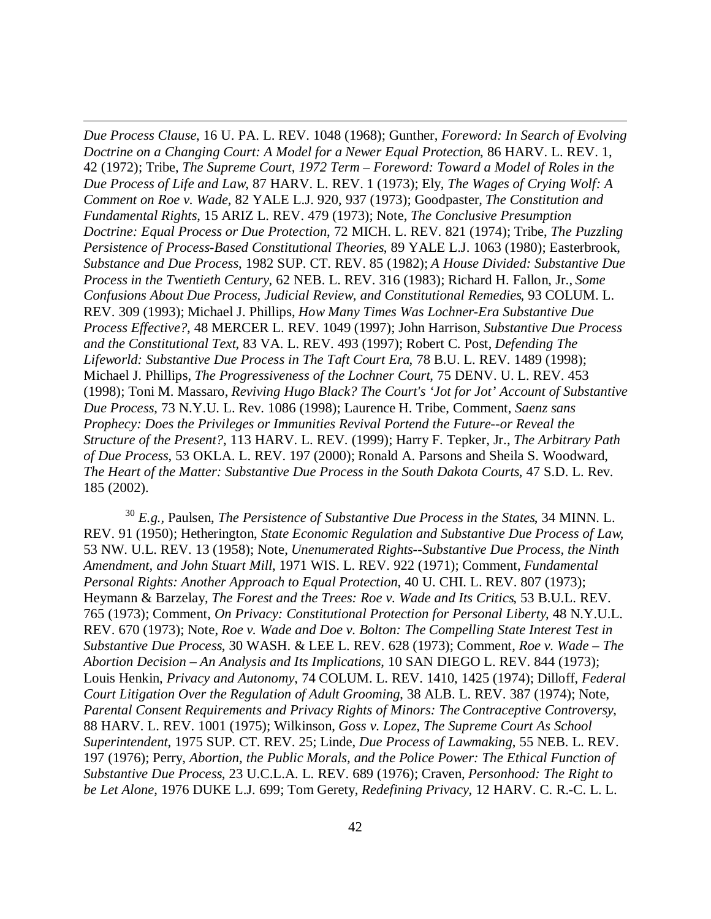*Due Process Clause*, 16 U. PA. L. REV. 1048 (1968); Gunther, *Foreword: In Search of Evolving Doctrine on a Changing Court: A Model for a Newer Equal Protection*, 86 HARV. L. REV. 1, 42 (1972); Tribe, *The Supreme Court, 1972 Term – Foreword: Toward a Model of Roles in the Due Process of Life and Law*, 87 HARV. L. REV. 1 (1973); Ely, *The Wages of Crying Wolf: A Comment on Roe v. Wade*, 82 YALE L.J. 920, 937 (1973); Goodpaster, *The Constitution and Fundamental Rights*, 15 ARIZ L. REV. 479 (1973); Note, *The Conclusive Presumption Doctrine: Equal Process or Due Protection*, 72 MICH. L. REV. 821 (1974); Tribe, *The Puzzling Persistence of Process-Based Constitutional Theories*, 89 YALE L.J. 1063 (1980); Easterbrook, *Substance and Due Process*, 1982 SUP. CT. REV. 85 (1982); *A House Divided: Substantive Due Process in the Twentieth Century*, 62 NEB. L. REV. 316 (1983); Richard H. Fallon, Jr., *Some Confusions About Due Process, Judicial Review, and Constitutional Remedies*, 93 COLUM. L. REV. 309 (1993); Michael J. Phillips, *How Many Times Was Lochner-Era Substantive Due Process Effective?*, 48 MERCER L. REV. 1049 (1997); John Harrison, *Substantive Due Process and the Constitutional Text*, 83 VA. L. REV. 493 (1997); Robert C. Post, *Defending The Lifeworld: Substantive Due Process in The Taft Court Era*, 78 B.U. L. REV. 1489 (1998); Michael J. Phillips, *The Progressiveness of the Lochner Court*, 75 DENV. U. L. REV. 453 (1998); Toni M. Massaro, *Reviving Hugo Black? The Court's 'Jot for Jot' Account of Substantive Due Process*, 73 N.Y.U. L. Rev. 1086 (1998); Laurence H. Tribe, Comment, *Saenz sans Prophecy: Does the Privileges or Immunities Revival Portend the Future--or Reveal the Structure of the Present?*, 113 HARV. L. REV. (1999); Harry F. Tepker, Jr., *The Arbitrary Path of Due Process*, 53 OKLA. L. REV. 197 (2000); Ronald A. Parsons and Sheila S. Woodward, *The Heart of the Matter: Substantive Due Process in the South Dakota Courts*, 47 S.D. L. Rev. 185 (2002).

 $\overline{a}$ 

<sup>30</sup> *E.g.,* Paulsen, *The Persistence of Substantive Due Process in the States*, 34 MINN. L. REV. 91 (1950); Hetherington, *State Economic Regulation and Substantive Due Process of Law*, 53 NW. U.L. REV. 13 (1958); Note, *Unenumerated Rights--Substantive Due Process, the Ninth Amendment, and John Stuart Mill*, 1971 WIS. L. REV. 922 (1971); Comment, *Fundamental Personal Rights: Another Approach to Equal Protection*, 40 U. CHI. L. REV. 807 (1973); Heymann & Barzelay, *The Forest and the Trees: Roe v. Wade and Its Critics*, 53 B.U.L. REV. 765 (1973); Comment, *On Privacy: Constitutional Protection for Personal Liberty*, 48 N.Y.U.L. REV. 670 (1973); Note, *Roe v. Wade and Doe v. Bolton: The Compelling State Interest Test in Substantive Due Process*, 30 WASH. & LEE L. REV. 628 (1973); Comment, *Roe v. Wade – The Abortion Decision – An Analysis and Its Implications*, 10 SAN DIEGO L. REV. 844 (1973); Louis Henkin, *Privacy and Autonomy*, 74 COLUM. L. REV. 1410, 1425 (1974); Dilloff, *Federal Court Litigation Over the Regulation of Adult Grooming*, 38 ALB. L. REV. 387 (1974); Note, *Parental Consent Requirements and Privacy Rights of Minors: The Contraceptive Controversy*, 88 HARV. L. REV. 1001 (1975); Wilkinson, *Goss v. Lopez, The Supreme Court As School Superintendent*, 1975 SUP. CT. REV. 25; Linde, *Due Process of Lawmaking*, 55 NEB. L. REV. 197 (1976); Perry, *Abortion, the Public Morals, and the Police Power: The Ethical Function of Substantive Due Process*, 23 U.C.L.A. L. REV. 689 (1976); Craven, *Personhood: The Right to be Let Alone*, 1976 DUKE L.J. 699; Tom Gerety, *Redefining Privacy*, 12 HARV. C. R.-C. L. L.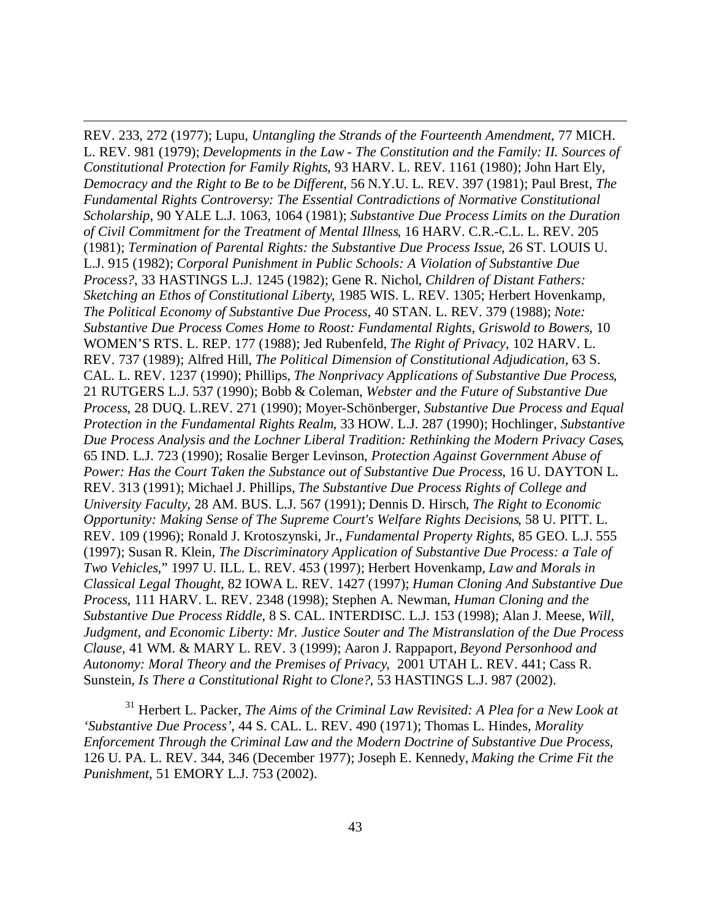REV. 233, 272 (1977); Lupu, *Untangling the Strands of the Fourteenth Amendment*, 77 MICH. L. REV. 981 (1979); *Developments in the Law - The Constitution and the Family: II. Sources of Constitutional Protection for Family Rights*, 93 HARV. L. REV. 1161 (1980); John Hart Ely, *Democracy and the Right to Be to be Different*, 56 N.Y.U. L. REV. 397 (1981); Paul Brest, *The Fundamental Rights Controversy: The Essential Contradictions of Normative Constitutional Scholarship*, 90 YALE L.J. 1063, 1064 (1981); *Substantive Due Process Limits on the Duration of Civil Commitment for the Treatment of Mental Illness*, 16 HARV. C.R.-C.L. L. REV. 205 (1981); *Termination of Parental Rights: the Substantive Due Process Issue*, 26 ST. LOUIS U. L.J. 915 (1982); *Corporal Punishment in Public Schools: A Violation of Substantive Due Process?*, 33 HASTINGS L.J. 1245 (1982); Gene R. Nichol, *Children of Distant Fathers: Sketching an Ethos of Constitutional Liberty*, 1985 WIS. L. REV. 1305; Herbert Hovenkamp, *The Political Economy of Substantive Due Process*, 40 STAN. L. REV. 379 (1988); *Note: Substantive Due Process Comes Home to Roost: Fundamental Rights, Griswold to Bowers*, 10 WOMEN'S RTS. L. REP. 177 (1988); Jed Rubenfeld, *The Right of Privacy*, 102 HARV. L. REV. 737 (1989); Alfred Hill, *The Political Dimension of Constitutional Adjudication*, 63 S. CAL. L. REV. 1237 (1990); Phillips, *The Nonprivacy Applications of Substantive Due Process*, 21 RUTGERS L.J. 537 (1990); Bobb & Coleman, *Webster and the Future of Substantive Due Process*, 28 DUQ. L.REV. 271 (1990); Moyer-Schönberger, *Substantive Due Process and Equal Protection in the Fundamental Rights Realm*, 33 HOW. L.J. 287 (1990); Hochlinger, *Substantive Due Process Analysis and the Lochner Liberal Tradition: Rethinking the Modern Privacy Cases*, 65 IND. L.J. 723 (1990); Rosalie Berger Levinson, *Protection Against Government Abuse of Power: Has the Court Taken the Substance out of Substantive Due Process*, 16 U. DAYTON L. REV. 313 (1991); Michael J. Phillips, *The Substantive Due Process Rights of College and University Faculty*, 28 AM. BUS. L.J. 567 (1991); Dennis D. Hirsch, *The Right to Economic Opportunity: Making Sense of The Supreme Court's Welfare Rights Decisions*, 58 U. PITT. L. REV. 109 (1996); Ronald J. Krotoszynski, Jr., *Fundamental Property Rights*, 85 GEO. L.J. 555 (1997); Susan R. Klein, *The Discriminatory Application of Substantive Due Process: a Tale of Two Vehicles*," 1997 U. ILL. L. REV. 453 (1997); Herbert Hovenkamp, *Law and Morals in Classical Legal Thought*, 82 IOWA L. REV. 1427 (1997); *Human Cloning And Substantive Due Process*, 111 HARV. L. REV. 2348 (1998); Stephen A. Newman, *Human Cloning and the Substantive Due Process Riddle*, 8 S. CAL. INTERDISC. L.J. 153 (1998); Alan J. Meese, *Will, Judgment, and Economic Liberty: Mr. Justice Souter and The Mistranslation of the Due Process Clause*, 41 WM. & MARY L. REV. 3 (1999); Aaron J. Rappaport, *Beyond Personhood and Autonomy: Moral Theory and the Premises of Privacy*, 2001 UTAH L. REV. 441; Cass R. Sunstein, *Is There a Constitutional Right to Clone?*, 53 HASTINGS L.J. 987 (2002).

 $\overline{a}$ 

<sup>31</sup> Herbert L. Packer, *The Aims of the Criminal Law Revisited: A Plea for a New Look at 'Substantive Due Process'*, 44 S. CAL. L. REV. 490 (1971); Thomas L. Hindes, *Morality Enforcement Through the Criminal Law and the Modern Doctrine of Substantive Due Process*, 126 U. PA. L. REV. 344, 346 (December 1977); Joseph E. Kennedy, *Making the Crime Fit the Punishment*, 51 EMORY L.J. 753 (2002).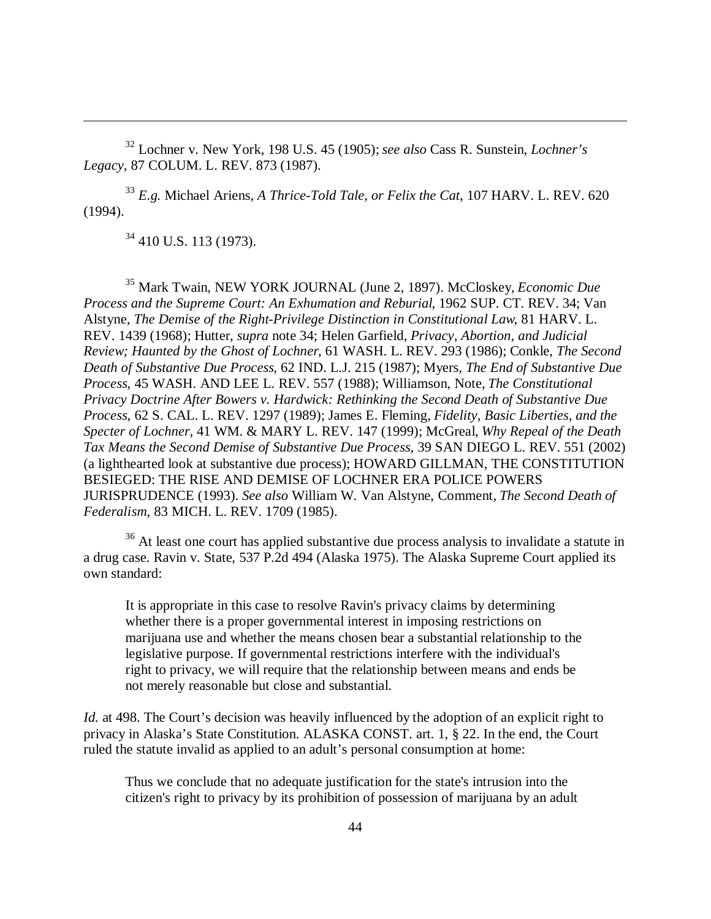<sup>32</sup> Lochner v. New York, 198 U.S. 45 (1905); *see also* Cass R. Sunstein, *Lochner's Legacy*, 87 COLUM. L. REV. 873 (1987).

<sup>33</sup> *E.g.* Michael Ariens, *A Thrice-Told Tale, or Felix the Cat*, 107 HARV. L. REV. 620 (1994).

<sup>34</sup> 410 U.S. 113 (1973).

 $\overline{a}$ 

<sup>35</sup> Mark Twain, NEW YORK JOURNAL (June 2, 1897). McCloskey, *Economic Due Process and the Supreme Court: An Exhumation and Reburial*, 1962 SUP. CT. REV. 34; Van Alstyne, *The Demise of the Right-Privilege Distinction in Constitutional Law*, 81 HARV. L. REV. 1439 (1968); Hutter, *supra* note 34; Helen Garfield, *Privacy, Abortion, and Judicial Review; Haunted by the Ghost of Lochner*, 61 WASH. L. REV. 293 (1986); Conkle, *The Second Death of Substantive Due Process*, 62 IND. L.J. 215 (1987); Myers, *The End of Substantive Due Process*, 45 WASH. AND LEE L. REV. 557 (1988); Williamson, Note, *The Constitutional Privacy Doctrine After Bowers v. Hardwick: Rethinking the Second Death of Substantive Due Process*, 62 S. CAL. L. REV. 1297 (1989); James E. Fleming, *Fidelity, Basic Liberties, and the Specter of Lochner*, 41 WM. & MARY L. REV. 147 (1999); McGreal, *Why Repeal of the Death Tax Means the Second Demise of Substantive Due Process*, 39 SAN DIEGO L. REV. 551 (2002) (a lighthearted look at substantive due process); HOWARD GILLMAN, THE CONSTITUTION BESIEGED: THE RISE AND DEMISE OF LOCHNER ERA POLICE POWERS JURISPRUDENCE (1993). *See also* William W. Van Alstyne, Comment, *The Second Death of Federalism*, 83 MICH. L. REV. 1709 (1985).

<sup>36</sup> At least one court has applied substantive due process analysis to invalidate a statute in a drug case. Ravin v. State, 537 P.2d 494 (Alaska 1975). The Alaska Supreme Court applied its own standard:

It is appropriate in this case to resolve Ravin's privacy claims by determining whether there is a proper governmental interest in imposing restrictions on marijuana use and whether the means chosen bear a substantial relationship to the legislative purpose. If governmental restrictions interfere with the individual's right to privacy, we will require that the relationship between means and ends be not merely reasonable but close and substantial.

*Id.* at 498. The Court's decision was heavily influenced by the adoption of an explicit right to privacy in Alaska's State Constitution. ALASKA CONST. art. 1, § 22. In the end, the Court ruled the statute invalid as applied to an adult's personal consumption at home:

Thus we conclude that no adequate justification for the state's intrusion into the citizen's right to privacy by its prohibition of possession of marijuana by an adult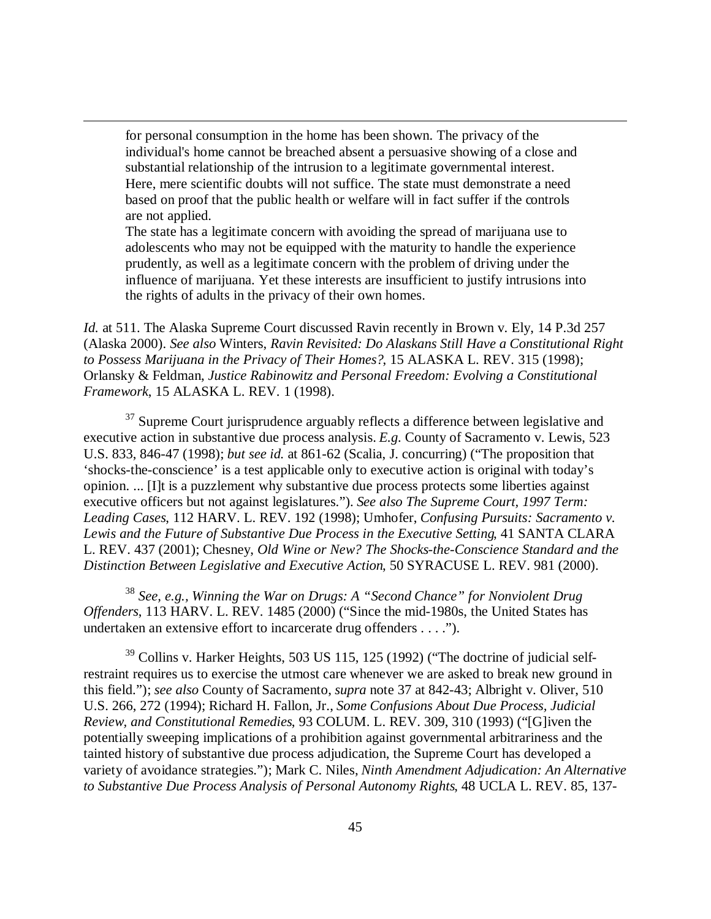for personal consumption in the home has been shown. The privacy of the individual's home cannot be breached absent a persuasive showing of a close and substantial relationship of the intrusion to a legitimate governmental interest. Here, mere scientific doubts will not suffice. The state must demonstrate a need based on proof that the public health or welfare will in fact suffer if the controls are not applied.

 $\overline{a}$ 

The state has a legitimate concern with avoiding the spread of marijuana use to adolescents who may not be equipped with the maturity to handle the experience prudently, as well as a legitimate concern with the problem of driving under the influence of marijuana. Yet these interests are insufficient to justify intrusions into the rights of adults in the privacy of their own homes.

*Id.* at 511. The Alaska Supreme Court discussed Ravin recently in Brown v. Ely, 14 P.3d 257 (Alaska 2000). *See also* Winters, *Ravin Revisited: Do Alaskans Still Have a Constitutional Right to Possess Marijuana in the Privacy of Their Homes?*, 15 ALASKA L. REV. 315 (1998); Orlansky & Feldman, *Justice Rabinowitz and Personal Freedom: Evolving a Constitutional Framework*, 15 ALASKA L. REV. 1 (1998).

 $37$  Supreme Court jurisprudence arguably reflects a difference between legislative and executive action in substantive due process analysis. *E.g.* County of Sacramento v. Lewis, 523 U.S. 833, 846-47 (1998); *but see id.* at 861-62 (Scalia, J. concurring) ("The proposition that 'shocks-the-conscience' is a test applicable only to executive action is original with today's opinion. ... [I]t is a puzzlement why substantive due process protects some liberties against executive officers but not against legislatures."). *See also The Supreme Court, 1997 Term: Leading Cases*, 112 HARV. L. REV. 192 (1998); Umhofer, *Confusing Pursuits: Sacramento v. Lewis and the Future of Substantive Due Process in the Executive Setting*, 41 SANTA CLARA L. REV. 437 (2001); Chesney, *Old Wine or New? The Shocks-the-Conscience Standard and the Distinction Between Legislative and Executive Action*, 50 SYRACUSE L. REV. 981 (2000).

<sup>38</sup> *See, e.g., Winning the War on Drugs: A "Second Chance" for Nonviolent Drug Offenders*, 113 HARV. L. REV. 1485 (2000) ("Since the mid-1980s, the United States has undertaken an extensive effort to incarcerate drug offenders . . . .").

<sup>39</sup> Collins v. Harker Heights, 503 US 115, 125 (1992) ("The doctrine of judicial selfrestraint requires us to exercise the utmost care whenever we are asked to break new ground in this field."); *see also* County of Sacramento, *supra* note 37 at 842-43; Albright v. Oliver, 510 U.S. 266, 272 (1994); Richard H. Fallon, Jr., *Some Confusions About Due Process, Judicial Review, and Constitutional Remedies*, 93 COLUM. L. REV. 309, 310 (1993) ("[G]iven the potentially sweeping implications of a prohibition against governmental arbitrariness and the tainted history of substantive due process adjudication, the Supreme Court has developed a variety of avoidance strategies."); Mark C. Niles, *Ninth Amendment Adjudication: An Alternative to Substantive Due Process Analysis of Personal Autonomy Rights*, 48 UCLA L. REV. 85, 137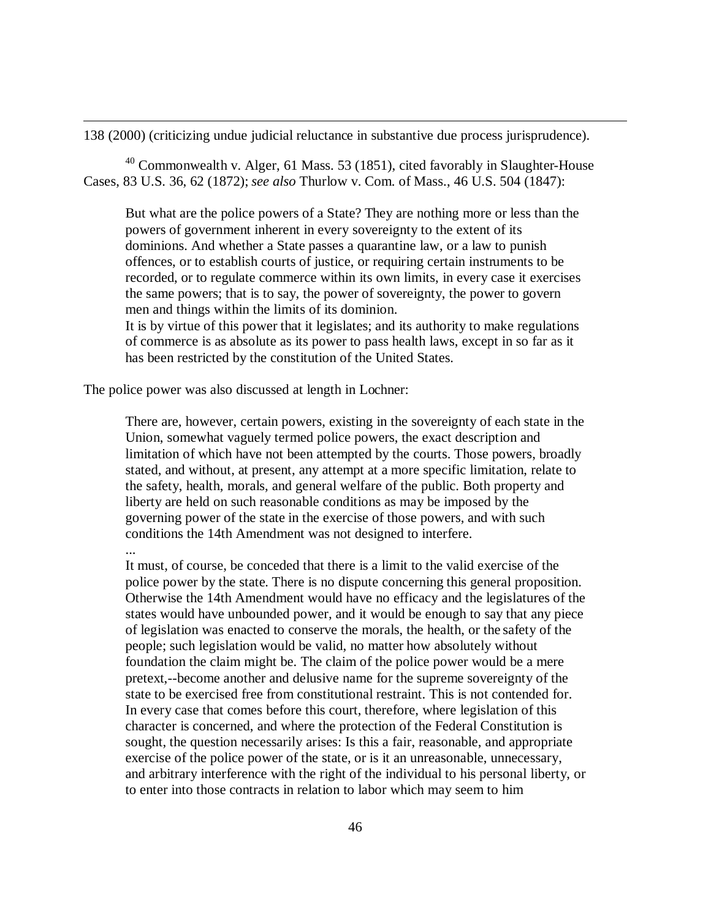138 (2000) (criticizing undue judicial reluctance in substantive due process jurisprudence).

 $40$  Commonwealth v. Alger, 61 Mass. 53 (1851), cited favorably in Slaughter-House Cases, 83 U.S. 36, 62 (1872); *see also* Thurlow v. Com. of Mass., 46 U.S. 504 (1847):

But what are the police powers of a State? They are nothing more or less than the powers of government inherent in every sovereignty to the extent of its dominions. And whether a State passes a quarantine law, or a law to punish offences, or to establish courts of justice, or requiring certain instruments to be recorded, or to regulate commerce within its own limits, in every case it exercises the same powers; that is to say, the power of sovereignty, the power to govern men and things within the limits of its dominion.

It is by virtue of this power that it legislates; and its authority to make regulations of commerce is as absolute as its power to pass health laws, except in so far as it has been restricted by the constitution of the United States.

The police power was also discussed at length in Lochner:

 $\overline{a}$ 

There are, however, certain powers, existing in the sovereignty of each state in the Union, somewhat vaguely termed police powers, the exact description and limitation of which have not been attempted by the courts. Those powers, broadly stated, and without, at present, any attempt at a more specific limitation, relate to the safety, health, morals, and general welfare of the public. Both property and liberty are held on such reasonable conditions as may be imposed by the governing power of the state in the exercise of those powers, and with such conditions the 14th Amendment was not designed to interfere. ...

It must, of course, be conceded that there is a limit to the valid exercise of the police power by the state. There is no dispute concerning this general proposition. Otherwise the 14th Amendment would have no efficacy and the legislatures of the states would have unbounded power, and it would be enough to say that any piece of legislation was enacted to conserve the morals, the health, or the safety of the people; such legislation would be valid, no matter how absolutely without foundation the claim might be. The claim of the police power would be a mere pretext,--become another and delusive name for the supreme sovereignty of the state to be exercised free from constitutional restraint. This is not contended for. In every case that comes before this court, therefore, where legislation of this character is concerned, and where the protection of the Federal Constitution is sought, the question necessarily arises: Is this a fair, reasonable, and appropriate exercise of the police power of the state, or is it an unreasonable, unnecessary, and arbitrary interference with the right of the individual to his personal liberty, or to enter into those contracts in relation to labor which may seem to him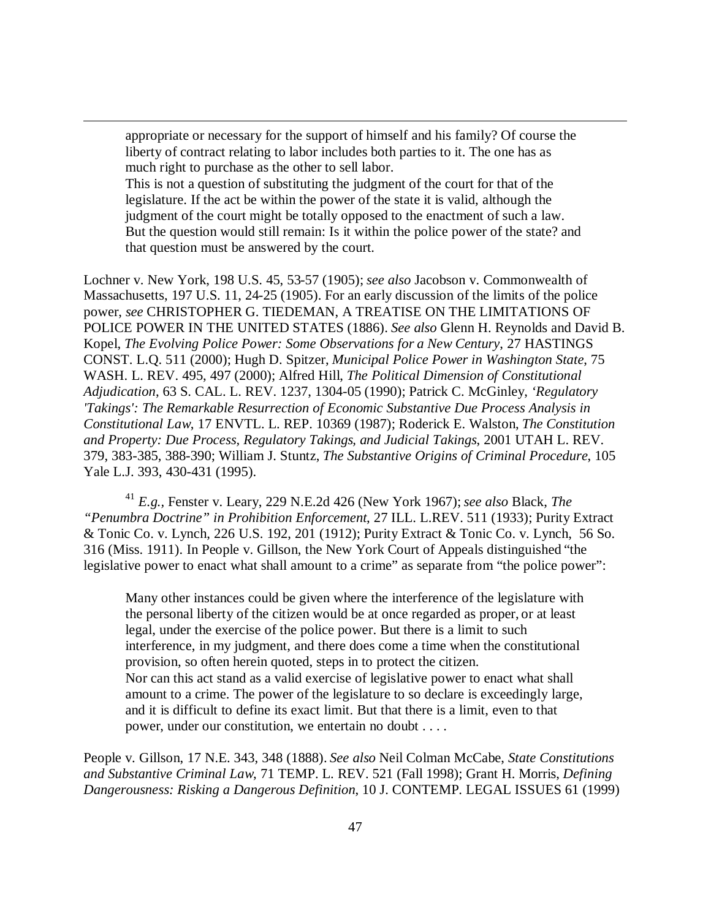appropriate or necessary for the support of himself and his family? Of course the liberty of contract relating to labor includes both parties to it. The one has as much right to purchase as the other to sell labor.

 $\overline{a}$ 

This is not a question of substituting the judgment of the court for that of the legislature. If the act be within the power of the state it is valid, although the judgment of the court might be totally opposed to the enactment of such a law. But the question would still remain: Is it within the police power of the state? and that question must be answered by the court.

Lochner v. New York, 198 U.S. 45, 53-57 (1905); *see also* Jacobson v. Commonwealth of Massachusetts, 197 U.S. 11, 24-25 (1905). For an early discussion of the limits of the police power, *see* CHRISTOPHER G. TIEDEMAN, A TREATISE ON THE LIMITATIONS OF POLICE POWER IN THE UNITED STATES (1886). *See also* Glenn H. Reynolds and David B. Kopel, *The Evolving Police Power: Some Observations for a New Century*, 27 HASTINGS CONST. L.Q. 511 (2000); Hugh D. Spitzer, *Municipal Police Power in Washington State*, 75 WASH. L. REV. 495, 497 (2000); Alfred Hill, *The Political Dimension of Constitutional Adjudication*, 63 S. CAL. L. REV. 1237, 1304-05 (1990); Patrick C. McGinley, *'Regulatory 'Takings': The Remarkable Resurrection of Economic Substantive Due Process Analysis in Constitutional Law*, 17 ENVTL. L. REP. 10369 (1987); Roderick E. Walston, *The Constitution and Property: Due Process, Regulatory Takings, and Judicial Takings*, 2001 UTAH L. REV. 379, 383-385, 388-390; William J. Stuntz, *The Substantive Origins of Criminal Procedure*, 105 Yale L.J. 393, 430-431 (1995).

<sup>41</sup> *E.g.,* Fenster v. Leary, 229 N.E.2d 426 (New York 1967); *see also* Black, *The "Penumbra Doctrine" in Prohibition Enforcement*, 27 ILL. L.REV. 511 (1933); Purity Extract & Tonic Co. v. Lynch, 226 U.S. 192, 201 (1912); Purity Extract & Tonic Co. v. Lynch, 56 So. 316 (Miss. 1911). In People v. Gillson, the New York Court of Appeals distinguished "the legislative power to enact what shall amount to a crime" as separate from "the police power":

Many other instances could be given where the interference of the legislature with the personal liberty of the citizen would be at once regarded as proper, or at least legal, under the exercise of the police power. But there is a limit to such interference, in my judgment, and there does come a time when the constitutional provision, so often herein quoted, steps in to protect the citizen. Nor can this act stand as a valid exercise of legislative power to enact what shall amount to a crime. The power of the legislature to so declare is exceedingly large, and it is difficult to define its exact limit. But that there is a limit, even to that power, under our constitution, we entertain no doubt . . . .

People v. Gillson, 17 N.E. 343, 348 (1888). *See also* Neil Colman McCabe, *State Constitutions and Substantive Criminal Law*, 71 TEMP. L. REV. 521 (Fall 1998); Grant H. Morris, *Defining Dangerousness: Risking a Dangerous Definition*, 10 J. CONTEMP. LEGAL ISSUES 61 (1999)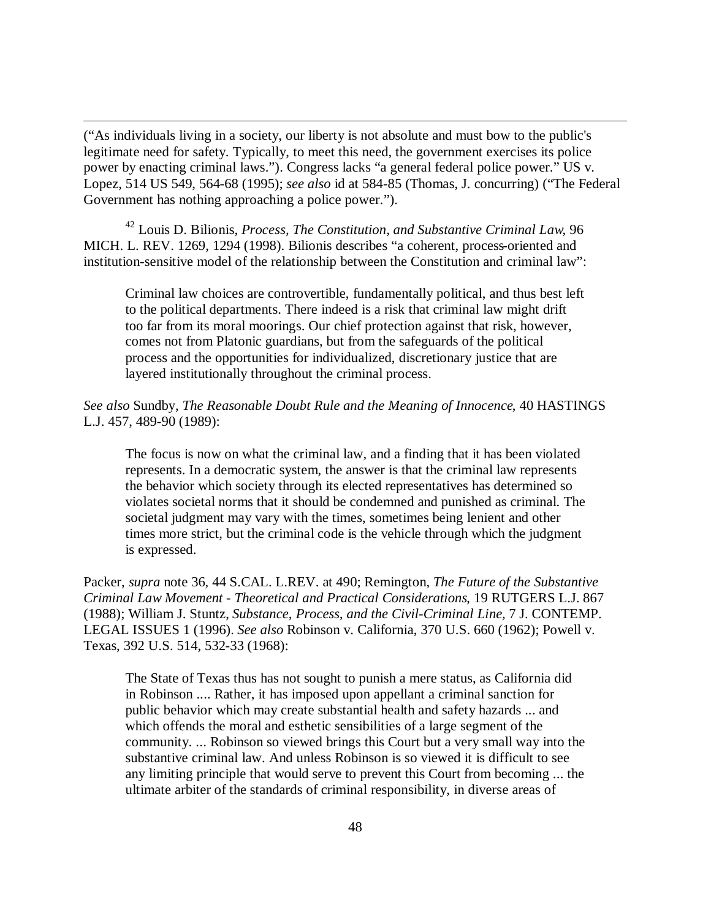("As individuals living in a society, our liberty is not absolute and must bow to the public's legitimate need for safety. Typically, to meet this need, the government exercises its police power by enacting criminal laws."). Congress lacks "a general federal police power." US v. Lopez, 514 US 549, 564-68 (1995); *see also* id at 584-85 (Thomas, J. concurring) ("The Federal Government has nothing approaching a police power.").

 $\overline{a}$ 

<sup>42</sup> Louis D. Bilionis, *Process, The Constitution, and Substantive Criminal Law*, 96 MICH. L. REV. 1269, 1294 (1998). Bilionis describes "a coherent, process-oriented and institution-sensitive model of the relationship between the Constitution and criminal law":

Criminal law choices are controvertible, fundamentally political, and thus best left to the political departments. There indeed is a risk that criminal law might drift too far from its moral moorings. Our chief protection against that risk, however, comes not from Platonic guardians, but from the safeguards of the political process and the opportunities for individualized, discretionary justice that are layered institutionally throughout the criminal process.

## *See also* Sundby, *The Reasonable Doubt Rule and the Meaning of Innocence*, 40 HASTINGS L.J. 457, 489-90 (1989):

The focus is now on what the criminal law, and a finding that it has been violated represents. In a democratic system, the answer is that the criminal law represents the behavior which society through its elected representatives has determined so violates societal norms that it should be condemned and punished as criminal. The societal judgment may vary with the times, sometimes being lenient and other times more strict, but the criminal code is the vehicle through which the judgment is expressed.

Packer, *supra* note 36, 44 S.CAL. L.REV. at 490; Remington, *The Future of the Substantive Criminal Law Movement - Theoretical and Practical Considerations*, 19 RUTGERS L.J. 867 (1988); William J. Stuntz, *Substance, Process, and the Civil-Criminal Line,* 7 J. CONTEMP. LEGAL ISSUES 1 (1996). *See also* Robinson v. California, 370 U.S. 660 (1962); Powell v. Texas, 392 U.S. 514, 532-33 (1968):

The State of Texas thus has not sought to punish a mere status, as California did in Robinson .... Rather, it has imposed upon appellant a criminal sanction for public behavior which may create substantial health and safety hazards ... and which offends the moral and esthetic sensibilities of a large segment of the community. ... Robinson so viewed brings this Court but a very small way into the substantive criminal law. And unless Robinson is so viewed it is difficult to see any limiting principle that would serve to prevent this Court from becoming ... the ultimate arbiter of the standards of criminal responsibility, in diverse areas of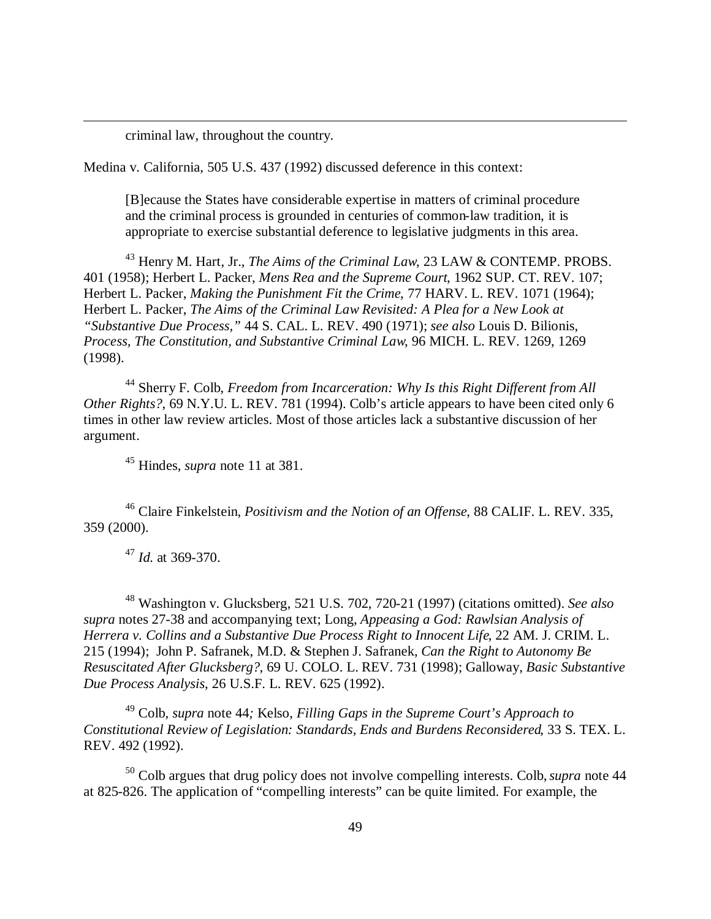criminal law, throughout the country.

 $\overline{a}$ 

Medina v. California, 505 U.S. 437 (1992) discussed deference in this context:

[B]ecause the States have considerable expertise in matters of criminal procedure and the criminal process is grounded in centuries of common-law tradition, it is appropriate to exercise substantial deference to legislative judgments in this area.

<sup>43</sup> Henry M. Hart, Jr., *The Aims of the Criminal Law*, 23 LAW & CONTEMP. PROBS. 401 (1958); Herbert L. Packer, *Mens Rea and the Supreme Court*, 1962 SUP. CT. REV. 107; Herbert L. Packer, *Making the Punishment Fit the Crime*, 77 HARV. L. REV. 1071 (1964); Herbert L. Packer, *The Aims of the Criminal Law Revisited: A Plea for a New Look at "Substantive Due Process,"* 44 S. CAL. L. REV. 490 (1971); *see also* Louis D. Bilionis, *Process, The Constitution, and Substantive Criminal Law*, 96 MICH. L. REV. 1269, 1269 (1998).

<sup>44</sup> Sherry F. Colb, *Freedom from Incarceration: Why Is this Right Different from All Other Rights?*, 69 N.Y.U. L. REV. 781 (1994). Colb's article appears to have been cited only 6 times in other law review articles. Most of those articles lack a substantive discussion of her argument.

<sup>45</sup> Hindes, *supra* note 11 at 381.

<sup>46</sup> Claire Finkelstein, *Positivism and the Notion of an Offense*, 88 CALIF. L. REV. 335, 359 (2000).

<sup>47</sup> *Id.* at 369-370.

<sup>48</sup> Washington v. Glucksberg, 521 U.S. 702, 720-21 (1997) (citations omitted). *See also supra* notes 27-38 and accompanying text; Long, *Appeasing a God: Rawlsian Analysis of Herrera v. Collins and a Substantive Due Process Right to Innocent Life*, 22 AM. J. CRIM. L. 215 (1994); John P. Safranek, M.D. & Stephen J. Safranek, *Can the Right to Autonomy Be Resuscitated After Glucksberg?*, 69 U. COLO. L. REV. 731 (1998); Galloway, *Basic Substantive Due Process Analysis*, 26 U.S.F. L. REV. 625 (1992).

<sup>49</sup> Colb, *supra* note 44*;* Kelso, *Filling Gaps in the Supreme Court's Approach to Constitutional Review of Legislation: Standards, Ends and Burdens Reconsidered*, 33 S. TEX. L. REV. 492 (1992).

<sup>50</sup> Colb argues that drug policy does not involve compelling interests. Colb, *supra* note 44 at 825-826. The application of "compelling interests" can be quite limited. For example, the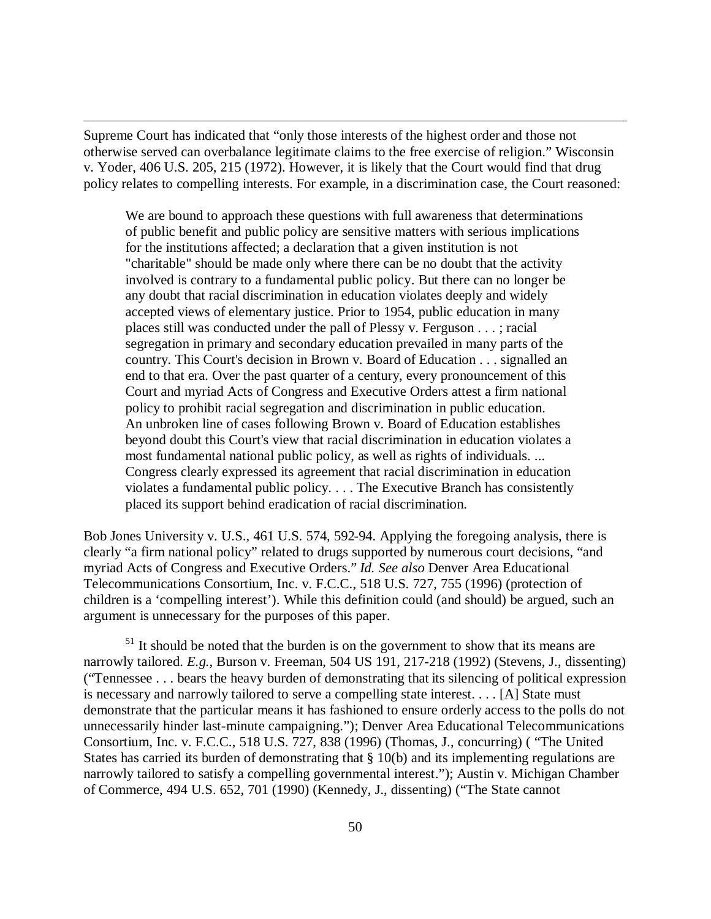Supreme Court has indicated that "only those interests of the highest order and those not otherwise served can overbalance legitimate claims to the free exercise of religion." Wisconsin v. Yoder, 406 U.S. 205, 215 (1972). However, it is likely that the Court would find that drug policy relates to compelling interests. For example, in a discrimination case, the Court reasoned:

 $\overline{a}$ 

We are bound to approach these questions with full awareness that determinations of public benefit and public policy are sensitive matters with serious implications for the institutions affected; a declaration that a given institution is not "charitable" should be made only where there can be no doubt that the activity involved is contrary to a fundamental public policy. But there can no longer be any doubt that racial discrimination in education violates deeply and widely accepted views of elementary justice. Prior to 1954, public education in many places still was conducted under the pall of Plessy v. Ferguson . . . ; racial segregation in primary and secondary education prevailed in many parts of the country. This Court's decision in Brown v. Board of Education . . . signalled an end to that era. Over the past quarter of a century, every pronouncement of this Court and myriad Acts of Congress and Executive Orders attest a firm national policy to prohibit racial segregation and discrimination in public education. An unbroken line of cases following Brown v. Board of Education establishes beyond doubt this Court's view that racial discrimination in education violates a most fundamental national public policy, as well as rights of individuals. ... Congress clearly expressed its agreement that racial discrimination in education violates a fundamental public policy. . . . The Executive Branch has consistently placed its support behind eradication of racial discrimination.

Bob Jones University v. U.S., 461 U.S. 574, 592-94. Applying the foregoing analysis, there is clearly "a firm national policy" related to drugs supported by numerous court decisions, "and myriad Acts of Congress and Executive Orders." *Id. See also* Denver Area Educational Telecommunications Consortium, Inc. v. F.C.C., 518 U.S. 727, 755 (1996) (protection of children is a 'compelling interest'). While this definition could (and should) be argued, such an argument is unnecessary for the purposes of this paper.

 $<sup>51</sup>$  It should be noted that the burden is on the government to show that its means are</sup> narrowly tailored. *E.g.,* Burson v. Freeman, 504 US 191, 217-218 (1992) (Stevens, J., dissenting) ("Tennessee . . . bears the heavy burden of demonstrating that its silencing of political expression is necessary and narrowly tailored to serve a compelling state interest. . . . [A] State must demonstrate that the particular means it has fashioned to ensure orderly access to the polls do not unnecessarily hinder last-minute campaigning."); Denver Area Educational Telecommunications Consortium, Inc. v. F.C.C., 518 U.S. 727, 838 (1996) (Thomas, J., concurring) ( "The United States has carried its burden of demonstrating that § 10(b) and its implementing regulations are narrowly tailored to satisfy a compelling governmental interest."); Austin v. Michigan Chamber of Commerce, 494 U.S. 652, 701 (1990) (Kennedy, J., dissenting) ("The State cannot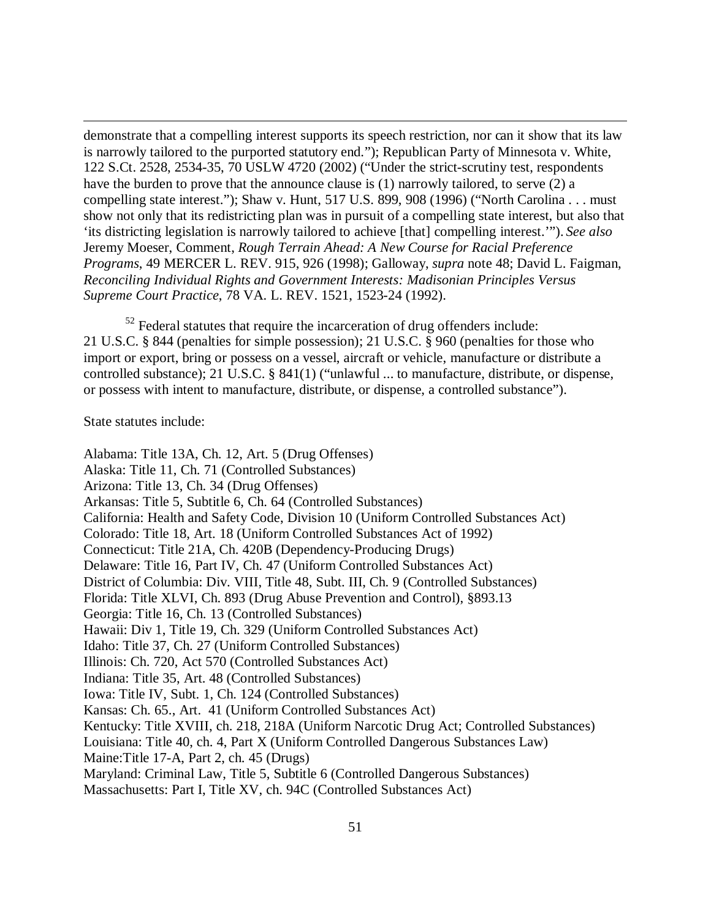demonstrate that a compelling interest supports its speech restriction, nor can it show that its law is narrowly tailored to the purported statutory end."); Republican Party of Minnesota v. White, 122 S.Ct. 2528, 2534-35, 70 USLW 4720 (2002) ("Under the strict-scrutiny test, respondents have the burden to prove that the announce clause is (1) narrowly tailored, to serve (2) a compelling state interest."); Shaw v. Hunt, 517 U.S. 899, 908 (1996) ("North Carolina . . . must show not only that its redistricting plan was in pursuit of a compelling state interest, but also that 'its districting legislation is narrowly tailored to achieve [that] compelling interest.'"). *See also* Jeremy Moeser, Comment, *Rough Terrain Ahead: A New Course for Racial Preference Programs*, 49 MERCER L. REV. 915, 926 (1998); Galloway, *supra* note 48; David L. Faigman, *Reconciling Individual Rights and Government Interests: Madisonian Principles Versus Supreme Court Practice*, 78 VA. L. REV. 1521, 1523-24 (1992).

 $52$  Federal statutes that require the incarceration of drug offenders include: 21 U.S.C. § 844 (penalties for simple possession); 21 U.S.C. § 960 (penalties for those who import or export, bring or possess on a vessel, aircraft or vehicle, manufacture or distribute a controlled substance); 21 U.S.C. § 841(1) ("unlawful ... to manufacture, distribute, or dispense, or possess with intent to manufacture, distribute, or dispense, a controlled substance").

## State statutes include:

 $\overline{a}$ 

Alabama: Title 13A, Ch. 12, Art. 5 (Drug Offenses) Alaska: Title 11, Ch. 71 (Controlled Substances) Arizona: Title 13, Ch. 34 (Drug Offenses) Arkansas: Title 5, Subtitle 6, Ch. 64 (Controlled Substances) California: Health and Safety Code, Division 10 (Uniform Controlled Substances Act) Colorado: Title 18, Art. 18 (Uniform Controlled Substances Act of 1992) Connecticut: Title 21A, Ch. 420B (Dependency-Producing Drugs) Delaware: Title 16, Part IV, Ch. 47 (Uniform Controlled Substances Act) District of Columbia: Div. VIII, Title 48, Subt. III, Ch. 9 (Controlled Substances) Florida: Title XLVI, Ch. 893 (Drug Abuse Prevention and Control), §893.13 Georgia: Title 16, Ch. 13 (Controlled Substances) Hawaii: Div 1, Title 19, Ch. 329 (Uniform Controlled Substances Act) Idaho: Title 37, Ch. 27 (Uniform Controlled Substances) Illinois: Ch. 720, Act 570 (Controlled Substances Act) Indiana: Title 35, Art. 48 (Controlled Substances) Iowa: Title IV, Subt. 1, Ch. 124 (Controlled Substances) Kansas: Ch. 65., Art. 41 (Uniform Controlled Substances Act) Kentucky: Title XVIII, ch. 218, 218A (Uniform Narcotic Drug Act; Controlled Substances) Louisiana: Title 40, ch. 4, Part X (Uniform Controlled Dangerous Substances Law) Maine:Title 17-A, Part 2, ch. 45 (Drugs) Maryland: Criminal Law, Title 5, Subtitle 6 (Controlled Dangerous Substances) Massachusetts: Part I, Title XV, ch. 94C (Controlled Substances Act)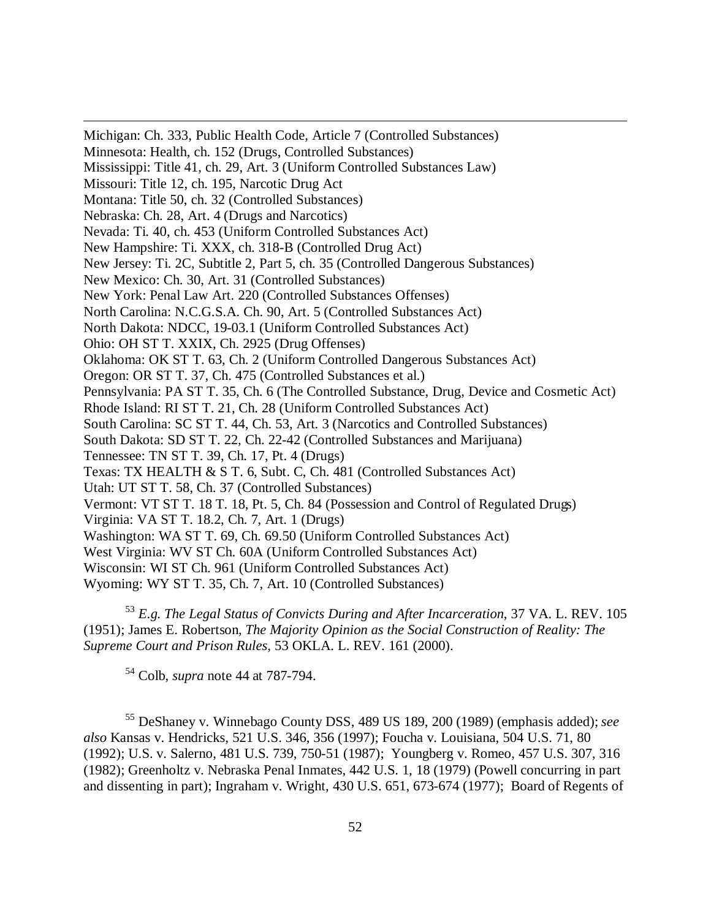Michigan: Ch. 333, Public Health Code, Article 7 (Controlled Substances) Minnesota: Health, ch. 152 (Drugs, Controlled Substances) Mississippi: Title 41, ch. 29, Art. 3 (Uniform Controlled Substances Law) Missouri: Title 12, ch. 195, Narcotic Drug Act Montana: Title 50, ch. 32 (Controlled Substances) Nebraska: Ch. 28, Art. 4 (Drugs and Narcotics) Nevada: Ti. 40, ch. 453 (Uniform Controlled Substances Act) New Hampshire: Ti. XXX, ch. 318-B (Controlled Drug Act) New Jersey: Ti. 2C, Subtitle 2, Part 5, ch. 35 (Controlled Dangerous Substances) New Mexico: Ch. 30, Art. 31 (Controlled Substances) New York: Penal Law Art. 220 (Controlled Substances Offenses) North Carolina: N.C.G.S.A. Ch. 90, Art. 5 (Controlled Substances Act) North Dakota: NDCC, 19-03.1 (Uniform Controlled Substances Act) Ohio: OH ST T. XXIX, Ch. 2925 (Drug Offenses) Oklahoma: OK ST T. 63, Ch. 2 (Uniform Controlled Dangerous Substances Act) Oregon: OR ST T. 37, Ch. 475 (Controlled Substances et al.) Pennsylvania: PA ST T. 35, Ch. 6 (The Controlled Substance, Drug, Device and Cosmetic Act) Rhode Island: RI ST T. 21, Ch. 28 (Uniform Controlled Substances Act) South Carolina: SC ST T. 44, Ch. 53, Art. 3 (Narcotics and Controlled Substances) South Dakota: SD ST T. 22, Ch. 22-42 (Controlled Substances and Marijuana) Tennessee: TN ST T. 39, Ch. 17, Pt. 4 (Drugs) Texas: TX HEALTH & S T. 6, Subt. C, Ch. 481 (Controlled Substances Act) Utah: UT ST T. 58, Ch. 37 (Controlled Substances) Vermont: VT ST T. 18 T. 18, Pt. 5, Ch. 84 (Possession and Control of Regulated Drugs) Virginia: VA ST T. 18.2, Ch. 7, Art. 1 (Drugs) Washington: WA ST T. 69, Ch. 69.50 (Uniform Controlled Substances Act) West Virginia: WV ST Ch. 60A (Uniform Controlled Substances Act) Wisconsin: WI ST Ch. 961 (Uniform Controlled Substances Act) Wyoming: WY ST T. 35, Ch. 7, Art. 10 (Controlled Substances)

<sup>53</sup> *E.g. The Legal Status of Convicts During and After Incarceration*, 37 VA. L. REV. 105 (1951); James E. Robertson, *The Majority Opinion as the Social Construction of Reality: The Supreme Court and Prison Rules*, 53 OKLA. L. REV. 161 (2000).

<sup>54</sup> Colb, *supra* note 44 at 787-794.

 $\overline{a}$ 

<sup>55</sup> DeShaney v. Winnebago County DSS, 489 US 189, 200 (1989) (emphasis added); *see also* Kansas v. Hendricks, 521 U.S. 346, 356 (1997); Foucha v. Louisiana, 504 U.S. 71, 80 (1992); U.S. v. Salerno, 481 U.S. 739, 750-51 (1987); Youngberg v. Romeo, 457 U.S. 307, 316 (1982); Greenholtz v. Nebraska Penal Inmates, 442 U.S. 1, 18 (1979) (Powell concurring in part and dissenting in part); Ingraham v. Wright, 430 U.S. 651, 673-674 (1977); Board of Regents of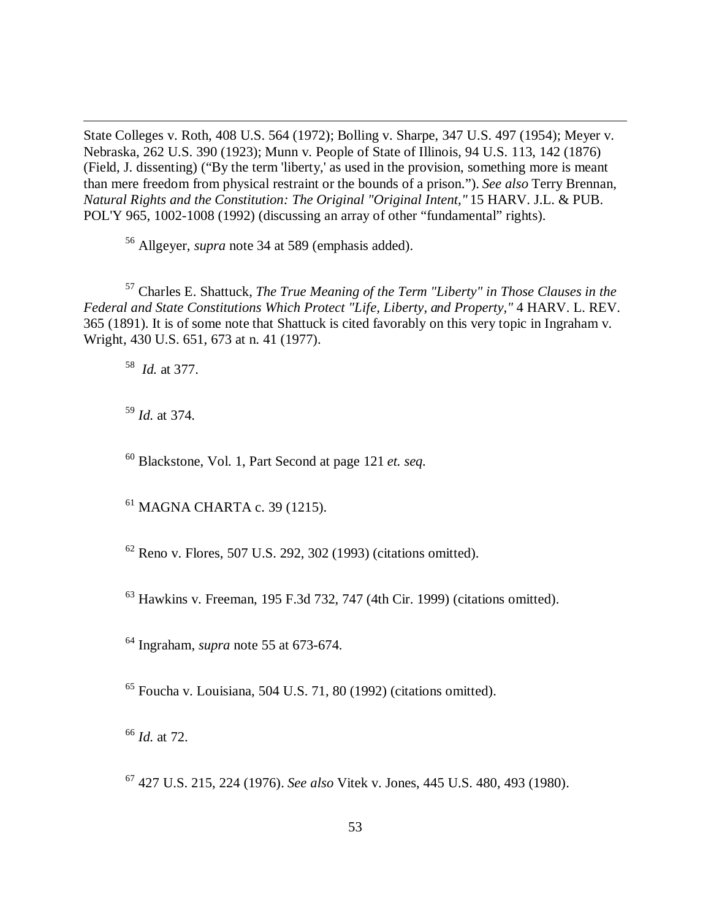State Colleges v. Roth, 408 U.S. 564 (1972); Bolling v. Sharpe, 347 U.S. 497 (1954); Meyer v. Nebraska, 262 U.S. 390 (1923); Munn v. People of State of Illinois, 94 U.S. 113, 142 (1876) (Field, J. dissenting) ("By the term 'liberty,' as used in the provision, something more is meant than mere freedom from physical restraint or the bounds of a prison."). *See also* Terry Brennan, *Natural Rights and the Constitution: The Original "Original Intent,"* 15 HARV. J.L. & PUB. POL'Y 965, 1002-1008 (1992) (discussing an array of other "fundamental" rights).

<sup>56</sup> Allgeyer, *supra* note 34 at 589 (emphasis added).

<sup>57</sup> Charles E. Shattuck, *The True Meaning of the Term "Liberty" in Those Clauses in the Federal and State Constitutions Which Protect "Life, Liberty, and Property,"* 4 HARV. L. REV. 365 (1891). It is of some note that Shattuck is cited favorably on this very topic in Ingraham v. Wright, 430 U.S. 651, 673 at n. 41 (1977).

58 *Id.* at 377.

 $\overline{a}$ 

<sup>59</sup> *Id.* at 374.

<sup>60</sup> Blackstone, Vol. 1, Part Second at page 121 *et. seq.*

<sup>61</sup> MAGNA CHARTA c. 39 (1215).

 $62$  Reno v. Flores, 507 U.S. 292, 302 (1993) (citations omitted).

 $63$  Hawkins v. Freeman, 195 F.3d 732, 747 (4th Cir. 1999) (citations omitted).

<sup>64</sup> Ingraham, *supra* note 55 at 673-674.

 $65$  Foucha v. Louisiana, 504 U.S. 71, 80 (1992) (citations omitted).

<sup>66</sup> *Id.* at 72.

<sup>67</sup> 427 U.S. 215, 224 (1976). *See also* Vitek v. Jones, 445 U.S. 480, 493 (1980).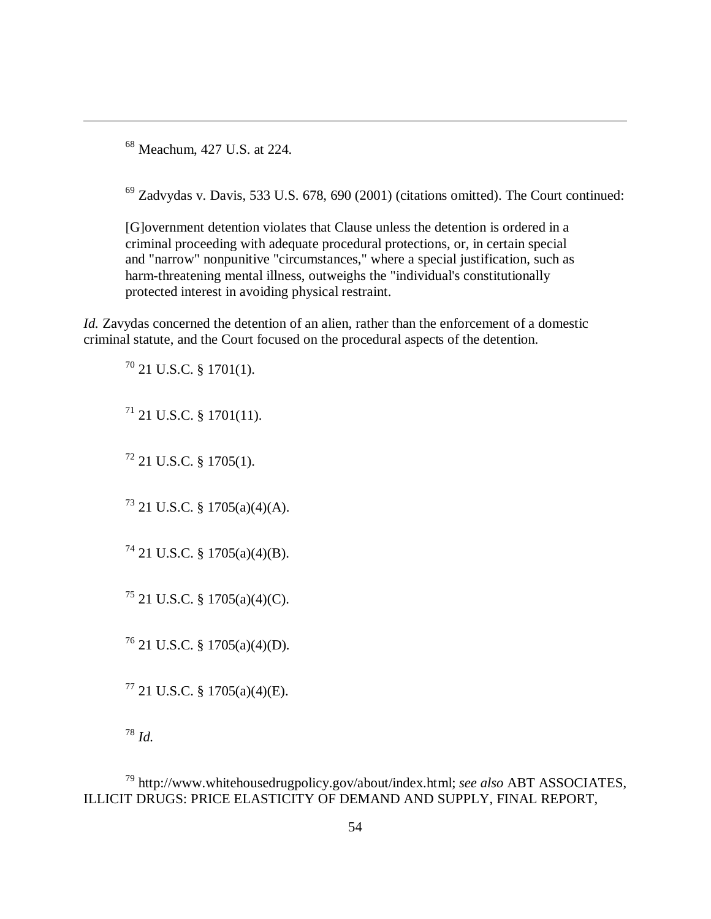<sup>68</sup> Meachum, 427 U.S. at 224.

 $\overline{a}$ 

 $69$  Zadvydas v. Davis, 533 U.S. 678, 690 (2001) (citations omitted). The Court continued:

[G]overnment detention violates that Clause unless the detention is ordered in a criminal proceeding with adequate procedural protections, or, in certain special and "narrow" nonpunitive "circumstances," where a special justification, such as harm-threatening mental illness, outweighs the "individual's constitutionally protected interest in avoiding physical restraint.

*Id.* Zavydas concerned the detention of an alien, rather than the enforcement of a domestic criminal statute, and the Court focused on the procedural aspects of the detention.

 $70$  21 U.S.C. § 1701(1).

 $^{71}$  21 U.S.C. § 1701(11).

 $^{72}$  21 U.S.C. § 1705(1).

<sup>73</sup> 21 U.S.C. § 1705(a)(4)(A).

 $^{74}$  21 U.S.C. § 1705(a)(4)(B).

 $^{75}$  21 U.S.C. § 1705(a)(4)(C).

<sup>76</sup> 21 U.S.C. § 1705(a)(4)(D).

 $77$  21 U.S.C. § 1705(a)(4)(E).

<sup>78</sup> *Id.*

<sup>79</sup> http://www.whitehousedrugpolicy.gov/about/index.html; *see also* ABT ASSOCIATES, ILLICIT DRUGS: PRICE ELASTICITY OF DEMAND AND SUPPLY, FINAL REPORT,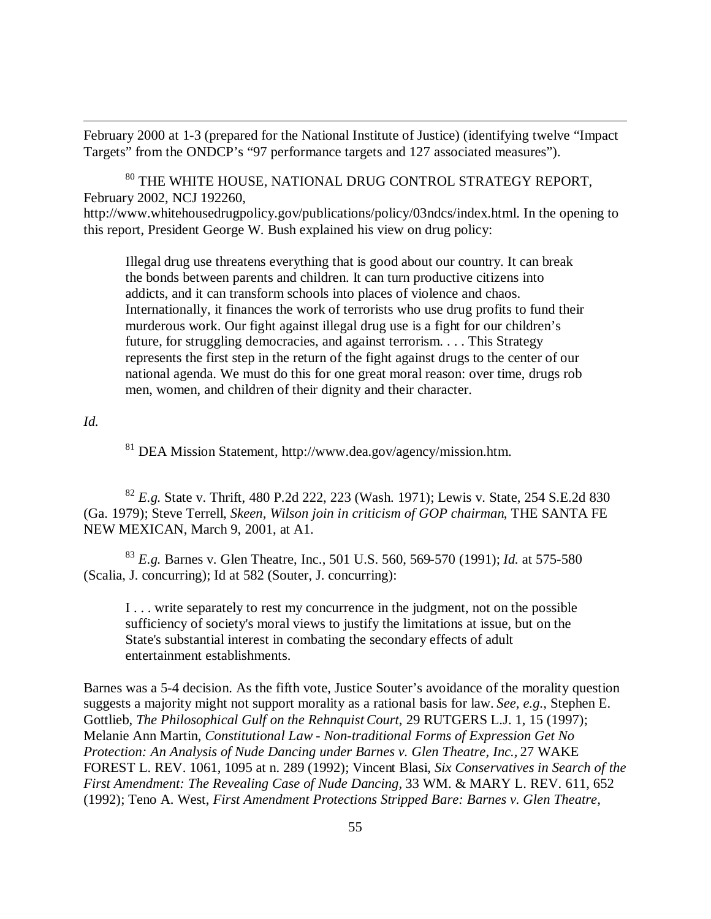February 2000 at 1-3 (prepared for the National Institute of Justice) (identifying twelve "Impact Targets" from the ONDCP's "97 performance targets and 127 associated measures").

 $^{80}$  THE WHITE HOUSE, NATIONAL DRUG CONTROL STRATEGY REPORT, February 2002, NCJ 192260, http://www.whitehousedrugpolicy.gov/publications/policy/03ndcs/index.html. In the opening to this report, President George W. Bush explained his view on drug policy:

Illegal drug use threatens everything that is good about our country. It can break the bonds between parents and children. It can turn productive citizens into addicts, and it can transform schools into places of violence and chaos. Internationally, it finances the work of terrorists who use drug profits to fund their murderous work. Our fight against illegal drug use is a fight for our children's future, for struggling democracies, and against terrorism. . . . This Strategy represents the first step in the return of the fight against drugs to the center of our national agenda. We must do this for one great moral reason: over time, drugs rob men, women, and children of their dignity and their character.

*Id.*

 $\overline{a}$ 

<sup>81</sup> DEA Mission Statement, http://www.dea.gov/agency/mission.htm.

<sup>82</sup> *E.g.* State v. Thrift, 480 P.2d 222, 223 (Wash. 1971); Lewis v. State, 254 S.E.2d 830 (Ga. 1979); Steve Terrell, *Skeen, Wilson join in criticism of GOP chairman*, THE SANTA FE NEW MEXICAN, March 9, 2001, at A1.

<sup>83</sup> *E.g.* Barnes v. Glen Theatre, Inc., 501 U.S. 560, 569-570 (1991); *Id.* at 575-580 (Scalia, J. concurring); Id at 582 (Souter, J. concurring):

I . . . write separately to rest my concurrence in the judgment, not on the possible sufficiency of society's moral views to justify the limitations at issue, but on the State's substantial interest in combating the secondary effects of adult entertainment establishments.

Barnes was a 5-4 decision. As the fifth vote, Justice Souter's avoidance of the morality question suggests a majority might not support morality as a rational basis for law. *See, e.g.*, Stephen E. Gottlieb, *The Philosophical Gulf on the Rehnquist Court*, 29 RUTGERS L.J. 1, 15 (1997); Melanie Ann Martin, *Constitutional Law - Non-traditional Forms of Expression Get No Protection: An Analysis of Nude Dancing under Barnes v. Glen Theatre, Inc.,* 27 WAKE FOREST L. REV. 1061, 1095 at n. 289 (1992); Vincent Blasi, *Six Conservatives in Search of the First Amendment: The Revealing Case of Nude Dancing,* 33 WM. & MARY L. REV. 611, 652 (1992); Teno A. West, *First Amendment Protections Stripped Bare: Barnes v. Glen Theatre,*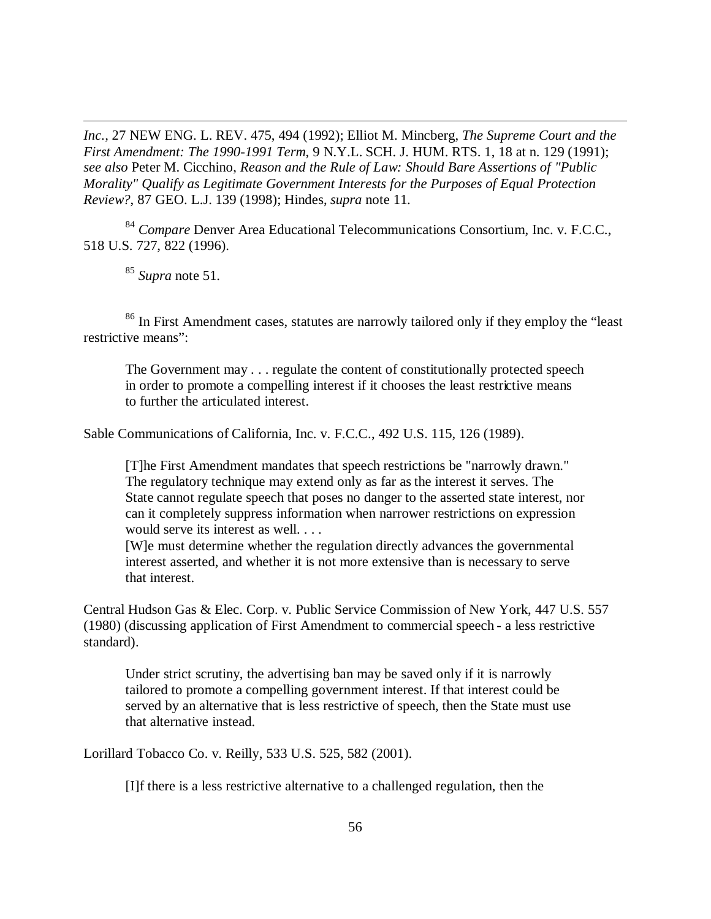*Inc.,* 27 NEW ENG. L. REV. 475, 494 (1992); Elliot M. Mincberg, *The Supreme Court and the First Amendment: The 1990-1991 Term*, 9 N.Y.L. SCH. J. HUM. RTS. 1, 18 at n. 129 (1991); *see also* Peter M. Cicchino, *Reason and the Rule of Law: Should Bare Assertions of "Public Morality" Qualify as Legitimate Government Interests for the Purposes of Equal Protection Review?*, 87 GEO. L.J. 139 (1998); Hindes, *supra* note 11.

<sup>84</sup> *Compare* Denver Area Educational Telecommunications Consortium, Inc. v. F.C.C., 518 U.S. 727, 822 (1996).

<sup>85</sup> *Supra* note 51.

 $\overline{a}$ 

<sup>86</sup> In First Amendment cases, statutes are narrowly tailored only if they employ the "least" restrictive means":

The Government may . . . regulate the content of constitutionally protected speech in order to promote a compelling interest if it chooses the least restrictive means to further the articulated interest.

Sable Communications of California, Inc. v. F.C.C., 492 U.S. 115, 126 (1989).

[T]he First Amendment mandates that speech restrictions be "narrowly drawn." The regulatory technique may extend only as far as the interest it serves. The State cannot regulate speech that poses no danger to the asserted state interest, nor can it completely suppress information when narrower restrictions on expression would serve its interest as well. . . .

[W]e must determine whether the regulation directly advances the governmental interest asserted, and whether it is not more extensive than is necessary to serve that interest.

Central Hudson Gas & Elec. Corp. v. Public Service Commission of New York, 447 U.S. 557 (1980) (discussing application of First Amendment to commercial speech - a less restrictive standard).

Under strict scrutiny, the advertising ban may be saved only if it is narrowly tailored to promote a compelling government interest. If that interest could be served by an alternative that is less restrictive of speech, then the State must use that alternative instead.

Lorillard Tobacco Co. v. Reilly, 533 U.S. 525, 582 (2001).

[I]f there is a less restrictive alternative to a challenged regulation, then the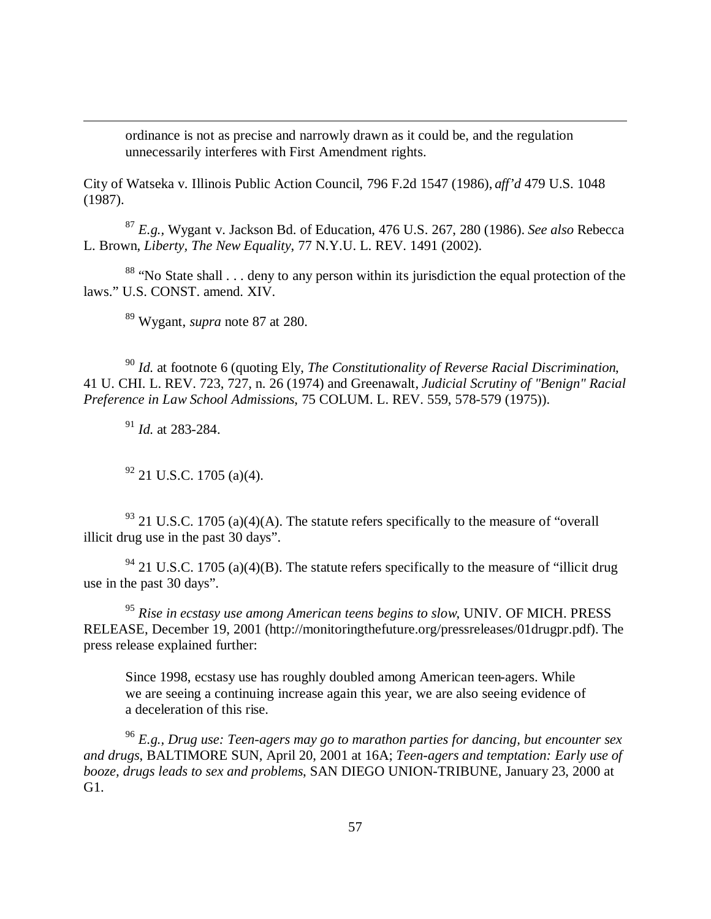ordinance is not as precise and narrowly drawn as it could be, and the regulation unnecessarily interferes with First Amendment rights.

City of Watseka v. Illinois Public Action Council, 796 F.2d 1547 (1986), *aff'd* 479 U.S. 1048 (1987).

<sup>87</sup> *E.g.,* Wygant v. Jackson Bd. of Education, 476 U.S. 267, 280 (1986). *See also* Rebecca L. Brown, *Liberty, The New Equality*, 77 N.Y.U. L. REV. 1491 (2002).

<sup>88</sup> "No State shall  $\ldots$  deny to any person within its jurisdiction the equal protection of the laws." U.S. CONST. amend. XIV.

<sup>89</sup> Wygant, *supra* note 87 at 280.

<sup>90</sup> *Id.* at footnote 6 (quoting Ely, *The Constitutionality of Reverse Racial Discrimination*, 41 U. CHI. L. REV. 723, 727, n. 26 (1974) and Greenawalt, *Judicial Scrutiny of "Benign" Racial Preference in Law School Admissions*, 75 COLUM. L. REV. 559, 578-579 (1975)).

<sup>91</sup> *Id.* at 283-284.

 $\overline{a}$ 

 $92$  21 U.S.C. 1705 (a)(4).

 $93$  21 U.S.C. 1705 (a)(4)(A). The statute refers specifically to the measure of "overall" illicit drug use in the past 30 days".

 $94$  21 U.S.C. 1705 (a)(4)(B). The statute refers specifically to the measure of "illicit drug" use in the past 30 days".

<sup>95</sup> *Rise in ecstasy use among American teens begins to slow*, UNIV. OF MICH. PRESS RELEASE, December 19, 2001 (http://monitoringthefuture.org/pressreleases/01drugpr.pdf). The press release explained further:

Since 1998, ecstasy use has roughly doubled among American teen-agers. While we are seeing a continuing increase again this year, we are also seeing evidence of a deceleration of this rise.

<sup>96</sup> *E.g., Drug use: Teen-agers may go to marathon parties for dancing, but encounter sex and drugs*, BALTIMORE SUN, April 20, 2001 at 16A; *Teen-agers and temptation: Early use of booze, drugs leads to sex and problems*, SAN DIEGO UNION-TRIBUNE, January 23, 2000 at G1.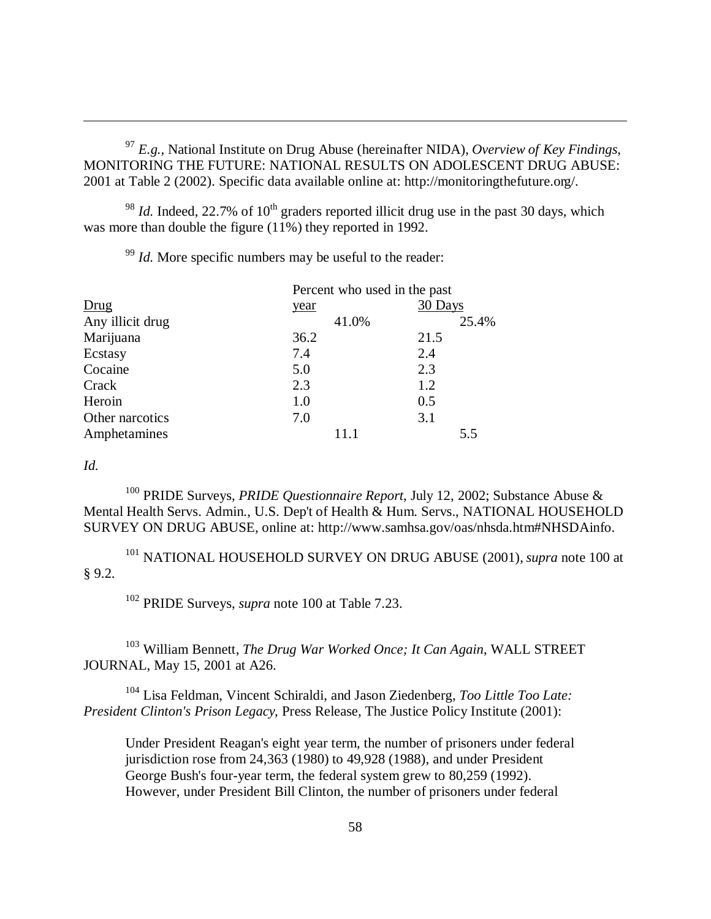<sup>97</sup> *E.g.,* National Institute on Drug Abuse (hereinafter NIDA), *Overview of Key Findings*, MONITORING THE FUTURE: NATIONAL RESULTS ON ADOLESCENT DRUG ABUSE: 2001 at Table 2 (2002). Specific data available online at: http://monitoringthefuture.org/.

 $^{98}$  *Id.* Indeed, 22.7% of 10<sup>th</sup> graders reported illicit drug use in the past 30 days, which was more than double the figure (11%) they reported in 1992.

<sup>99</sup> *Id.* More specific numbers may be useful to the reader:

|                  | Percent who used in the past |         |
|------------------|------------------------------|---------|
| Drug             | year                         | 30 Days |
| Any illicit drug | 41.0%                        | 25.4%   |
| Marijuana        | 36.2                         | 21.5    |
| Ecstasy          | 7.4                          | 2.4     |
| Cocaine          | 5.0                          | 2.3     |
| Crack            | 2.3                          | 1.2     |
| Heroin           | 1.0                          | 0.5     |
| Other narcotics  | 7.0                          | 3.1     |
| Amphetamines     | 11.1                         | 5.5     |

## *Id.*

 $\overline{a}$ 

<sup>100</sup> PRIDE Surveys, *PRIDE Questionnaire Report*, July 12, 2002; Substance Abuse & Mental Health Servs. Admin., U.S. Dep't of Health & Hum. Servs., NATIONAL HOUSEHOLD SURVEY ON DRUG ABUSE, online at: http://www.samhsa.gov/oas/nhsda.htm#NHSDAinfo.

<sup>101</sup> NATIONAL HOUSEHOLD SURVEY ON DRUG ABUSE (2001), *supra* note 100 at § 9.2.

<sup>102</sup> PRIDE Surveys, *supra* note 100 at Table 7.23.

<sup>103</sup> William Bennett, *The Drug War Worked Once; It Can Again*, WALL STREET JOURNAL, May 15, 2001 at A26.

<sup>104</sup> Lisa Feldman, Vincent Schiraldi, and Jason Ziedenberg, *Too Little Too Late: President Clinton's Prison Legacy*, Press Release, The Justice Policy Institute (2001):

Under President Reagan's eight year term, the number of prisoners under federal jurisdiction rose from 24,363 (1980) to 49,928 (1988), and under President George Bush's four-year term, the federal system grew to 80,259 (1992). However, under President Bill Clinton, the number of prisoners under federal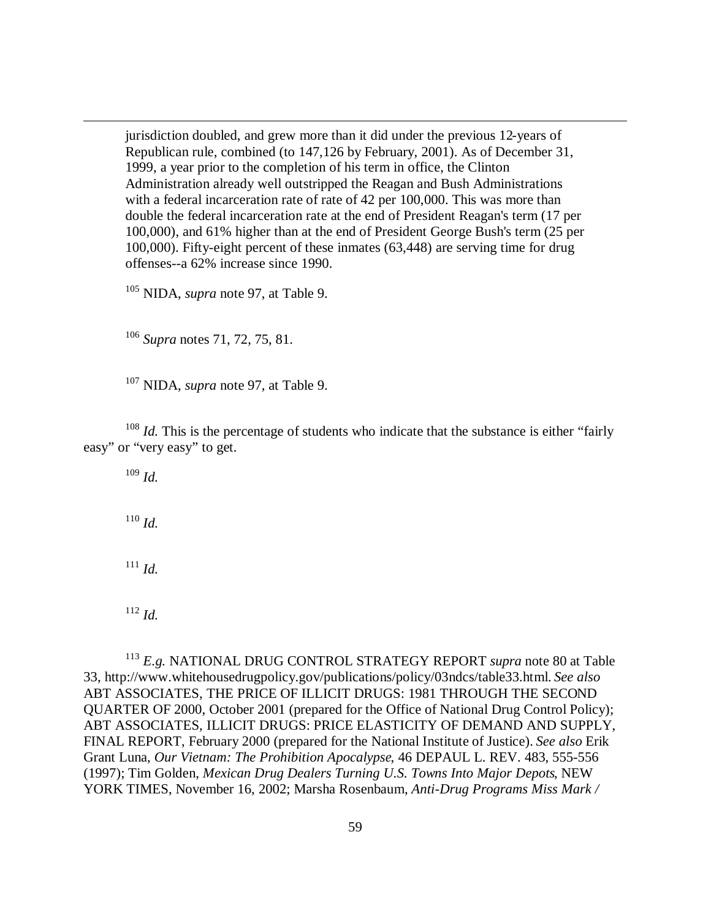jurisdiction doubled, and grew more than it did under the previous 12-years of Republican rule, combined (to 147,126 by February, 2001). As of December 31, 1999, a year prior to the completion of his term in office, the Clinton Administration already well outstripped the Reagan and Bush Administrations with a federal incarceration rate of rate of 42 per 100,000. This was more than double the federal incarceration rate at the end of President Reagan's term (17 per 100,000), and 61% higher than at the end of President George Bush's term (25 per 100,000). Fifty-eight percent of these inmates (63,448) are serving time for drug offenses--a 62% increase since 1990.

<sup>105</sup> NIDA, *supra* note 97, at Table 9.

<sup>106</sup> *Supra* notes 71, 72, 75, 81.

<sup>107</sup> NIDA, *supra* note 97, at Table 9.

<sup>108</sup> *Id.* This is the percentage of students who indicate that the substance is either "fairly" easy" or "very easy" to get.

<sup>109</sup> *Id.*

 $\overline{a}$ 

<sup>110</sup> *Id.*

<sup>111</sup> *Id.*

<sup>112</sup> *Id.*

<sup>113</sup> *E.g.* NATIONAL DRUG CONTROL STRATEGY REPORT *supra* note 80 at Table 33, http://www.whitehousedrugpolicy.gov/publications/policy/03ndcs/table33.html. *See also* ABT ASSOCIATES, THE PRICE OF ILLICIT DRUGS: 1981 THROUGH THE SECOND QUARTER OF 2000, October 2001 (prepared for the Office of National Drug Control Policy); ABT ASSOCIATES, ILLICIT DRUGS: PRICE ELASTICITY OF DEMAND AND SUPPLY, FINAL REPORT, February 2000 (prepared for the National Institute of Justice). *See also* Erik Grant Luna, *Our Vietnam: The Prohibition Apocalypse*, 46 DEPAUL L. REV. 483, 555-556 (1997); Tim Golden, *Mexican Drug Dealers Turning U.S. Towns Into Major Depots*, NEW YORK TIMES, November 16, 2002; Marsha Rosenbaum, *Anti-Drug Programs Miss Mark /*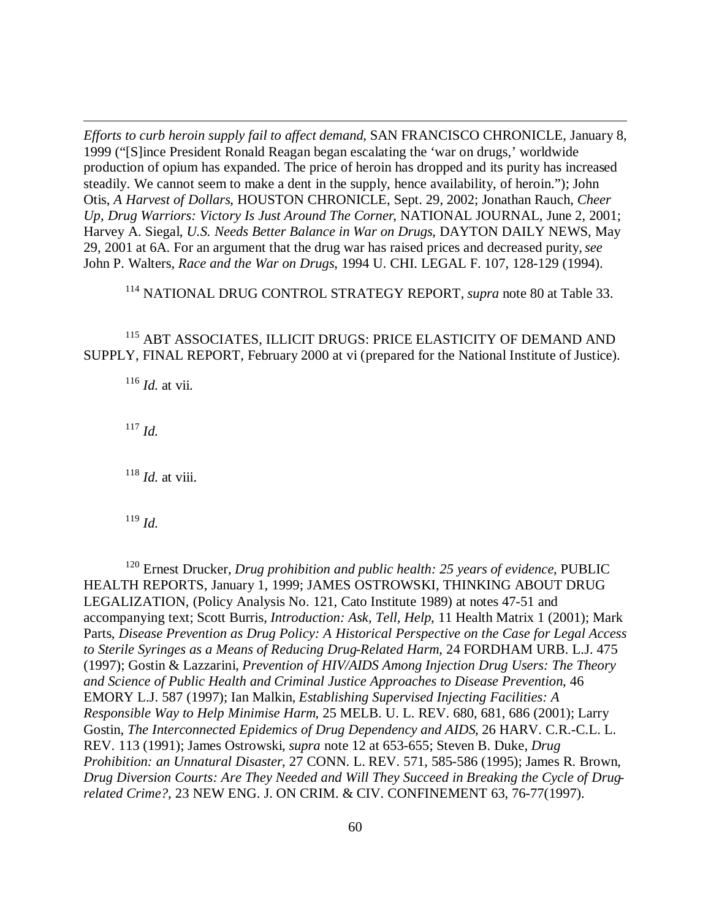*Efforts to curb heroin supply fail to affect demand*, SAN FRANCISCO CHRONICLE, January 8, 1999 ("[S]ince President Ronald Reagan began escalating the 'war on drugs,' worldwide production of opium has expanded. The price of heroin has dropped and its purity has increased steadily. We cannot seem to make a dent in the supply, hence availability, of heroin."); John Otis, *A Harvest of Dollars*, HOUSTON CHRONICLE, Sept. 29, 2002; Jonathan Rauch, *Cheer Up, Drug Warriors: Victory Is Just Around The Corner*, NATIONAL JOURNAL, June 2, 2001; Harvey A. Siegal, *U.S. Needs Better Balance in War on Drugs*, DAYTON DAILY NEWS, May 29, 2001 at 6A. For an argument that the drug war has raised prices and decreased purity, *see* John P. Walters, *Race and the War on Drugs*, 1994 U. CHI. LEGAL F. 107, 128-129 (1994).

<sup>114</sup> NATIONAL DRUG CONTROL STRATEGY REPORT, *supra* note 80 at Table 33.

<sup>115</sup> ABT ASSOCIATES, ILLICIT DRUGS: PRICE ELASTICITY OF DEMAND AND SUPPLY, FINAL REPORT, February 2000 at vi (prepared for the National Institute of Justice).

 $116$  *Id.* at vii.

<sup>117</sup> *Id.*

 $\overline{a}$ 

 $118$  *Id.* at viii.

<sup>119</sup> *Id.*

<sup>120</sup> Ernest Drucker, *Drug prohibition and public health: 25 years of evidence*, PUBLIC HEALTH REPORTS, January 1, 1999; JAMES OSTROWSKI, THINKING ABOUT DRUG LEGALIZATION, (Policy Analysis No. 121, Cato Institute 1989) at notes 47-51 and accompanying text; Scott Burris, *Introduction: Ask, Tell, Help*, 11 Health Matrix 1 (2001); Mark Parts, *Disease Prevention as Drug Policy: A Historical Perspective on the Case for Legal Access to Sterile Syringes as a Means of Reducing Drug-Related Harm*, 24 FORDHAM URB. L.J. 475 (1997); Gostin & Lazzarini, *Prevention of HIV/AIDS Among Injection Drug Users: The Theory and Science of Public Health and Criminal Justice Approaches to Disease Prevention*, 46 EMORY L.J. 587 (1997); Ian Malkin, *Establishing Supervised Injecting Facilities: A Responsible Way to Help Minimise Harm*, 25 MELB. U. L. REV. 680, 681, 686 (2001); Larry Gostin, *The Interconnected Epidemics of Drug Dependency and AIDS*, 26 HARV. C.R.-C.L. L. REV. 113 (1991); James Ostrowski, *supra* note 12 at 653-655; Steven B. Duke, *Drug Prohibition: an Unnatural Disaster*, 27 CONN. L. REV. 571, 585-586 (1995); James R. Brown, *Drug Diversion Courts: Are They Needed and Will They Succeed in Breaking the Cycle of Drugrelated Crime?*, 23 NEW ENG. J. ON CRIM. & CIV. CONFINEMENT 63, 76-77(1997).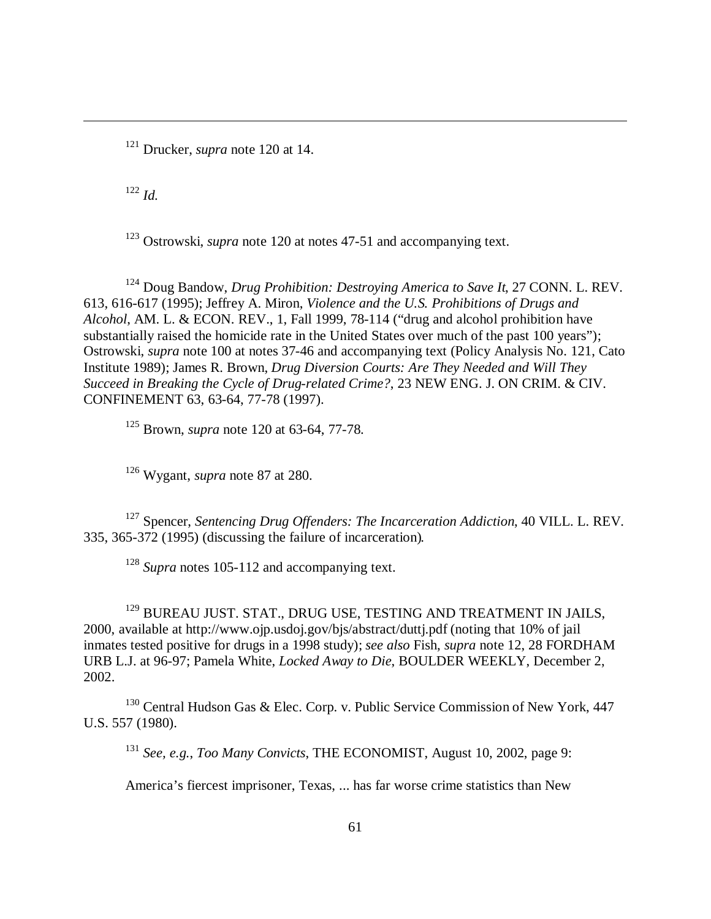<sup>121</sup> Drucker, *supra* note 120 at 14.

<sup>122</sup> *Id.*

 $\overline{a}$ 

<sup>123</sup> Ostrowski, *supra* note 120 at notes 47-51 and accompanying text.

<sup>124</sup> Doug Bandow, *Drug Prohibition: Destroying America to Save It*, 27 CONN. L. REV. 613, 616-617 (1995); Jeffrey A. Miron, *Violence and the U.S. Prohibitions of Drugs and Alcohol*, AM. L. & ECON. REV., 1, Fall 1999, 78-114 ("drug and alcohol prohibition have substantially raised the homicide rate in the United States over much of the past 100 years"); Ostrowski, *supra* note 100 at notes 37-46 and accompanying text (Policy Analysis No. 121, Cato Institute 1989); James R. Brown, *Drug Diversion Courts: Are They Needed and Will They Succeed in Breaking the Cycle of Drug-related Crime?*, 23 NEW ENG. J. ON CRIM. & CIV. CONFINEMENT 63, 63-64, 77-78 (1997).

<sup>125</sup> Brown, *supra* note 120 at 63-64, 77-78.

<sup>126</sup> Wygant, *supra* note 87 at 280.

<sup>127</sup> Spencer, *Sentencing Drug Offenders: The Incarceration Addiction*, 40 VILL. L. REV. 335, 365-372 (1995) (discussing the failure of incarceration).

<sup>128</sup> *Supra* notes 105-112 and accompanying text.

<sup>129</sup> BUREAU JUST. STAT., DRUG USE, TESTING AND TREATMENT IN JAILS, 2000, available at http://www.ojp.usdoj.gov/bjs/abstract/duttj.pdf (noting that 10% of jail inmates tested positive for drugs in a 1998 study); *see also* Fish, *supra* note 12, 28 FORDHAM URB L.J. at 96-97; Pamela White, *Locked Away to Die*, BOULDER WEEKLY, December 2, 2002.

<sup>130</sup> Central Hudson Gas & Elec. Corp. v. Public Service Commission of New York, 447 U.S. 557 (1980).

<sup>131</sup> *See, e.g.*, *Too Many Convicts*, THE ECONOMIST, August 10, 2002, page 9:

America's fiercest imprisoner, Texas, ... has far worse crime statistics than New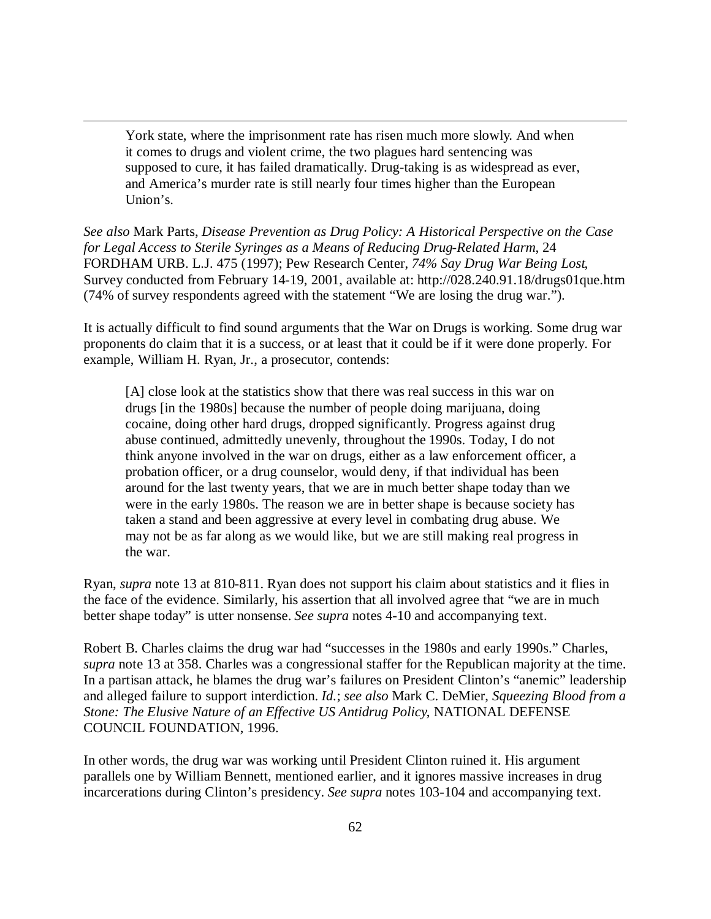York state, where the imprisonment rate has risen much more slowly. And when it comes to drugs and violent crime, the two plagues hard sentencing was supposed to cure, it has failed dramatically. Drug-taking is as widespread as ever, and America's murder rate is still nearly four times higher than the European Union's.

 $\overline{a}$ 

*See also* Mark Parts, *Disease Prevention as Drug Policy: A Historical Perspective on the Case for Legal Access to Sterile Syringes as a Means of Reducing Drug-Related Harm*, 24 FORDHAM URB. L.J. 475 (1997); Pew Research Center, *74% Say Drug War Being Lost*, Survey conducted from February 14-19, 2001, available at: http://028.240.91.18/drugs01que.htm (74% of survey respondents agreed with the statement "We are losing the drug war.").

It is actually difficult to find sound arguments that the War on Drugs is working. Some drug war proponents do claim that it is a success, or at least that it could be if it were done properly. For example, William H. Ryan, Jr., a prosecutor, contends:

[A] close look at the statistics show that there was real success in this war on drugs [in the 1980s] because the number of people doing marijuana, doing cocaine, doing other hard drugs, dropped significantly. Progress against drug abuse continued, admittedly unevenly, throughout the 1990s. Today, I do not think anyone involved in the war on drugs, either as a law enforcement officer, a probation officer, or a drug counselor, would deny, if that individual has been around for the last twenty years, that we are in much better shape today than we were in the early 1980s. The reason we are in better shape is because society has taken a stand and been aggressive at every level in combating drug abuse. We may not be as far along as we would like, but we are still making real progress in the war.

Ryan, *supra* note 13 at 810-811. Ryan does not support his claim about statistics and it flies in the face of the evidence. Similarly, his assertion that all involved agree that "we are in much better shape today" is utter nonsense. *See supra* notes 4-10 and accompanying text.

Robert B. Charles claims the drug war had "successes in the 1980s and early 1990s." Charles, *supra* note 13 at 358. Charles was a congressional staffer for the Republican majority at the time. In a partisan attack, he blames the drug war's failures on President Clinton's "anemic" leadership and alleged failure to support interdiction. *Id.*; *see also* Mark C. DeMier, *Squeezing Blood from a Stone: The Elusive Nature of an Effective US Antidrug Policy*, NATIONAL DEFENSE COUNCIL FOUNDATION, 1996.

In other words, the drug war was working until President Clinton ruined it. His argument parallels one by William Bennett, mentioned earlier, and it ignores massive increases in drug incarcerations during Clinton's presidency. *See supra* notes 103-104 and accompanying text.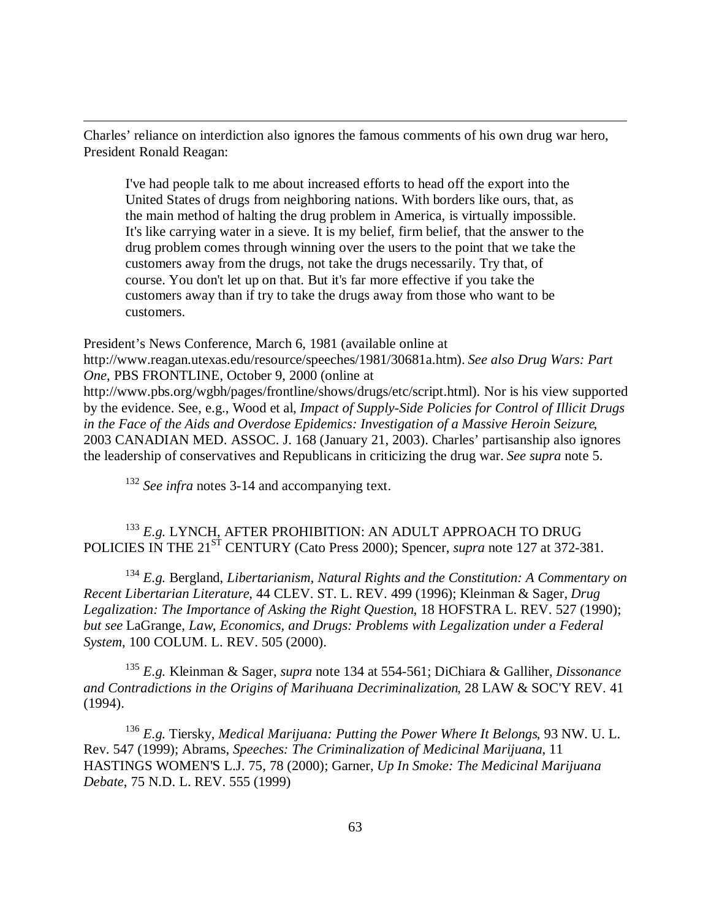Charles' reliance on interdiction also ignores the famous comments of his own drug war hero, President Ronald Reagan:

I've had people talk to me about increased efforts to head off the export into the United States of drugs from neighboring nations. With borders like ours, that, as the main method of halting the drug problem in America, is virtually impossible. It's like carrying water in a sieve. It is my belief, firm belief, that the answer to the drug problem comes through winning over the users to the point that we take the customers away from the drugs, not take the drugs necessarily. Try that, of course. You don't let up on that. But it's far more effective if you take the customers away than if try to take the drugs away from those who want to be customers.

President's News Conference, March 6, 1981 (available online at http://www.reagan.utexas.edu/resource/speeches/1981/30681a.htm). *See also Drug Wars: Part One*, PBS FRONTLINE, October 9, 2000 (online at

http://www.pbs.org/wgbh/pages/frontline/shows/drugs/etc/script.html). Nor is his view supported by the evidence. See, e.g., Wood et al, *Impact of Supply-Side Policies for Control of Illicit Drugs in the Face of the Aids and Overdose Epidemics: Investigation of a Massive Heroin Seizure*, 2003 CANADIAN MED. ASSOC. J. 168 (January 21, 2003). Charles' partisanship also ignores the leadership of conservatives and Republicans in criticizing the drug war. *See supra* note 5.

<sup>132</sup> See infra notes 3-14 and accompanying text.

 $\overline{a}$ 

 $^{133}$   $E.g.$  LYNCH, AFTER PROHIBITION: AN ADULT APPROACH TO DRUG POLICIES IN THE 21<sup>ST</sup> CENTURY (Cato Press 2000); Spencer, *supra* note 127 at 372-381.

<sup>134</sup> *E.g.* Bergland, *Libertarianism, Natural Rights and the Constitution: A Commentary on Recent Libertarian Literature*, 44 CLEV. ST. L. REV. 499 (1996); Kleinman & Sager, *Drug Legalization: The Importance of Asking the Right Question*, 18 HOFSTRA L. REV. 527 (1990); *but see* LaGrange, *Law, Economics, and Drugs: Problems with Legalization under a Federal System*, 100 COLUM. L. REV. 505 (2000).

<sup>135</sup> *E.g.* Kleinman & Sager, *supra* note 134 at 554-561; DiChiara & Galliher, *Dissonance and Contradictions in the Origins of Marihuana Decriminalization*, 28 LAW & SOC'Y REV. 41 (1994).

<sup>136</sup> *E.g.* Tiersky, *Medical Marijuana: Putting the Power Where It Belongs*, 93 NW. U. L. Rev. 547 (1999); Abrams, *Speeches: The Criminalization of Medicinal Marijuana*, 11 HASTINGS WOMEN'S L.J. 75, 78 (2000); Garner, *Up In Smoke: The Medicinal Marijuana Debate*, 75 N.D. L. REV. 555 (1999)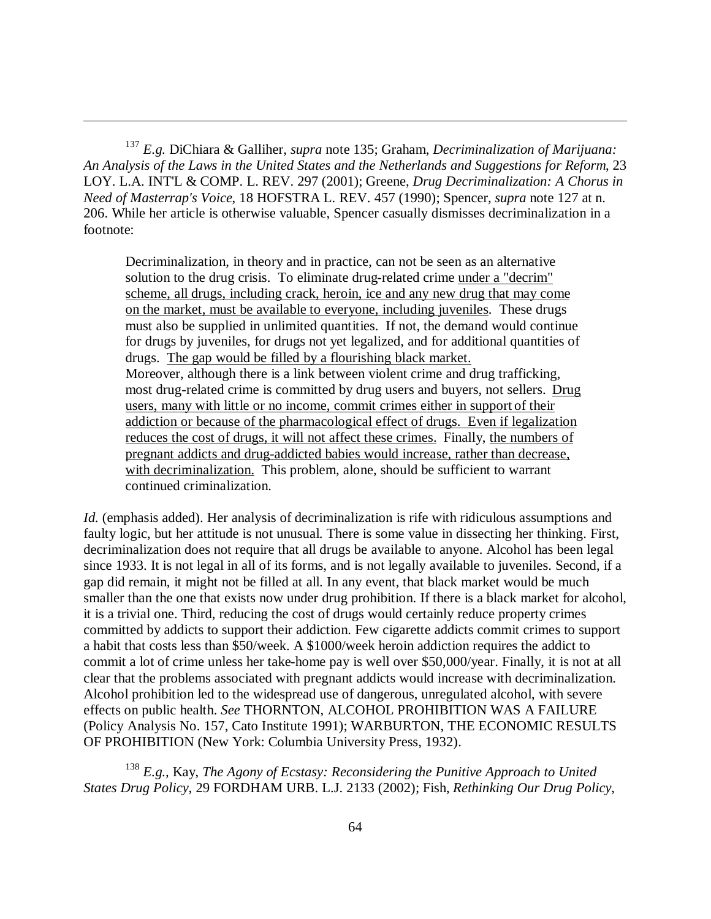<sup>137</sup> *E.g.* DiChiara & Galliher, *supra* note 135; Graham, *Decriminalization of Marijuana: An Analysis of the Laws in the United States and the Netherlands and Suggestions for Reform*, 23 LOY. L.A. INT'L & COMP. L. REV. 297 (2001); Greene, *Drug Decriminalization: A Chorus in Need of Masterrap's Voice*, 18 HOFSTRA L. REV. 457 (1990); Spencer, *supra* note 127 at n. 206. While her article is otherwise valuable, Spencer casually dismisses decriminalization in a footnote:

 $\overline{a}$ 

Decriminalization, in theory and in practice, can not be seen as an alternative solution to the drug crisis. To eliminate drug-related crime under a "decrim" scheme, all drugs, including crack, heroin, ice and any new drug that may come on the market, must be available to everyone, including juveniles. These drugs must also be supplied in unlimited quantities. If not, the demand would continue for drugs by juveniles, for drugs not yet legalized, and for additional quantities of drugs. The gap would be filled by a flourishing black market. Moreover, although there is a link between violent crime and drug trafficking, most drug-related crime is committed by drug users and buyers, not sellers. Drug users, many with little or no income, commit crimes either in support of their addiction or because of the pharmacological effect of drugs. Even if legalization reduces the cost of drugs, it will not affect these crimes. Finally, the numbers of pregnant addicts and drug-addicted babies would increase, rather than decrease, with decriminalization. This problem, alone, should be sufficient to warrant continued criminalization.

*Id.* (emphasis added). Her analysis of decriminalization is rife with ridiculous assumptions and faulty logic, but her attitude is not unusual. There is some value in dissecting her thinking. First, decriminalization does not require that all drugs be available to anyone. Alcohol has been legal since 1933. It is not legal in all of its forms, and is not legally available to juveniles. Second, if a gap did remain, it might not be filled at all. In any event, that black market would be much smaller than the one that exists now under drug prohibition. If there is a black market for alcohol, it is a trivial one. Third, reducing the cost of drugs would certainly reduce property crimes committed by addicts to support their addiction. Few cigarette addicts commit crimes to support a habit that costs less than \$50/week. A \$1000/week heroin addiction requires the addict to commit a lot of crime unless her take-home pay is well over \$50,000/year. Finally, it is not at all clear that the problems associated with pregnant addicts would increase with decriminalization. Alcohol prohibition led to the widespread use of dangerous, unregulated alcohol, with severe effects on public health. *See* THORNTON, ALCOHOL PROHIBITION WAS A FAILURE (Policy Analysis No. 157, Cato Institute 1991); WARBURTON, THE ECONOMIC RESULTS OF PROHIBITION (New York: Columbia University Press, 1932).

<sup>138</sup> *E.g.,* Kay, *The Agony of Ecstasy: Reconsidering the Punitive Approach to United States Drug Policy*, 29 FORDHAM URB. L.J. 2133 (2002); Fish, *Rethinking Our Drug Policy*,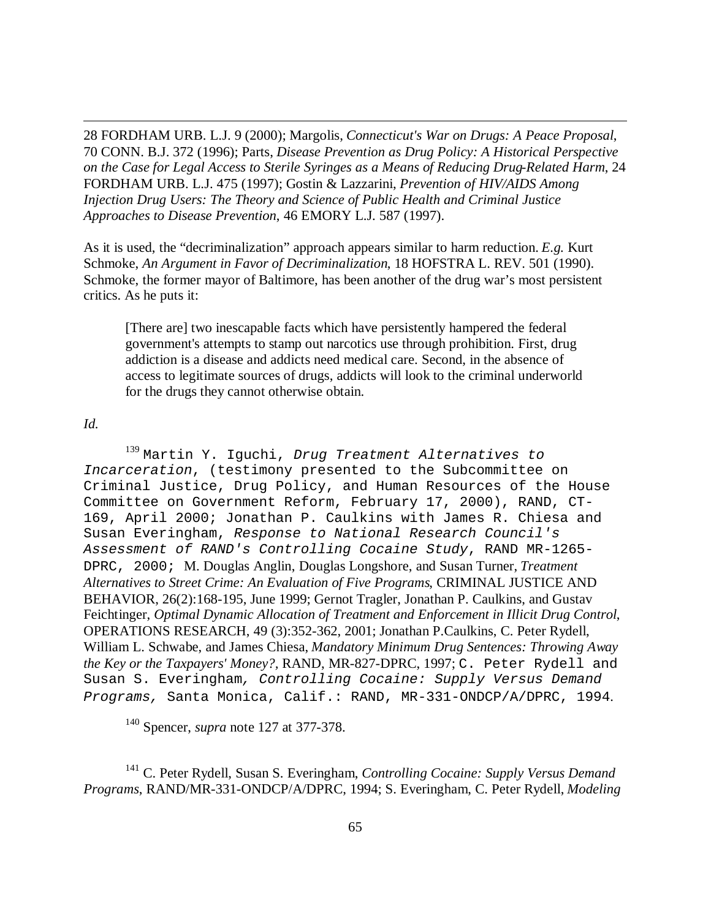28 FORDHAM URB. L.J. 9 (2000); Margolis, *Connecticut's War on Drugs: A Peace Proposal*, 70 CONN. B.J. 372 (1996); Parts, *Disease Prevention as Drug Policy: A Historical Perspective on the Case for Legal Access to Sterile Syringes as a Means of Reducing Drug-Related Harm*, 24 FORDHAM URB. L.J. 475 (1997); Gostin & Lazzarini, *Prevention of HIV/AIDS Among Injection Drug Users: The Theory and Science of Public Health and Criminal Justice Approaches to Disease Prevention*, 46 EMORY L.J. 587 (1997).

As it is used, the "decriminalization" approach appears similar to harm reduction. *E.g.* Kurt Schmoke, *An Argument in Favor of Decriminalization*, 18 HOFSTRA L. REV. 501 (1990). Schmoke, the former mayor of Baltimore, has been another of the drug war's most persistent critics. As he puts it:

[There are] two inescapable facts which have persistently hampered the federal government's attempts to stamp out narcotics use through prohibition. First, drug addiction is a disease and addicts need medical care. Second, in the absence of access to legitimate sources of drugs, addicts will look to the criminal underworld for the drugs they cannot otherwise obtain.

## *Id.*

 $\overline{a}$ 

<sup>139</sup> Martin Y. Iguchi, *Drug Treatment Alternatives to Incarceration*, (testimony presented to the Subcommittee on Criminal Justice, Drug Policy, and Human Resources of the House Committee on Government Reform, February 17, 2000), RAND, CT-169, April 2000; Jonathan P. Caulkins with James R. Chiesa and Susan Everingham, *Response to National Research Council's Assessment of RAND's Controlling Cocaine Study*, RAND MR-1265- DPRC, 2000; M. Douglas Anglin, Douglas Longshore, and Susan Turner, *Treatment Alternatives to Street Crime: An Evaluation of Five Programs*, CRIMINAL JUSTICE AND BEHAVIOR, 26(2):168-195, June 1999; Gernot Tragler, Jonathan P. Caulkins, and Gustav Feichtinger, *Optimal Dynamic Allocation of Treatment and Enforcement in Illicit Drug Control*, OPERATIONS RESEARCH, 49 (3):352-362, 2001; Jonathan P.Caulkins, C. Peter Rydell, William L. Schwabe, and James Chiesa, *Mandatory Minimum Drug Sentences: Throwing Away the Key or the Taxpayers' Money?,* RAND, MR-827-DPRC, 1997; C. Peter Rydell and Susan S. Everingham*, Controlling Cocaine: Supply Versus Demand Programs,* Santa Monica, Calif.: RAND, MR-331-ONDCP/A/DPRC, 1994.

<sup>140</sup> Spencer, *supra* note 127 at 377-378.

<sup>141</sup> C. Peter Rydell, Susan S. Everingham, *Controlling Cocaine: Supply Versus Demand Programs*, RAND/MR-331-ONDCP/A/DPRC, 1994; S. Everingham, C. Peter Rydell, *Modeling*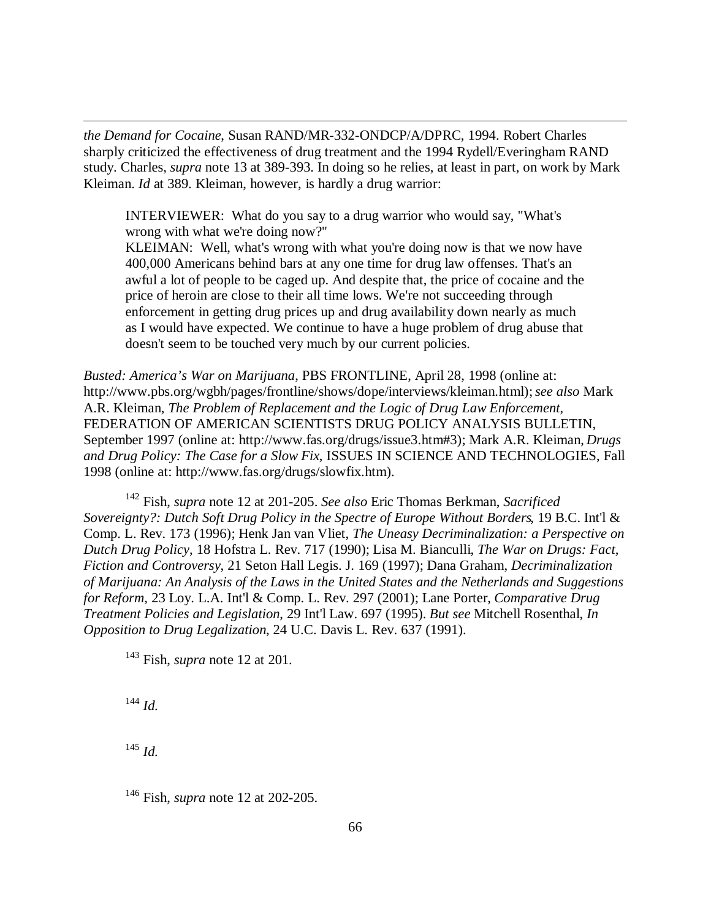*the Demand for Cocaine*, Susan RAND/MR-332-ONDCP/A/DPRC, 1994. Robert Charles sharply criticized the effectiveness of drug treatment and the 1994 Rydell/Everingham RAND study. Charles, *supra* note 13 at 389-393. In doing so he relies, at least in part, on work by Mark Kleiman. *Id* at 389. Kleiman, however, is hardly a drug warrior:

INTERVIEWER: What do you say to a drug warrior who would say, "What's wrong with what we're doing now?"

KLEIMAN: Well, what's wrong with what you're doing now is that we now have 400,000 Americans behind bars at any one time for drug law offenses. That's an awful a lot of people to be caged up. And despite that, the price of cocaine and the price of heroin are close to their all time lows. We're not succeeding through enforcement in getting drug prices up and drug availability down nearly as much as I would have expected. We continue to have a huge problem of drug abuse that doesn't seem to be touched very much by our current policies.

*Busted: America's War on Marijuana*, PBS FRONTLINE, April 28, 1998 (online at: http://www.pbs.org/wgbh/pages/frontline/shows/dope/interviews/kleiman.html); *see also* Mark A.R. Kleiman, *The Problem of Replacement and the Logic of Drug Law Enforcement*, FEDERATION OF AMERICAN SCIENTISTS DRUG POLICY ANALYSIS BULLETIN, September 1997 (online at: http://www.fas.org/drugs/issue3.htm#3); Mark A.R. Kleiman, *Drugs and Drug Policy: The Case for a Slow Fix*, ISSUES IN SCIENCE AND TECHNOLOGIES, Fall 1998 (online at: http://www.fas.org/drugs/slowfix.htm).

<sup>142</sup> Fish, *supra* note 12 at 201-205. *See also* Eric Thomas Berkman, *Sacrificed Sovereignty?: Dutch Soft Drug Policy in the Spectre of Europe Without Borders*, 19 B.C. Int'l & Comp. L. Rev. 173 (1996); Henk Jan van Vliet, *The Uneasy Decriminalization: a Perspective on Dutch Drug Policy*, 18 Hofstra L. Rev. 717 (1990); Lisa M. Bianculli, *The War on Drugs: Fact, Fiction and Controversy*, 21 Seton Hall Legis. J. 169 (1997); Dana Graham, *Decriminalization of Marijuana: An Analysis of the Laws in the United States and the Netherlands and Suggestions for Reform*, 23 Loy. L.A. Int'l & Comp. L. Rev. 297 (2001); Lane Porter, *Comparative Drug Treatment Policies and Legislation*, 29 Int'l Law. 697 (1995). *But see* Mitchell Rosenthal, *In Opposition to Drug Legalization*, 24 U.C. Davis L. Rev. 637 (1991).

<sup>143</sup> Fish, *supra* note 12 at 201.

<sup>144</sup> *Id.*

 $\overline{a}$ 

<sup>145</sup> *Id.*

<sup>146</sup> Fish, *supra* note 12 at 202-205.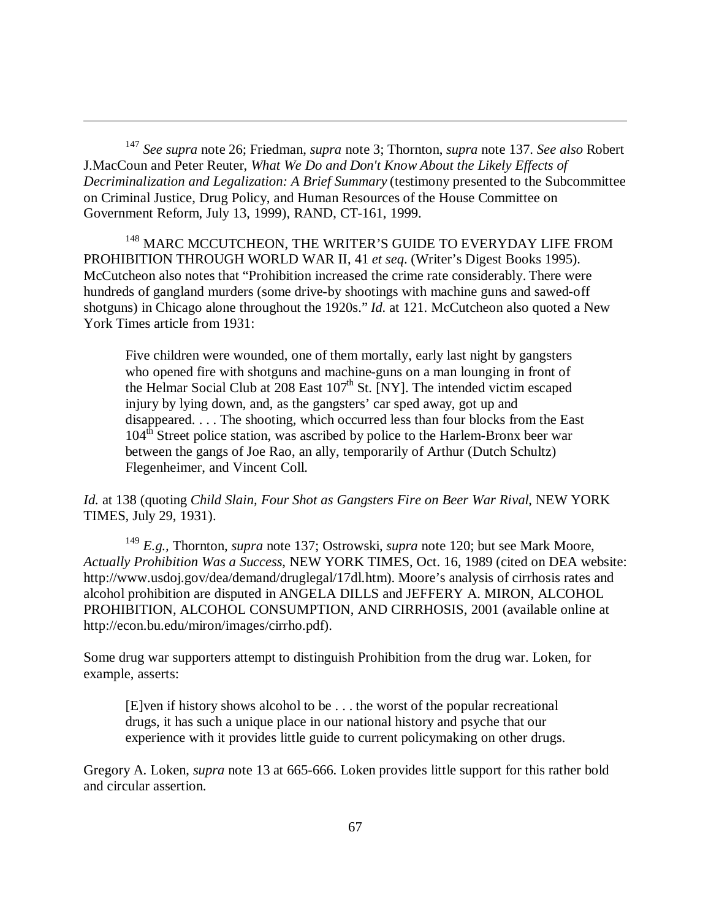<sup>147</sup> *See supra* note 26; Friedman, *supra* note 3; Thornton, *supra* note 137. *See also* Robert J.MacCoun and Peter Reuter, *What We Do and Don't Know About the Likely Effects of Decriminalization and Legalization: A Brief Summary* (testimony presented to the Subcommittee on Criminal Justice, Drug Policy, and Human Resources of the House Committee on Government Reform, July 13, 1999), RAND, CT-161, 1999.

 $\overline{a}$ 

<sup>148</sup> MARC MCCUTCHEON, THE WRITER'S GUIDE TO EVERYDAY LIFE FROM PROHIBITION THROUGH WORLD WAR II, 41 *et seq*. (Writer's Digest Books 1995). McCutcheon also notes that "Prohibition increased the crime rate considerably. There were hundreds of gangland murders (some drive-by shootings with machine guns and sawed-off shotguns) in Chicago alone throughout the 1920s." *Id.* at 121. McCutcheon also quoted a New York Times article from 1931:

Five children were wounded, one of them mortally, early last night by gangsters who opened fire with shotguns and machine-guns on a man lounging in front of the Helmar Social Club at  $208$  East  $107<sup>th</sup>$  St. [NY]. The intended victim escaped injury by lying down, and, as the gangsters' car sped away, got up and disappeared. . . . The shooting, which occurred less than four blocks from the East  $104<sup>th</sup>$  Street police station, was ascribed by police to the Harlem-Bronx beer war between the gangs of Joe Rao, an ally, temporarily of Arthur (Dutch Schultz) Flegenheimer, and Vincent Coll.

*Id.* at 138 (quoting *Child Slain, Four Shot as Gangsters Fire on Beer War Rival*, NEW YORK TIMES, July 29, 1931).

<sup>149</sup> *E.g.,* Thornton, *supra* note 137; Ostrowski, *supra* note 120; but see Mark Moore, *Actually Prohibition Was a Success*, NEW YORK TIMES, Oct. 16, 1989 (cited on DEA website: http://www.usdoj.gov/dea/demand/druglegal/17dl.htm). Moore's analysis of cirrhosis rates and alcohol prohibition are disputed in ANGELA DILLS and JEFFERY A. MIRON, ALCOHOL PROHIBITION, ALCOHOL CONSUMPTION, AND CIRRHOSIS, 2001 (available online at http://econ.bu.edu/miron/images/cirrho.pdf).

Some drug war supporters attempt to distinguish Prohibition from the drug war. Loken, for example, asserts:

[E]ven if history shows alcohol to be . . . the worst of the popular recreational drugs, it has such a unique place in our national history and psyche that our experience with it provides little guide to current policymaking on other drugs.

Gregory A. Loken, *supra* note 13 at 665-666. Loken provides little support for this rather bold and circular assertion.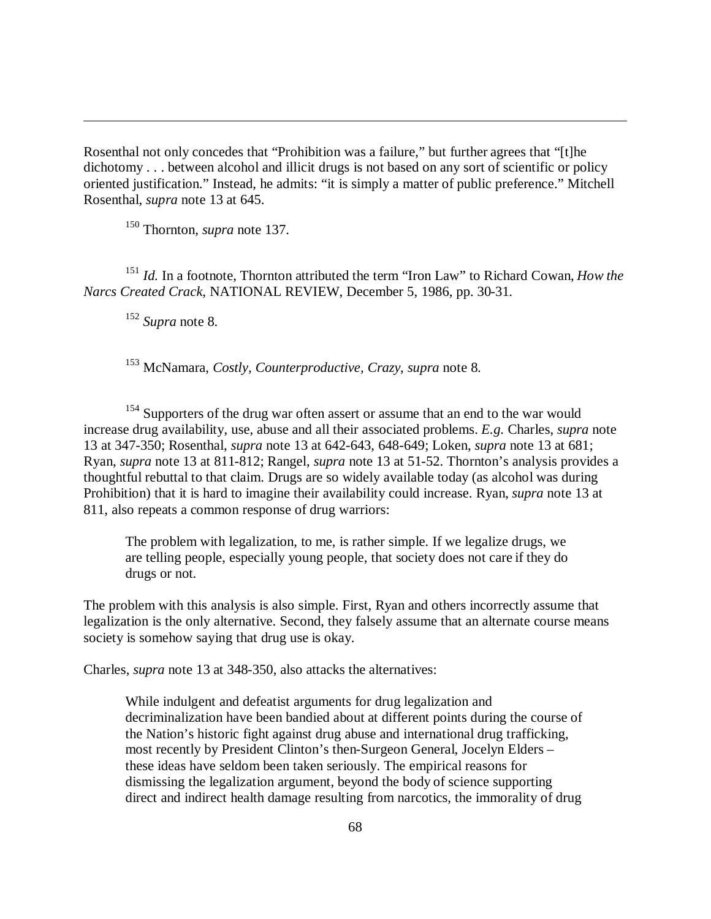Rosenthal not only concedes that "Prohibition was a failure," but further agrees that "[t]he dichotomy . . . between alcohol and illicit drugs is not based on any sort of scientific or policy oriented justification." Instead, he admits: "it is simply a matter of public preference." Mitchell Rosenthal, *supra* note 13 at 645.

<sup>150</sup> Thornton, *supra* note 137.

<sup>151</sup> *Id.* In a footnote, Thornton attributed the term "Iron Law" to Richard Cowan, *How the Narcs Created Crack*, NATIONAL REVIEW, December 5, 1986, pp. 30-31.

<sup>152</sup> *Supra* note 8.

 $\overline{a}$ 

<sup>153</sup> McNamara, *Costly, Counterproductive, Crazy*, *supra* note 8.

<sup>154</sup> Supporters of the drug war often assert or assume that an end to the war would increase drug availability, use, abuse and all their associated problems. *E.g.* Charles, *supra* note 13 at 347-350; Rosenthal, *supra* note 13 at 642-643, 648-649; Loken, *supra* note 13 at 681; Ryan, *supra* note 13 at 811-812; Rangel, *supra* note 13 at 51-52. Thornton's analysis provides a thoughtful rebuttal to that claim. Drugs are so widely available today (as alcohol was during Prohibition) that it is hard to imagine their availability could increase. Ryan, *supra* note 13 at 811, also repeats a common response of drug warriors:

The problem with legalization, to me, is rather simple. If we legalize drugs, we are telling people, especially young people, that society does not care if they do drugs or not.

The problem with this analysis is also simple. First, Ryan and others incorrectly assume that legalization is the only alternative. Second, they falsely assume that an alternate course means society is somehow saying that drug use is okay.

Charles, *supra* note 13 at 348-350, also attacks the alternatives:

While indulgent and defeatist arguments for drug legalization and decriminalization have been bandied about at different points during the course of the Nation's historic fight against drug abuse and international drug trafficking, most recently by President Clinton's then-Surgeon General, Jocelyn Elders – these ideas have seldom been taken seriously. The empirical reasons for dismissing the legalization argument, beyond the body of science supporting direct and indirect health damage resulting from narcotics, the immorality of drug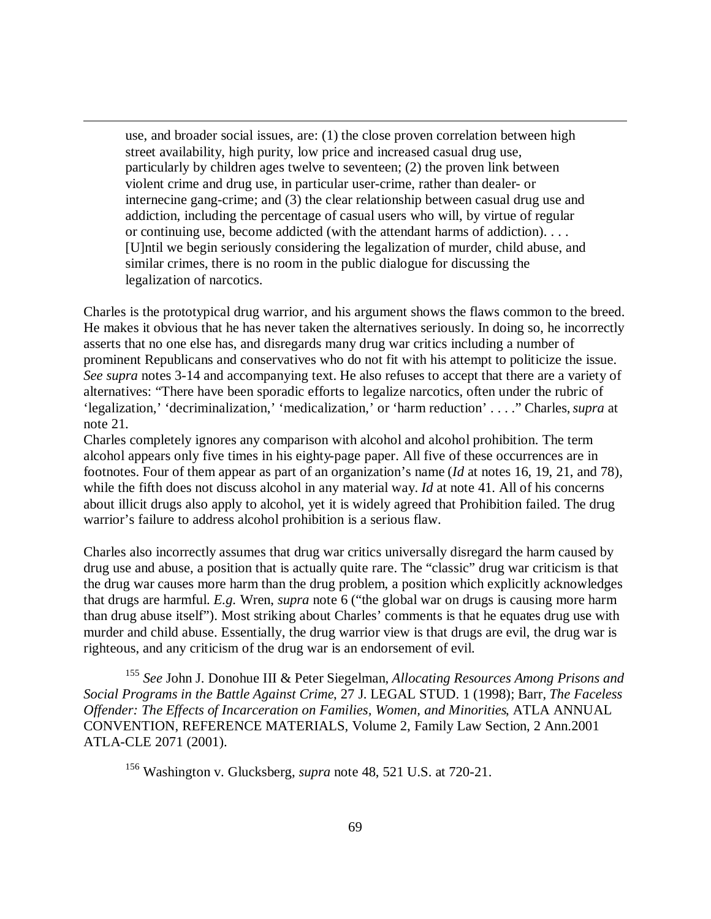use, and broader social issues, are: (1) the close proven correlation between high street availability, high purity, low price and increased casual drug use, particularly by children ages twelve to seventeen; (2) the proven link between violent crime and drug use, in particular user-crime, rather than dealer- or internecine gang-crime; and (3) the clear relationship between casual drug use and addiction, including the percentage of casual users who will, by virtue of regular or continuing use, become addicted (with the attendant harms of addiction). . . . [U]ntil we begin seriously considering the legalization of murder, child abuse, and similar crimes, there is no room in the public dialogue for discussing the legalization of narcotics.

 $\overline{a}$ 

Charles is the prototypical drug warrior, and his argument shows the flaws common to the breed. He makes it obvious that he has never taken the alternatives seriously. In doing so, he incorrectly asserts that no one else has, and disregards many drug war critics including a number of prominent Republicans and conservatives who do not fit with his attempt to politicize the issue. *See supra* notes 3-14 and accompanying text. He also refuses to accept that there are a variety of alternatives: "There have been sporadic efforts to legalize narcotics, often under the rubric of 'legalization,' 'decriminalization,' 'medicalization,' or 'harm reduction' . . . ." Charles, *supra* at note 21.

Charles completely ignores any comparison with alcohol and alcohol prohibition. The term alcohol appears only five times in his eighty-page paper. All five of these occurrences are in footnotes. Four of them appear as part of an organization's name (*Id* at notes 16, 19, 21, and 78), while the fifth does not discuss alcohol in any material way. *Id* at note 41. All of his concerns about illicit drugs also apply to alcohol, yet it is widely agreed that Prohibition failed. The drug warrior's failure to address alcohol prohibition is a serious flaw.

Charles also incorrectly assumes that drug war critics universally disregard the harm caused by drug use and abuse, a position that is actually quite rare. The "classic" drug war criticism is that the drug war causes more harm than the drug problem, a position which explicitly acknowledges that drugs are harmful. *E.g.* Wren, *supra* note 6 ("the global war on drugs is causing more harm than drug abuse itself"). Most striking about Charles' comments is that he equates drug use with murder and child abuse. Essentially, the drug warrior view is that drugs are evil, the drug war is righteous, and any criticism of the drug war is an endorsement of evil.

<sup>155</sup> *See* John J. Donohue III & Peter Siegelman, *Allocating Resources Among Prisons and Social Programs in the Battle Against Crime*, 27 J. LEGAL STUD. 1 (1998); Barr, *The Faceless Offender: The Effects of Incarceration on Families, Women, and Minorities*, ATLA ANNUAL CONVENTION, REFERENCE MATERIALS, Volume 2, Family Law Section, 2 Ann.2001 ATLA-CLE 2071 (2001).

<sup>156</sup> Washington v. Glucksberg, *supra* note 48, 521 U.S. at 720-21.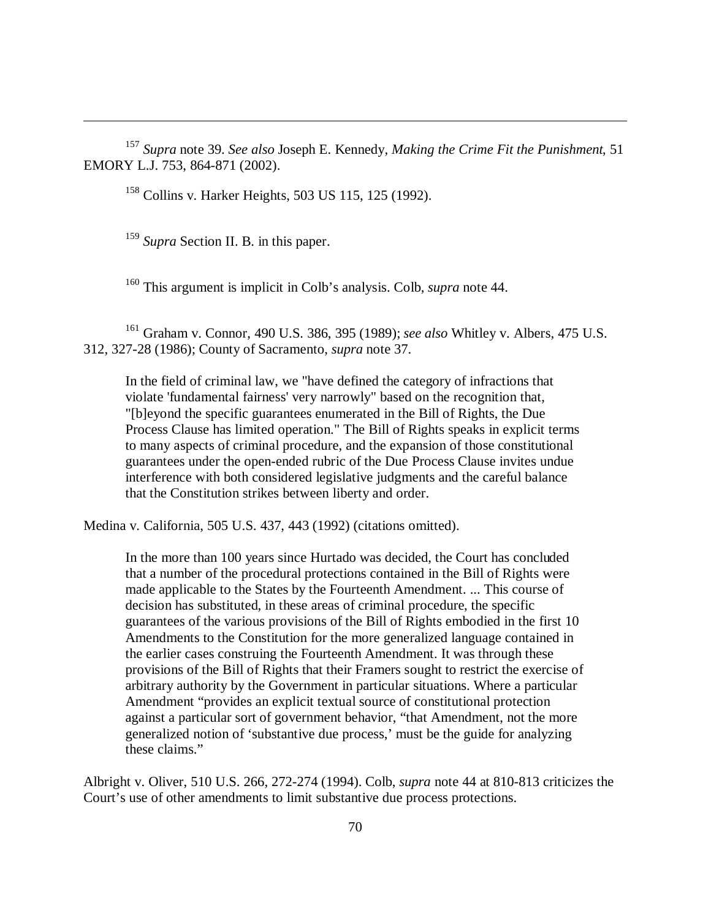<sup>157</sup> *Supra* note 39. *See also* Joseph E. Kennedy, *Making the Crime Fit the Punishment*, 51 EMORY L.J. 753, 864-871 (2002).

<sup>158</sup> Collins v. Harker Heights, 503 US 115, 125 (1992).

<sup>159</sup> Supra Section II. B. in this paper.

 $\overline{a}$ 

<sup>160</sup> This argument is implicit in Colb's analysis. Colb, *supra* note 44.

<sup>161</sup> Graham v. Connor, 490 U.S. 386, 395 (1989); *see also* Whitley v. Albers, 475 U.S. 312, 327-28 (1986); County of Sacramento, *supra* note 37.

In the field of criminal law, we "have defined the category of infractions that violate 'fundamental fairness' very narrowly" based on the recognition that, "[b]eyond the specific guarantees enumerated in the Bill of Rights, the Due Process Clause has limited operation." The Bill of Rights speaks in explicit terms to many aspects of criminal procedure, and the expansion of those constitutional guarantees under the open-ended rubric of the Due Process Clause invites undue interference with both considered legislative judgments and the careful balance that the Constitution strikes between liberty and order.

Medina v. California, 505 U.S. 437, 443 (1992) (citations omitted).

In the more than 100 years since Hurtado was decided, the Court has concluded that a number of the procedural protections contained in the Bill of Rights were made applicable to the States by the Fourteenth Amendment. ... This course of decision has substituted, in these areas of criminal procedure, the specific guarantees of the various provisions of the Bill of Rights embodied in the first 10 Amendments to the Constitution for the more generalized language contained in the earlier cases construing the Fourteenth Amendment. It was through these provisions of the Bill of Rights that their Framers sought to restrict the exercise of arbitrary authority by the Government in particular situations. Where a particular Amendment "provides an explicit textual source of constitutional protection against a particular sort of government behavior, "that Amendment, not the more generalized notion of 'substantive due process,' must be the guide for analyzing these claims."

Albright v. Oliver, 510 U.S. 266, 272-274 (1994). Colb, *supra* note 44 at 810-813 criticizes the Court's use of other amendments to limit substantive due process protections.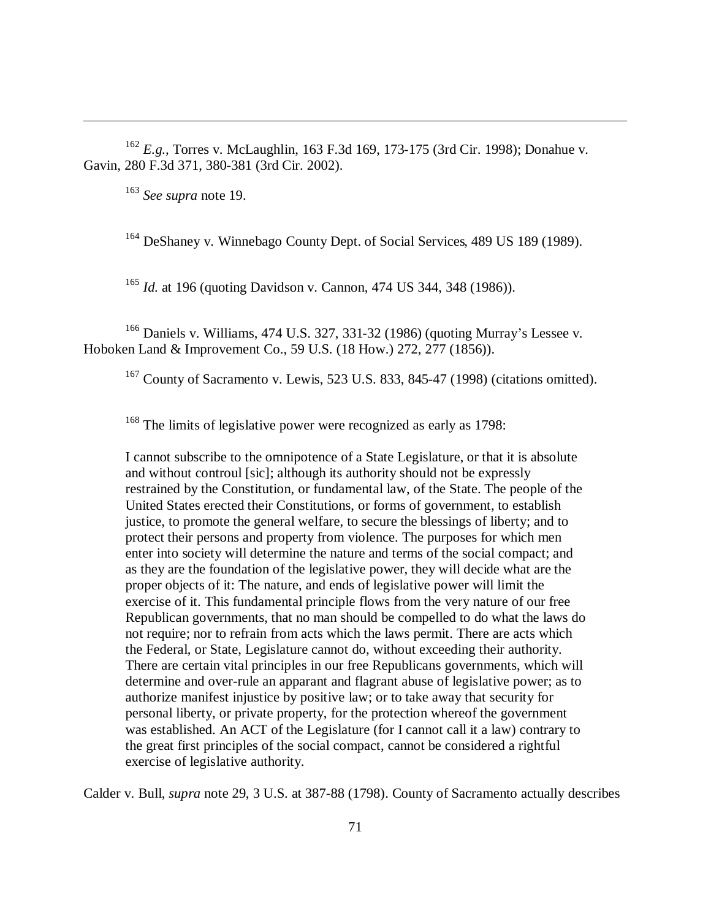<sup>162</sup> *E.g.,* Torres v. McLaughlin, 163 F.3d 169, 173-175 (3rd Cir. 1998); Donahue v. Gavin, 280 F.3d 371, 380-381 (3rd Cir. 2002).

<sup>163</sup> *See supra* note 19.

 $\overline{a}$ 

<sup>164</sup> DeShaney v. Winnebago County Dept. of Social Services, 489 US 189 (1989).

<sup>165</sup> *Id.* at 196 (quoting Davidson v. Cannon, 474 US 344, 348 (1986)).

<sup>166</sup> Daniels v. Williams, 474 U.S. 327, 331-32 (1986) (quoting Murray's Lessee v. Hoboken Land & Improvement Co., 59 U.S. (18 How.) 272, 277 (1856)).

<sup>167</sup> County of Sacramento v. Lewis, 523 U.S. 833, 845-47 (1998) (citations omitted).

<sup>168</sup> The limits of legislative power were recognized as early as 1798:

I cannot subscribe to the omnipotence of a State Legislature, or that it is absolute and without controul [sic]; although its authority should not be expressly restrained by the Constitution, or fundamental law, of the State. The people of the United States erected their Constitutions, or forms of government, to establish justice, to promote the general welfare, to secure the blessings of liberty; and to protect their persons and property from violence. The purposes for which men enter into society will determine the nature and terms of the social compact; and as they are the foundation of the legislative power, they will decide what are the proper objects of it: The nature, and ends of legislative power will limit the exercise of it. This fundamental principle flows from the very nature of our free Republican governments, that no man should be compelled to do what the laws do not require; nor to refrain from acts which the laws permit. There are acts which the Federal, or State, Legislature cannot do, without exceeding their authority. There are certain vital principles in our free Republicans governments, which will determine and over-rule an apparant and flagrant abuse of legislative power; as to authorize manifest injustice by positive law; or to take away that security for personal liberty, or private property, for the protection whereof the government was established. An ACT of the Legislature (for I cannot call it a law) contrary to the great first principles of the social compact, cannot be considered a rightful exercise of legislative authority.

Calder v. Bull, *supra* note 29, 3 U.S. at 387-88 (1798). County of Sacramento actually describes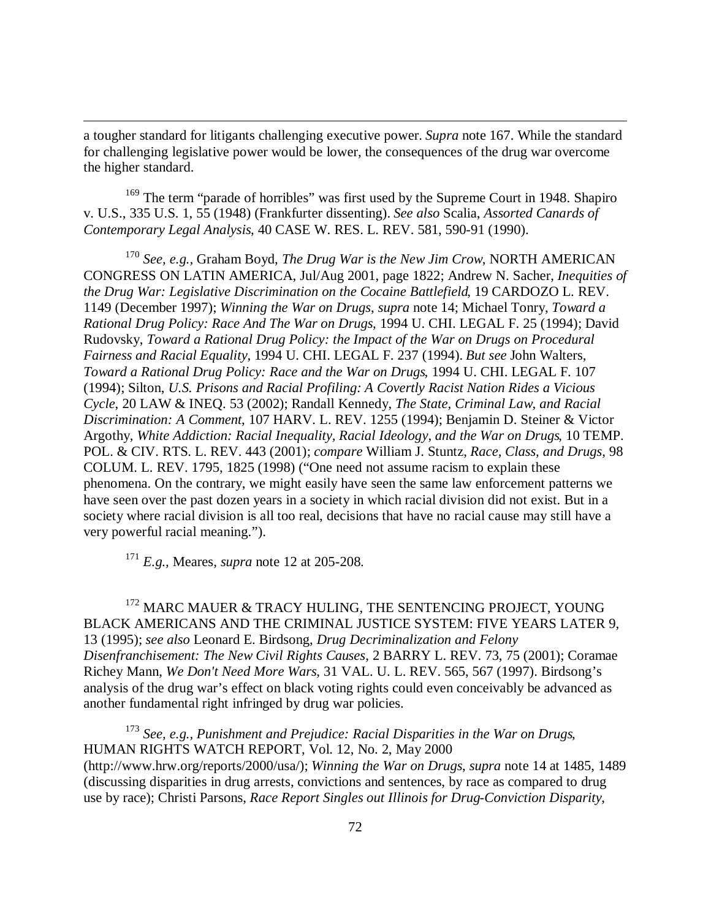a tougher standard for litigants challenging executive power. *Supra* note 167. While the standard for challenging legislative power would be lower, the consequences of the drug war overcome the higher standard.

<sup>169</sup> The term "parade of horribles" was first used by the Supreme Court in 1948. Shapiro v. U.S., 335 U.S. 1, 55 (1948) (Frankfurter dissenting). *See also* Scalia, *Assorted Canards of Contemporary Legal Analysis*, 40 CASE W. RES. L. REV. 581, 590-91 (1990).

<sup>170</sup> *See, e.g.,* Graham Boyd, *The Drug War is the New Jim Crow*, NORTH AMERICAN CONGRESS ON LATIN AMERICA, Jul/Aug 2001, page 1822; Andrew N. Sacher, *Inequities of the Drug War: Legislative Discrimination on the Cocaine Battlefield*, 19 CARDOZO L. REV. 1149 (December 1997); *Winning the War on Drugs*, *supra* note 14; Michael Tonry, *Toward a Rational Drug Policy: Race And The War on Drugs*, 1994 U. CHI. LEGAL F. 25 (1994); David Rudovsky, *Toward a Rational Drug Policy: the Impact of the War on Drugs on Procedural Fairness and Racial Equality*, 1994 U. CHI. LEGAL F. 237 (1994). *But see* John Walters, *Toward a Rational Drug Policy: Race and the War on Drugs*, 1994 U. CHI. LEGAL F. 107 (1994); Silton, *U.S. Prisons and Racial Profiling: A Covertly Racist Nation Rides a Vicious Cycle*, 20 LAW & INEQ. 53 (2002); Randall Kennedy, *The State, Criminal Law, and Racial Discrimination: A Comment*, 107 HARV. L. REV. 1255 (1994); Benjamin D. Steiner & Victor Argothy, *White Addiction: Racial Inequality, Racial Ideology, and the War on Drugs*, 10 TEMP. POL. & CIV. RTS. L. REV. 443 (2001); *compare* William J. Stuntz, *Race, Class, and Drugs*, 98 COLUM. L. REV. 1795, 1825 (1998) ("One need not assume racism to explain these phenomena. On the contrary, we might easily have seen the same law enforcement patterns we have seen over the past dozen years in a society in which racial division did not exist. But in a society where racial division is all too real, decisions that have no racial cause may still have a very powerful racial meaning.").

<sup>171</sup> *E.g.,* Meares, *supra* note 12 at 205-208.

 $\overline{a}$ 

<sup>172</sup> MARC MAUER & TRACY HULING, THE SENTENCING PROJECT, YOUNG BLACK AMERICANS AND THE CRIMINAL JUSTICE SYSTEM: FIVE YEARS LATER 9, 13 (1995); *see also* Leonard E. Birdsong, *Drug Decriminalization and Felony Disenfranchisement: The New Civil Rights Causes*, 2 BARRY L. REV. 73, 75 (2001); Coramae Richey Mann, *We Don't Need More Wars*, 31 VAL. U. L. REV. 565, 567 (1997). Birdsong's analysis of the drug war's effect on black voting rights could even conceivably be advanced as another fundamental right infringed by drug war policies.

<sup>173</sup> *See, e.g., Punishment and Prejudice: Racial Disparities in the War on Drugs*, HUMAN RIGHTS WATCH REPORT, Vol. 12, No. 2, May 2000 (http://www.hrw.org/reports/2000/usa/); *Winning the War on Drugs*, *supra* note 14 at 1485, 1489 (discussing disparities in drug arrests, convictions and sentences, by race as compared to drug use by race); Christi Parsons, *Race Report Singles out Illinois for Drug-Conviction Disparity*,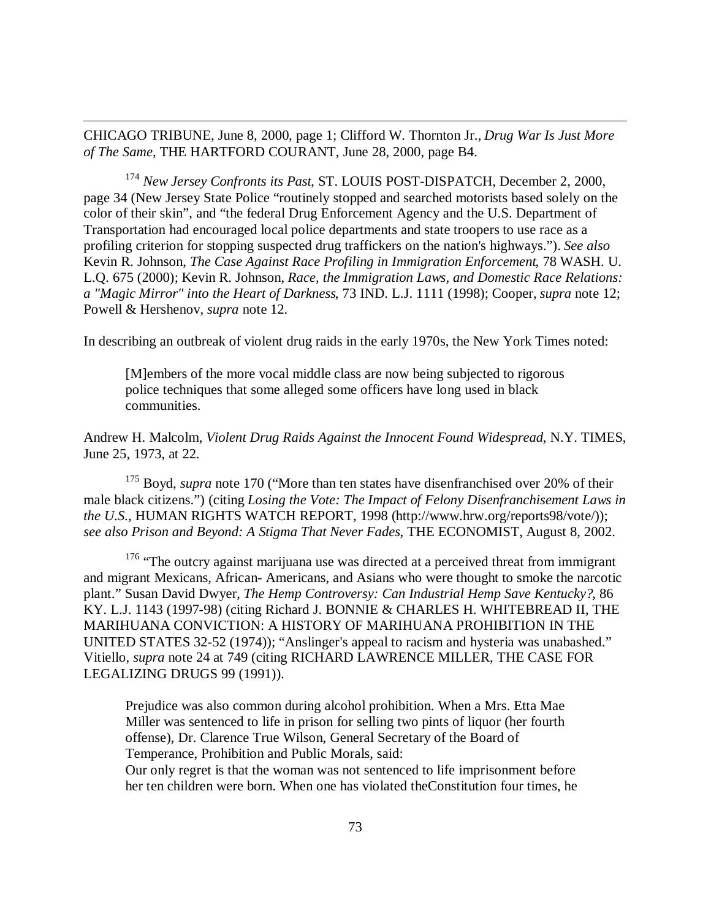CHICAGO TRIBUNE, June 8, 2000, page 1; Clifford W. Thornton Jr., *Drug War Is Just More of The Same*, THE HARTFORD COURANT, June 28, 2000, page B4.

 $\overline{a}$ 

<sup>174</sup> *New Jersey Confronts its Past*, ST. LOUIS POST-DISPATCH, December 2, 2000, page 34 (New Jersey State Police "routinely stopped and searched motorists based solely on the color of their skin", and "the federal Drug Enforcement Agency and the U.S. Department of Transportation had encouraged local police departments and state troopers to use race as a profiling criterion for stopping suspected drug traffickers on the nation's highways."). *See also* Kevin R. Johnson, *The Case Against Race Profiling in Immigration Enforcement*, 78 WASH. U. L.Q. 675 (2000); Kevin R. Johnson, *Race, the Immigration Laws, and Domestic Race Relations: a "Magic Mirror" into the Heart of Darkness*, 73 IND. L.J. 1111 (1998); Cooper, *supra* note 12; Powell & Hershenov, *supra* note 12.

In describing an outbreak of violent drug raids in the early 1970s, the New York Times noted:

[M]embers of the more vocal middle class are now being subjected to rigorous police techniques that some alleged some officers have long used in black communities.

Andrew H. Malcolm, *Violent Drug Raids Against the Innocent Found Widespread*, N.Y. TIMES, June 25, 1973, at 22.

<sup>175</sup> Boyd, *supra* note 170 ("More than ten states have disenfranchised over 20% of their male black citizens.") (citing *Losing the Vote: The Impact of Felony Disenfranchisement Laws in the U.S.*, HUMAN RIGHTS WATCH REPORT, 1998 (http://www.hrw.org/reports98/vote/)); *see also Prison and Beyond: A Stigma That Never Fades*, THE ECONOMIST, August 8, 2002.

<sup>176</sup> "The outcry against marijuana use was directed at a perceived threat from immigrant and migrant Mexicans, African- Americans, and Asians who were thought to smoke the narcotic plant." Susan David Dwyer, *The Hemp Controversy: Can Industrial Hemp Save Kentucky?*, 86 KY. L.J. 1143 (1997-98) (citing Richard J. BONNIE & CHARLES H. WHITEBREAD II, THE MARIHUANA CONVICTION: A HISTORY OF MARIHUANA PROHIBITION IN THE UNITED STATES 32-52 (1974)); "Anslinger's appeal to racism and hysteria was unabashed." Vitiello, *supra* note 24 at 749 (citing RICHARD LAWRENCE MILLER, THE CASE FOR LEGALIZING DRUGS 99 (1991)).

Prejudice was also common during alcohol prohibition. When a Mrs. Etta Mae Miller was sentenced to life in prison for selling two pints of liquor (her fourth offense), Dr. Clarence True Wilson, General Secretary of the Board of Temperance, Prohibition and Public Morals, said:

Our only regret is that the woman was not sentenced to life imprisonment before her ten children were born. When one has violated theConstitution four times, he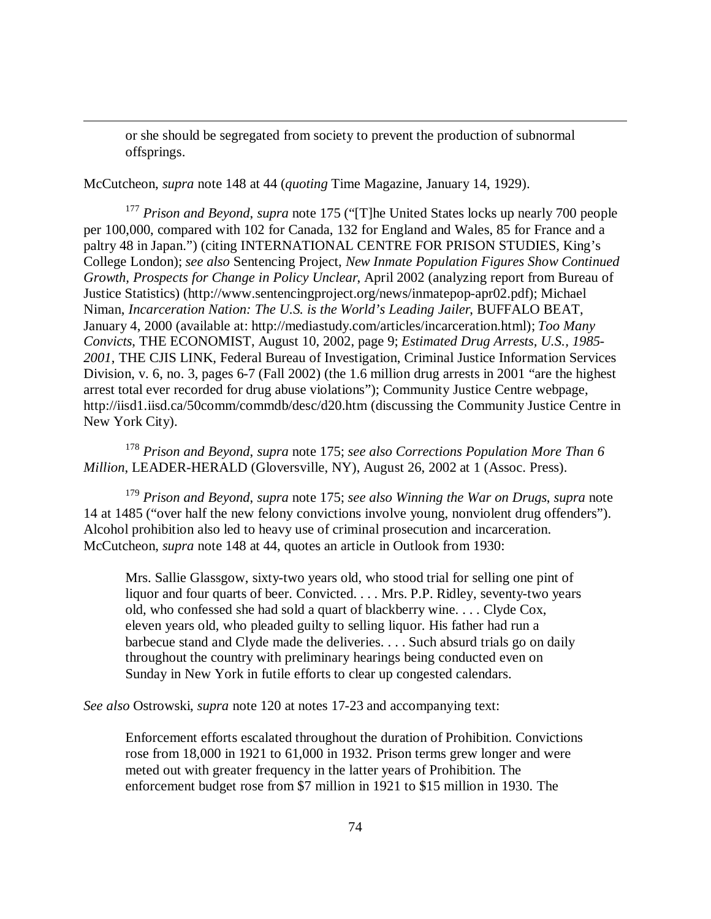or she should be segregated from society to prevent the production of subnormal offsprings.

McCutcheon, *supra* note 148 at 44 (*quoting* Time Magazine, January 14, 1929).

 $\overline{a}$ 

<sup>177</sup> Prison and Beyond, supra note 175 ("[T]he United States locks up nearly 700 people per 100,000, compared with 102 for Canada, 132 for England and Wales, 85 for France and a paltry 48 in Japan.") (citing INTERNATIONAL CENTRE FOR PRISON STUDIES, King's College London); *see also* Sentencing Project, *New Inmate Population Figures Show Continued Growth, Prospects for Change in Policy Unclear*, April 2002 (analyzing report from Bureau of Justice Statistics) (http://www.sentencingproject.org/news/inmatepop-apr02.pdf); Michael Niman, *Incarceration Nation: The U.S. is the World's Leading Jailer*, BUFFALO BEAT, January 4, 2000 (available at: http://mediastudy.com/articles/incarceration.html); *Too Many Convicts*, THE ECONOMIST, August 10, 2002, page 9; *Estimated Drug Arrests, U.S., 1985- 2001*, THE CJIS LINK, Federal Bureau of Investigation, Criminal Justice Information Services Division, v. 6, no. 3, pages 6-7 (Fall 2002) (the 1.6 million drug arrests in 2001 "are the highest arrest total ever recorded for drug abuse violations"); Community Justice Centre webpage, http://iisd1.iisd.ca/50comm/commdb/desc/d20.htm (discussing the Community Justice Centre in New York City).

<sup>178</sup> *Prison and Beyond*, *supra* note 175; *see also Corrections Population More Than 6 Million*, LEADER-HERALD (Gloversville, NY), August 26, 2002 at 1 (Assoc. Press).

<sup>179</sup> *Prison and Beyond*, *supra* note 175; *see also Winning the War on Drugs*, *supra* note 14 at 1485 ("over half the new felony convictions involve young, nonviolent drug offenders"). Alcohol prohibition also led to heavy use of criminal prosecution and incarceration. McCutcheon, *supra* note 148 at 44, quotes an article in Outlook from 1930:

Mrs. Sallie Glassgow, sixty-two years old, who stood trial for selling one pint of liquor and four quarts of beer. Convicted. . . . Mrs. P.P. Ridley, seventy-two years old, who confessed she had sold a quart of blackberry wine. . . . Clyde Cox, eleven years old, who pleaded guilty to selling liquor. His father had run a barbecue stand and Clyde made the deliveries. . . . Such absurd trials go on daily throughout the country with preliminary hearings being conducted even on Sunday in New York in futile efforts to clear up congested calendars.

*See also* Ostrowski, *supra* note 120 at notes 17-23 and accompanying text:

Enforcement efforts escalated throughout the duration of Prohibition. Convictions rose from 18,000 in 1921 to 61,000 in 1932. Prison terms grew longer and were meted out with greater frequency in the latter years of Prohibition. The enforcement budget rose from \$7 million in 1921 to \$15 million in 1930. The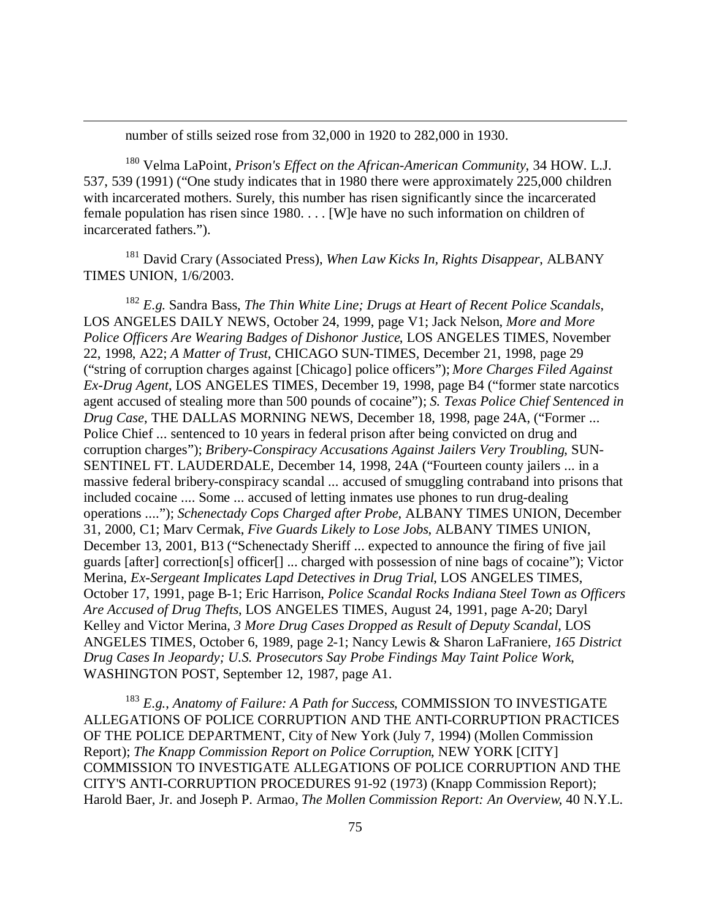number of stills seized rose from 32,000 in 1920 to 282,000 in 1930.

 $\overline{a}$ 

<sup>180</sup> Velma LaPoint, *Prison's Effect on the African-American Community*, 34 HOW. L.J. 537, 539 (1991) ("One study indicates that in 1980 there were approximately 225,000 children with incarcerated mothers. Surely, this number has risen significantly since the incarcerated female population has risen since 1980. . . . [W]e have no such information on children of incarcerated fathers.").

<sup>181</sup> David Crary (Associated Press), *When Law Kicks In, Rights Disappear*, ALBANY TIMES UNION, 1/6/2003.

<sup>182</sup> *E.g.* Sandra Bass, *The Thin White Line; Drugs at Heart of Recent Police Scandals*, LOS ANGELES DAILY NEWS, October 24, 1999, page V1; Jack Nelson, *More and More Police Officers Are Wearing Badges of Dishonor Justice*, LOS ANGELES TIMES, November 22, 1998, A22; *A Matter of Trust*, CHICAGO SUN-TIMES, December 21, 1998, page 29 ("string of corruption charges against [Chicago] police officers"); *More Charges Filed Against Ex-Drug Agent*, LOS ANGELES TIMES, December 19, 1998, page B4 ("former state narcotics agent accused of stealing more than 500 pounds of cocaine"); *S. Texas Police Chief Sentenced in Drug Case*, THE DALLAS MORNING NEWS, December 18, 1998, page 24A, ("Former ... Police Chief ... sentenced to 10 years in federal prison after being convicted on drug and corruption charges"); *Bribery-Conspiracy Accusations Against Jailers Very Troubling*, SUN-SENTINEL FT. LAUDERDALE, December 14, 1998, 24A ("Fourteen county jailers ... in a massive federal bribery-conspiracy scandal ... accused of smuggling contraband into prisons that included cocaine .... Some ... accused of letting inmates use phones to run drug-dealing operations ...."); *Schenectady Cops Charged after Probe*, ALBANY TIMES UNION, December 31, 2000, C1; Marv Cermak, *Five Guards Likely to Lose Jobs*, ALBANY TIMES UNION, December 13, 2001, B13 ("Schenectady Sheriff ... expected to announce the firing of five jail guards [after] correction[s] officer[] ... charged with possession of nine bags of cocaine"); Victor Merina, *Ex-Sergeant Implicates Lapd Detectives in Drug Trial*, LOS ANGELES TIMES, October 17, 1991, page B-1; Eric Harrison, *Police Scandal Rocks Indiana Steel Town as Officers Are Accused of Drug Thefts*, LOS ANGELES TIMES, August 24, 1991, page A-20; Daryl Kelley and Victor Merina, *3 More Drug Cases Dropped as Result of Deputy Scandal*, LOS ANGELES TIMES, October 6, 1989, page 2-1; Nancy Lewis & Sharon LaFraniere, *165 District Drug Cases In Jeopardy; U.S. Prosecutors Say Probe Findings May Taint Police Work*, WASHINGTON POST, September 12, 1987, page A1.

<sup>183</sup> *E.g.*, *Anatomy of Failure: A Path for Success*, COMMISSION TO INVESTIGATE ALLEGATIONS OF POLICE CORRUPTION AND THE ANTI-CORRUPTION PRACTICES OF THE POLICE DEPARTMENT, City of New York (July 7, 1994) (Mollen Commission Report); *The Knapp Commission Report on Police Corruption*, NEW YORK [CITY] COMMISSION TO INVESTIGATE ALLEGATIONS OF POLICE CORRUPTION AND THE CITY'S ANTI-CORRUPTION PROCEDURES 91-92 (1973) (Knapp Commission Report); Harold Baer, Jr. and Joseph P. Armao, *The Mollen Commission Report: An Overview*, 40 N.Y.L.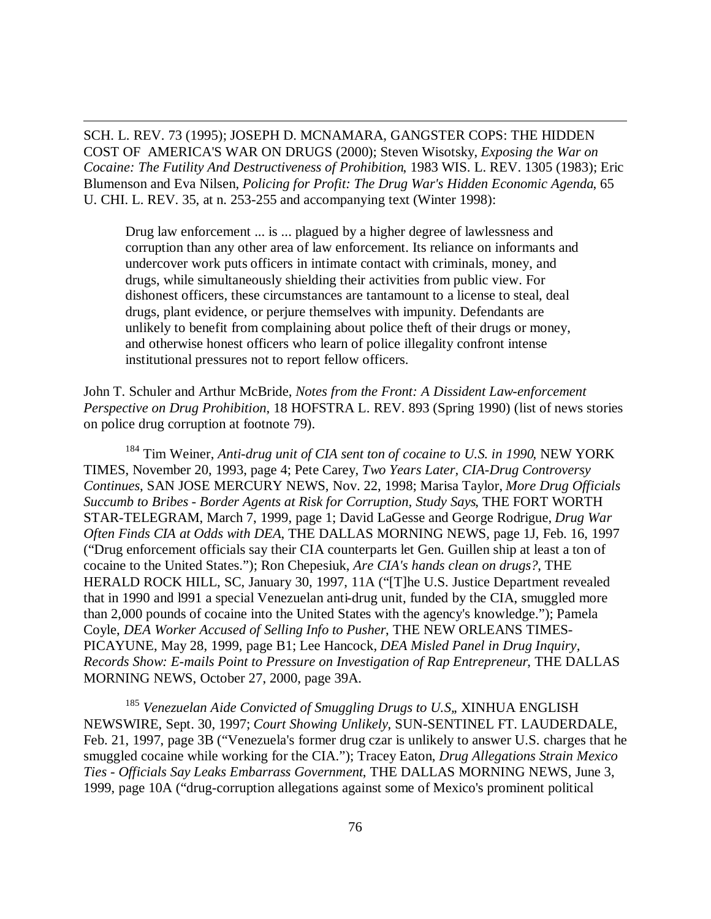SCH. L. REV. 73 (1995); JOSEPH D. MCNAMARA, GANGSTER COPS: THE HIDDEN COST OF AMERICA'S WAR ON DRUGS (2000); Steven Wisotsky, *Exposing the War on Cocaine: The Futility And Destructiveness of Prohibition*, 1983 WIS. L. REV. 1305 (1983); Eric Blumenson and Eva Nilsen, *Policing for Profit: The Drug War's Hidden Economic Agenda*, 65 U. CHI. L. REV. 35, at n. 253-255 and accompanying text (Winter 1998):

 $\overline{a}$ 

Drug law enforcement ... is ... plagued by a higher degree of lawlessness and corruption than any other area of law enforcement. Its reliance on informants and undercover work puts officers in intimate contact with criminals, money, and drugs, while simultaneously shielding their activities from public view. For dishonest officers, these circumstances are tantamount to a license to steal, deal drugs, plant evidence, or perjure themselves with impunity. Defendants are unlikely to benefit from complaining about police theft of their drugs or money, and otherwise honest officers who learn of police illegality confront intense institutional pressures not to report fellow officers.

John T. Schuler and Arthur McBride, *Notes from the Front: A Dissident Law-enforcement Perspective on Drug Prohibition*, 18 HOFSTRA L. REV. 893 (Spring 1990) (list of news stories on police drug corruption at footnote 79).

<sup>184</sup> Tim Weiner, *Anti-drug unit of CIA sent ton of cocaine to U.S. in 1990*, NEW YORK TIMES, November 20, 1993, page 4; Pete Carey, *Two Years Later, CIA-Drug Controversy Continues*, SAN JOSE MERCURY NEWS, Nov. 22, 1998; Marisa Taylor, *More Drug Officials Succumb to Bribes - Border Agents at Risk for Corruption, Study Says*, THE FORT WORTH STAR-TELEGRAM, March 7, 1999, page 1; David LaGesse and George Rodrigue, *Drug War Often Finds CIA at Odds with DEA*, THE DALLAS MORNING NEWS, page 1J, Feb. 16, 1997 ("Drug enforcement officials say their CIA counterparts let Gen. Guillen ship at least a ton of cocaine to the United States."); Ron Chepesiuk, *Are CIA's hands clean on drugs?*, THE HERALD ROCK HILL, SC, January 30, 1997, 11A ("[T]he U.S. Justice Department revealed that in 1990 and l991 a special Venezuelan anti-drug unit, funded by the CIA, smuggled more than 2,000 pounds of cocaine into the United States with the agency's knowledge."); Pamela Coyle, *DEA Worker Accused of Selling Info to Pusher*, THE NEW ORLEANS TIMES-PICAYUNE, May 28, 1999, page B1; Lee Hancock, *DEA Misled Panel in Drug Inquiry, Records Show: E-mails Point to Pressure on Investigation of Rap Entrepreneur*, THE DALLAS MORNING NEWS, October 27, 2000, page 39A.

<sup>185</sup> *Venezuelan Aide Convicted of Smuggling Drugs to U.S,*, XINHUA ENGLISH NEWSWIRE, Sept. 30, 1997; *Court Showing Unlikely*, SUN-SENTINEL FT. LAUDERDALE, Feb. 21, 1997, page 3B ("Venezuela's former drug czar is unlikely to answer U.S. charges that he smuggled cocaine while working for the CIA."); Tracey Eaton, *Drug Allegations Strain Mexico Ties - Officials Say Leaks Embarrass Government*, THE DALLAS MORNING NEWS, June 3, 1999, page 10A ("drug-corruption allegations against some of Mexico's prominent political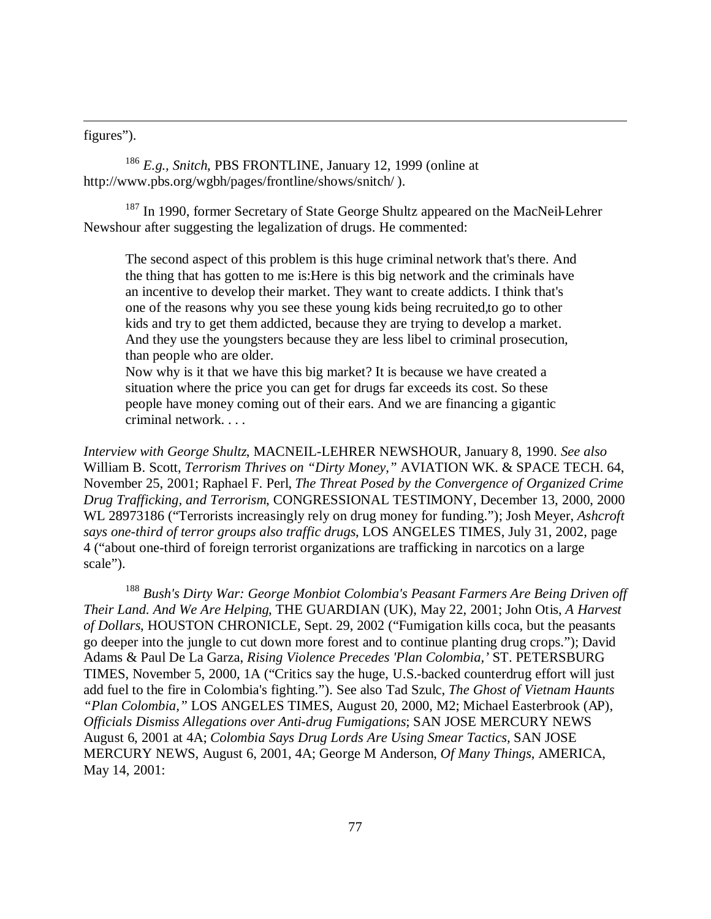figures").

 $\overline{a}$ 

<sup>186</sup> *E.g., Snitch*, PBS FRONTLINE, January 12, 1999 (online at http://www.pbs.org/wgbh/pages/frontline/shows/snitch/ ).

<sup>187</sup> In 1990, former Secretary of State George Shultz appeared on the MacNeil-Lehrer Newshour after suggesting the legalization of drugs. He commented:

The second aspect of this problem is this huge criminal network that's there. And the thing that has gotten to me is:Here is this big network and the criminals have an incentive to develop their market. They want to create addicts. I think that's one of the reasons why you see these young kids being recruited,to go to other kids and try to get them addicted, because they are trying to develop a market. And they use the youngsters because they are less libel to criminal prosecution, than people who are older.

Now why is it that we have this big market? It is because we have created a situation where the price you can get for drugs far exceeds its cost. So these people have money coming out of their ears. And we are financing a gigantic criminal network. . . .

*Interview with George Shultz*, MACNEIL-LEHRER NEWSHOUR, January 8, 1990. *See also* William B. Scott, *Terrorism Thrives on "Dirty Money,"* AVIATION WK. & SPACE TECH. 64, November 25, 2001; Raphael F. Perl, *The Threat Posed by the Convergence of Organized Crime Drug Trafficking, and Terrorism*, CONGRESSIONAL TESTIMONY, December 13, 2000, 2000 WL 28973186 ("Terrorists increasingly rely on drug money for funding."); Josh Meyer, *Ashcroft says one-third of terror groups also traffic drugs*, LOS ANGELES TIMES, July 31, 2002, page 4 ("about one-third of foreign terrorist organizations are trafficking in narcotics on a large scale").

<sup>188</sup> *Bush's Dirty War: George Monbiot Colombia's Peasant Farmers Are Being Driven off Their Land. And We Are Helping*, THE GUARDIAN (UK), May 22, 2001; John Otis, *A Harvest of Dollars*, HOUSTON CHRONICLE, Sept. 29, 2002 ("Fumigation kills coca, but the peasants go deeper into the jungle to cut down more forest and to continue planting drug crops."); David Adams & Paul De La Garza, *Rising Violence Precedes 'Plan Colombia,'* ST. PETERSBURG TIMES, November 5, 2000, 1A ("Critics say the huge, U.S.-backed counterdrug effort will just add fuel to the fire in Colombia's fighting."). See also Tad Szulc, *The Ghost of Vietnam Haunts "Plan Colombia,"* LOS ANGELES TIMES, August 20, 2000, M2; Michael Easterbrook (AP), *Officials Dismiss Allegations over Anti-drug Fumigations*; SAN JOSE MERCURY NEWS August 6, 2001 at 4A; *Colombia Says Drug Lords Are Using Smear Tactics,* SAN JOSE MERCURY NEWS, August 6, 2001, 4A; George M Anderson, *Of Many Things*, AMERICA, May 14, 2001: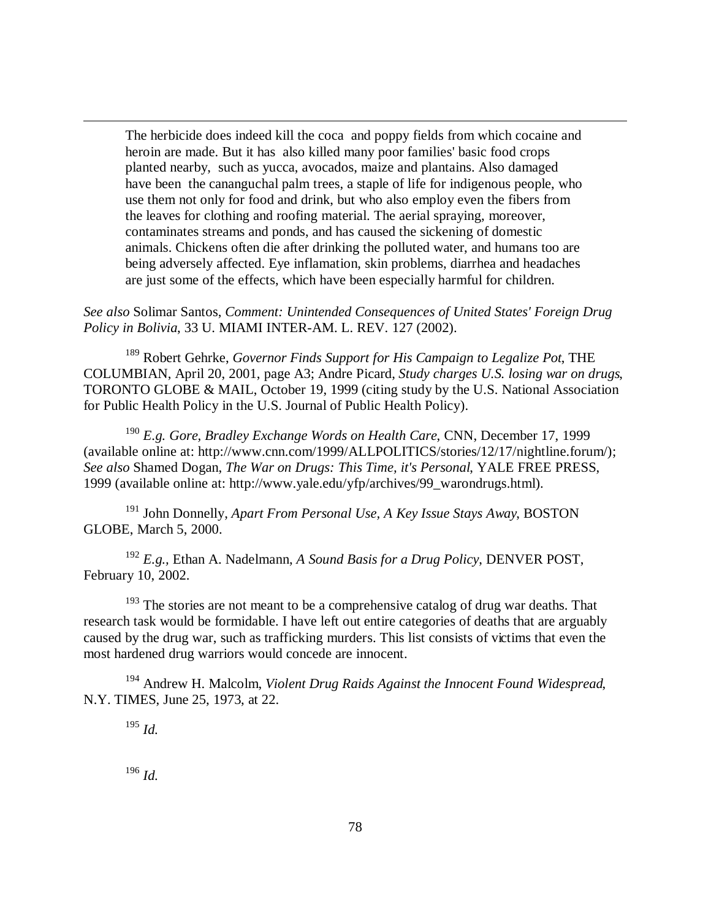The herbicide does indeed kill the coca and poppy fields from which cocaine and heroin are made. But it has also killed many poor families' basic food crops planted nearby, such as yucca, avocados, maize and plantains. Also damaged have been the cananguchal palm trees, a staple of life for indigenous people, who use them not only for food and drink, but who also employ even the fibers from the leaves for clothing and roofing material. The aerial spraying, moreover, contaminates streams and ponds, and has caused the sickening of domestic animals. Chickens often die after drinking the polluted water, and humans too are being adversely affected. Eye inflamation, skin problems, diarrhea and headaches are just some of the effects, which have been especially harmful for children.

*See also* Solimar Santos, *Comment: Unintended Consequences of United States' Foreign Drug Policy in Bolivia*, 33 U. MIAMI INTER-AM. L. REV. 127 (2002).

<sup>189</sup> Robert Gehrke, *Governor Finds Support for His Campaign to Legalize Pot*, THE COLUMBIAN, April 20, 2001, page A3; Andre Picard, *Study charges U.S. losing war on drugs*, TORONTO GLOBE & MAIL, October 19, 1999 (citing study by the U.S. National Association for Public Health Policy in the U.S. Journal of Public Health Policy).

<sup>190</sup> *E.g. Gore, Bradley Exchange Words on Health Care*, CNN, December 17, 1999 (available online at: http://www.cnn.com/1999/ALLPOLITICS/stories/12/17/nightline.forum/); *See also* Shamed Dogan, *The War on Drugs: This Time, it's Personal*, YALE FREE PRESS, 1999 (available online at: http://www.yale.edu/yfp/archives/99\_warondrugs.html).

<sup>191</sup> John Donnelly, *Apart From Personal Use, A Key Issue Stays Away*, BOSTON GLOBE, March 5, 2000.

<sup>192</sup> *E.g.,* Ethan A. Nadelmann, *A Sound Basis for a Drug Policy*, DENVER POST, February 10, 2002.

 $193$  The stories are not meant to be a comprehensive catalog of drug war deaths. That research task would be formidable. I have left out entire categories of deaths that are arguably caused by the drug war, such as trafficking murders. This list consists of victims that even the most hardened drug warriors would concede are innocent.

<sup>194</sup> Andrew H. Malcolm, *Violent Drug Raids Against the Innocent Found Widespread*, N.Y. TIMES, June 25, 1973, at 22.

<sup>195</sup> *Id.*

 $\overline{a}$ 

<sup>196</sup> *Id.*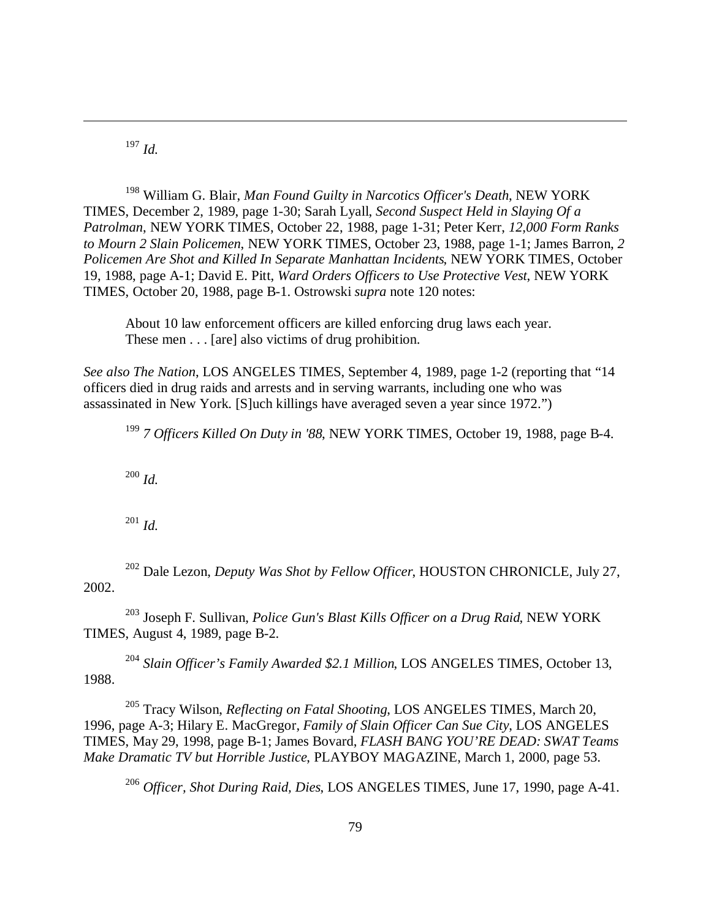<sup>197</sup> *Id.*

 $\overline{a}$ 

<sup>198</sup> William G. Blair, *Man Found Guilty in Narcotics Officer's Death*, NEW YORK TIMES, December 2, 1989, page 1-30; Sarah Lyall, *Second Suspect Held in Slaying Of a Patrolman*, NEW YORK TIMES, October 22, 1988, page 1-31; Peter Kerr, *12,000 Form Ranks to Mourn 2 Slain Policemen*, NEW YORK TIMES, October 23, 1988, page 1-1; James Barron, *2 Policemen Are Shot and Killed In Separate Manhattan Incidents*, NEW YORK TIMES, October 19, 1988, page A-1; David E. Pitt, *Ward Orders Officers to Use Protective Vest*, NEW YORK TIMES, October 20, 1988, page B-1. Ostrowski *supra* note 120 notes:

About 10 law enforcement officers are killed enforcing drug laws each year. These men . . . [are] also victims of drug prohibition.

*See also The Nation*, LOS ANGELES TIMES, September 4, 1989, page 1-2 (reporting that "14 officers died in drug raids and arrests and in serving warrants, including one who was assassinated in New York. [S]uch killings have averaged seven a year since 1972.")

<sup>199</sup> *7 Officers Killed On Duty in '88*, NEW YORK TIMES, October 19, 1988, page B-4.

<sup>200</sup> *Id.*

<sup>201</sup> *Id.*

<sup>202</sup> Dale Lezon, *Deputy Was Shot by Fellow Officer*, HOUSTON CHRONICLE, July 27, 2002.

<sup>203</sup> Joseph F. Sullivan, *Police Gun's Blast Kills Officer on a Drug Raid*, NEW YORK TIMES, August 4, 1989, page B-2.

<sup>204</sup> *Slain Officer's Family Awarded \$2.1 Million*, LOS ANGELES TIMES, October 13, 1988.

<sup>205</sup> Tracy Wilson, *Reflecting on Fatal Shooting*, LOS ANGELES TIMES, March 20, 1996, page A-3; Hilary E. MacGregor, *Family of Slain Officer Can Sue City*, LOS ANGELES TIMES, May 29, 1998, page B-1; James Bovard, *FLASH BANG YOU'RE DEAD: SWAT Teams Make Dramatic TV but Horrible Justice*, PLAYBOY MAGAZINE, March 1, 2000, page 53.

<sup>206</sup> *Officer, Shot During Raid, Dies*, LOS ANGELES TIMES, June 17, 1990, page A-41.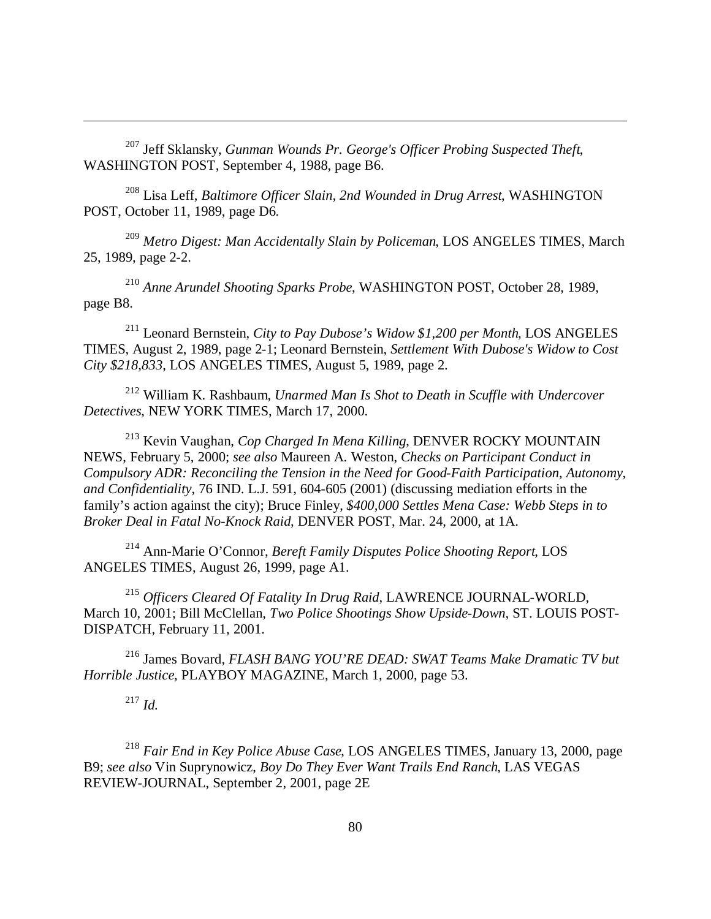<sup>207</sup> Jeff Sklansky, *Gunman Wounds Pr. George's Officer Probing Suspected Theft*, WASHINGTON POST, September 4, 1988, page B6.

<sup>208</sup> Lisa Leff, *Baltimore Officer Slain, 2nd Wounded in Drug Arrest*, WASHINGTON POST, October 11, 1989, page D6.

<sup>209</sup> *Metro Digest: Man Accidentally Slain by Policeman*, LOS ANGELES TIMES, March 25, 1989, page 2-2.

<sup>210</sup> *Anne Arundel Shooting Sparks Probe*, WASHINGTON POST, October 28, 1989, page B8.

<sup>211</sup> Leonard Bernstein, *City to Pay Dubose's Widow \$1,200 per Month*, LOS ANGELES TIMES, August 2, 1989, page 2-1; Leonard Bernstein, *Settlement With Dubose's Widow to Cost City \$218,833*, LOS ANGELES TIMES, August 5, 1989, page 2.

<sup>212</sup> William K. Rashbaum, *Unarmed Man Is Shot to Death in Scuffle with Undercover Detectives*, NEW YORK TIMES, March 17, 2000.

<sup>213</sup> Kevin Vaughan, *Cop Charged In Mena Killing*, DENVER ROCKY MOUNTAIN NEWS, February 5, 2000; *see also* Maureen A. Weston, *Checks on Participant Conduct in Compulsory ADR: Reconciling the Tension in the Need for Good-Faith Participation, Autonomy, and Confidentiality*, 76 IND. L.J. 591, 604-605 (2001) (discussing mediation efforts in the family's action against the city); Bruce Finley, *\$400,000 Settles Mena Case: Webb Steps in to Broker Deal in Fatal No-Knock Raid*, DENVER POST, Mar. 24, 2000, at 1A.

<sup>214</sup> Ann-Marie O'Connor, *Bereft Family Disputes Police Shooting Report*, LOS ANGELES TIMES, August 26, 1999, page A1.

<sup>215</sup> *Officers Cleared Of Fatality In Drug Raid*, LAWRENCE JOURNAL-WORLD, March 10, 2001; Bill McClellan, *Two Police Shootings Show Upside-Down*, ST. LOUIS POST-DISPATCH, February 11, 2001.

<sup>216</sup> James Bovard, *FLASH BANG YOU'RE DEAD: SWAT Teams Make Dramatic TV but Horrible Justice*, PLAYBOY MAGAZINE, March 1, 2000, page 53.

<sup>217</sup> *Id.*

 $\overline{a}$ 

<sup>218</sup> *Fair End in Key Police Abuse Case*, LOS ANGELES TIMES, January 13, 2000, page B9; *see also* Vin Suprynowicz, *Boy Do They Ever Want Trails End Ranch*, LAS VEGAS REVIEW-JOURNAL, September 2, 2001, page 2E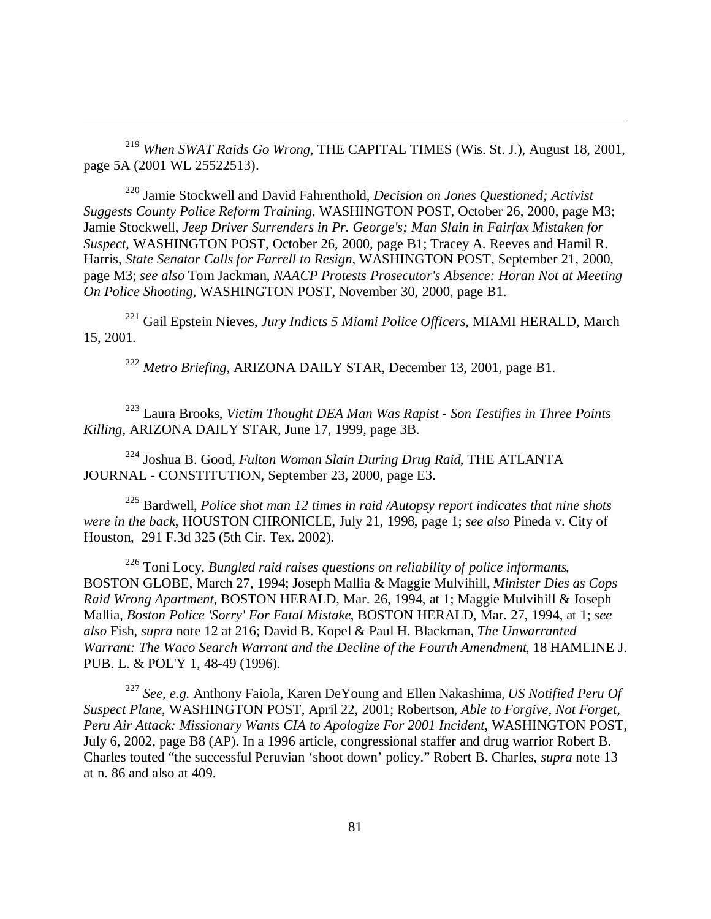<sup>219</sup> *When SWAT Raids Go Wrong*, THE CAPITAL TIMES (Wis. St. J.), August 18, 2001, page 5A (2001 WL 25522513).

 $\overline{a}$ 

<sup>220</sup> Jamie Stockwell and David Fahrenthold, *Decision on Jones Questioned; Activist Suggests County Police Reform Training*, WASHINGTON POST, October 26, 2000, page M3; Jamie Stockwell, *Jeep Driver Surrenders in Pr. George's; Man Slain in Fairfax Mistaken for Suspect*, WASHINGTON POST, October 26, 2000, page B1; Tracey A. Reeves and Hamil R. Harris, *State Senator Calls for Farrell to Resign*, WASHINGTON POST, September 21, 2000, page M3; *see also* Tom Jackman, *NAACP Protests Prosecutor's Absence: Horan Not at Meeting On Police Shooting*, WASHINGTON POST, November 30, 2000, page B1.

<sup>221</sup> Gail Epstein Nieves, *Jury Indicts 5 Miami Police Officers*, MIAMI HERALD, March 15, 2001.

<sup>222</sup> *Metro Briefing*, ARIZONA DAILY STAR, December 13, 2001, page B1.

<sup>223</sup> Laura Brooks, *Victim Thought DEA Man Was Rapist - Son Testifies in Three Points Killing*, ARIZONA DAILY STAR, June 17, 1999, page 3B.

<sup>224</sup> Joshua B. Good, *Fulton Woman Slain During Drug Raid*, THE ATLANTA JOURNAL - CONSTITUTION, September 23, 2000, page E3.

<sup>225</sup> Bardwell, *Police shot man 12 times in raid /Autopsy report indicates that nine shots were in the back*, HOUSTON CHRONICLE, July 21, 1998, page 1; *see also* Pineda v. City of Houston, 291 F.3d 325 (5th Cir. Tex. 2002).

<sup>226</sup> Toni Locy, *Bungled raid raises questions on reliability of police informants*, BOSTON GLOBE, March 27, 1994; Joseph Mallia & Maggie Mulvihill, *Minister Dies as Cops Raid Wrong Apartment*, BOSTON HERALD, Mar. 26, 1994, at 1; Maggie Mulvihill & Joseph Mallia, *Boston Police 'Sorry' For Fatal Mistake*, BOSTON HERALD, Mar. 27, 1994, at 1; *see also* Fish, *supra* note 12 at 216; David B. Kopel & Paul H. Blackman, *The Unwarranted Warrant: The Waco Search Warrant and the Decline of the Fourth Amendment*, 18 HAMLINE J. PUB. L. & POL'Y 1, 48-49 (1996).

<sup>227</sup> *See, e.g.* Anthony Faiola, Karen DeYoung and Ellen Nakashima, *US Notified Peru Of Suspect Plane*, WASHINGTON POST, April 22, 2001; Robertson, *Able to Forgive, Not Forget, Peru Air Attack: Missionary Wants CIA to Apologize For 2001 Incident*, WASHINGTON POST, July 6, 2002, page B8 (AP). In a 1996 article, congressional staffer and drug warrior Robert B. Charles touted "the successful Peruvian 'shoot down' policy." Robert B. Charles, *supra* note 13 at n. 86 and also at 409.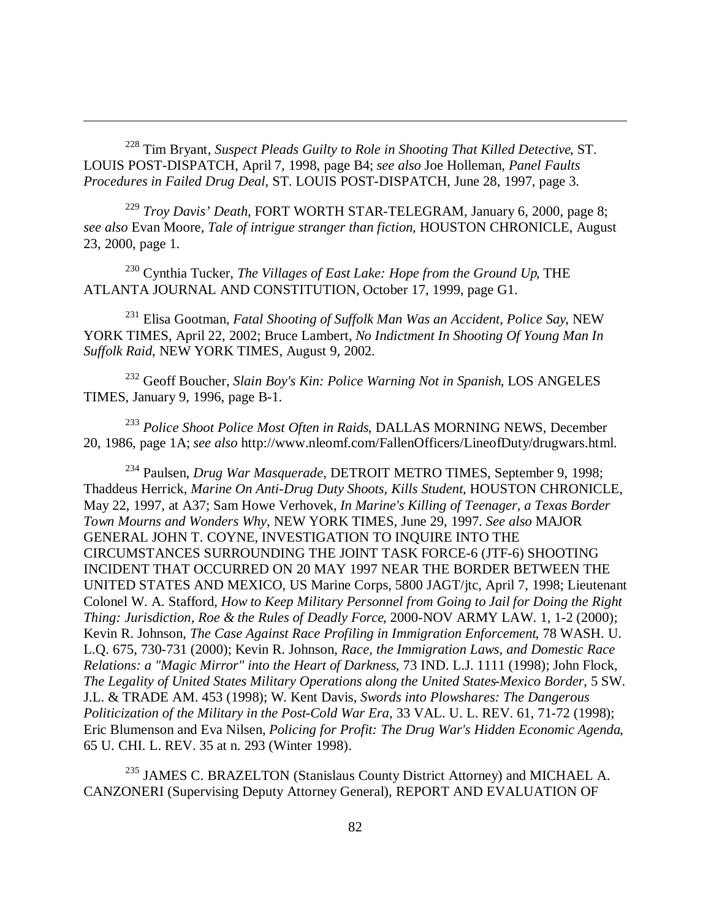<sup>228</sup> Tim Bryant, *Suspect Pleads Guilty to Role in Shooting That Killed Detective*, ST. LOUIS POST-DISPATCH, April 7, 1998, page B4; *see also* Joe Holleman, *Panel Faults Procedures in Failed Drug Deal*, ST. LOUIS POST-DISPATCH, June 28, 1997, page 3.

 $\overline{a}$ 

<sup>229</sup> *Troy Davis' Death*, FORT WORTH STAR-TELEGRAM, January 6, 2000, page 8; *see also* Evan Moore, *Tale of intrigue stranger than fiction*, HOUSTON CHRONICLE, August 23, 2000, page 1.

<sup>230</sup> Cynthia Tucker, *The Villages of East Lake: Hope from the Ground Up*, THE ATLANTA JOURNAL AND CONSTITUTION, October 17, 1999, page G1.

<sup>231</sup> Elisa Gootman, *Fatal Shooting of Suffolk Man Was an Accident, Police Say*, NEW YORK TIMES, April 22, 2002; Bruce Lambert, *No Indictment In Shooting Of Young Man In Suffolk Raid*, NEW YORK TIMES, August 9, 2002.

<sup>232</sup> Geoff Boucher, *Slain Boy's Kin: Police Warning Not in Spanish*, LOS ANGELES TIMES, January 9, 1996, page B-1.

<sup>233</sup> *Police Shoot Police Most Often in Raids*, DALLAS MORNING NEWS, December 20, 1986, page 1A; *see also* http://www.nleomf.com/FallenOfficers/LineofDuty/drugwars.html.

<sup>234</sup> Paulsen, *Drug War Masquerade*, DETROIT METRO TIMES, September 9, 1998; Thaddeus Herrick, *Marine On Anti-Drug Duty Shoots, Kills Student*, HOUSTON CHRONICLE, May 22, 1997, at A37; Sam Howe Verhovek, *In Marine's Killing of Teenager, a Texas Border Town Mourns and Wonders Why*, NEW YORK TIMES, June 29, 1997. *See also* MAJOR GENERAL JOHN T. COYNE, INVESTIGATION TO INQUIRE INTO THE CIRCUMSTANCES SURROUNDING THE JOINT TASK FORCE-6 (JTF-6) SHOOTING INCIDENT THAT OCCURRED ON 20 MAY 1997 NEAR THE BORDER BETWEEN THE UNITED STATES AND MEXICO, US Marine Corps, 5800 JAGT/jtc, April 7, 1998; Lieutenant Colonel W. A. Stafford, *How to Keep Military Personnel from Going to Jail for Doing the Right Thing: Jurisdiction, Roe & the Rules of Deadly Force*, 2000-NOV ARMY LAW. 1, 1-2 (2000); Kevin R. Johnson, *The Case Against Race Profiling in Immigration Enforcement*, 78 WASH. U. L.Q. 675, 730-731 (2000); Kevin R. Johnson, *Race, the Immigration Laws, and Domestic Race Relations: a "Magic Mirror" into the Heart of Darkness*, 73 IND. L.J. 1111 (1998); John Flock, *The Legality of United States Military Operations along the United States-Mexico Border*, 5 SW. J.L. & TRADE AM. 453 (1998); W. Kent Davis, *Swords into Plowshares: The Dangerous Politicization of the Military in the Post-Cold War Era*, 33 VAL. U. L. REV. 61, 71-72 (1998); Eric Blumenson and Eva Nilsen, *Policing for Profit: The Drug War's Hidden Economic Agenda*, 65 U. CHI. L. REV. 35 at n. 293 (Winter 1998).

<sup>235</sup> JAMES C. BRAZELTON (Stanislaus County District Attorney) and MICHAEL A. CANZONERI (Supervising Deputy Attorney General), REPORT AND EVALUATION OF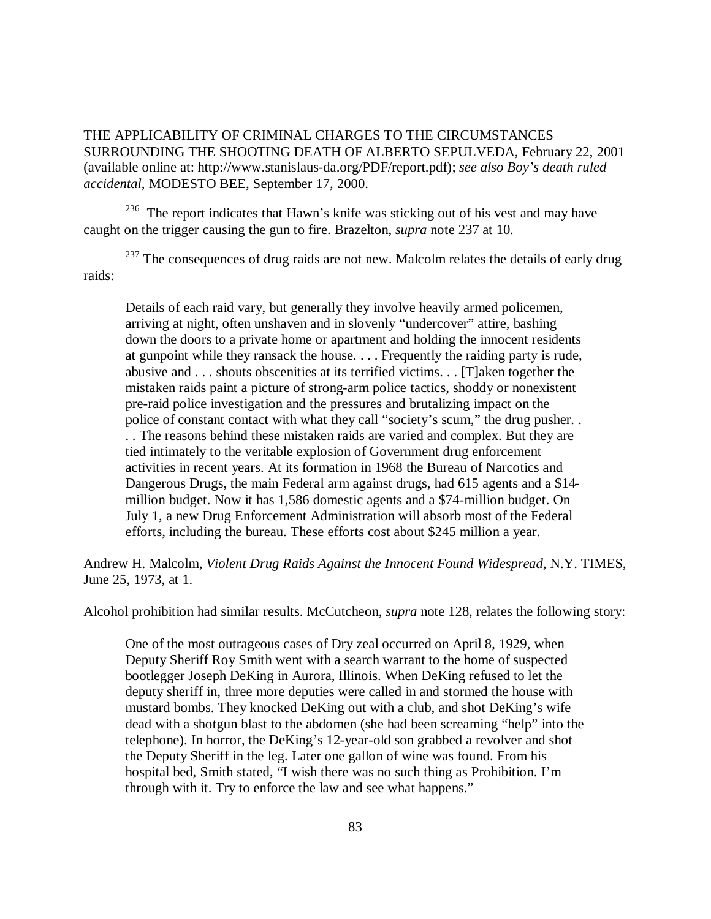THE APPLICABILITY OF CRIMINAL CHARGES TO THE CIRCUMSTANCES SURROUNDING THE SHOOTING DEATH OF ALBERTO SEPULVEDA, February 22, 2001 (available online at: http://www.stanislaus-da.org/PDF/report.pdf); *see also Boy's death ruled accidental*, MODESTO BEE, September 17, 2000.

 $\overline{a}$ 

<sup>236</sup> The report indicates that Hawn's knife was sticking out of his vest and may have caught on the trigger causing the gun to fire. Brazelton, *supra* note 237 at 10.

 $237$  The consequences of drug raids are not new. Malcolm relates the details of early drug raids:

Details of each raid vary, but generally they involve heavily armed policemen, arriving at night, often unshaven and in slovenly "undercover" attire, bashing down the doors to a private home or apartment and holding the innocent residents at gunpoint while they ransack the house. . . . Frequently the raiding party is rude, abusive and . . . shouts obscenities at its terrified victims. . . [T]aken together the mistaken raids paint a picture of strong-arm police tactics, shoddy or nonexistent pre-raid police investigation and the pressures and brutalizing impact on the police of constant contact with what they call "society's scum," the drug pusher. . . . The reasons behind these mistaken raids are varied and complex. But they are tied intimately to the veritable explosion of Government drug enforcement activities in recent years. At its formation in 1968 the Bureau of Narcotics and Dangerous Drugs, the main Federal arm against drugs, had 615 agents and a \$14 million budget. Now it has 1,586 domestic agents and a \$74-million budget. On July 1, a new Drug Enforcement Administration will absorb most of the Federal efforts, including the bureau. These efforts cost about \$245 million a year.

Andrew H. Malcolm, *Violent Drug Raids Against the Innocent Found Widespread*, N.Y. TIMES, June 25, 1973, at 1.

Alcohol prohibition had similar results. McCutcheon, *supra* note 128, relates the following story:

One of the most outrageous cases of Dry zeal occurred on April 8, 1929, when Deputy Sheriff Roy Smith went with a search warrant to the home of suspected bootlegger Joseph DeKing in Aurora, Illinois. When DeKing refused to let the deputy sheriff in, three more deputies were called in and stormed the house with mustard bombs. They knocked DeKing out with a club, and shot DeKing's wife dead with a shotgun blast to the abdomen (she had been screaming "help" into the telephone). In horror, the DeKing's 12-year-old son grabbed a revolver and shot the Deputy Sheriff in the leg. Later one gallon of wine was found. From his hospital bed, Smith stated, "I wish there was no such thing as Prohibition. I'm through with it. Try to enforce the law and see what happens."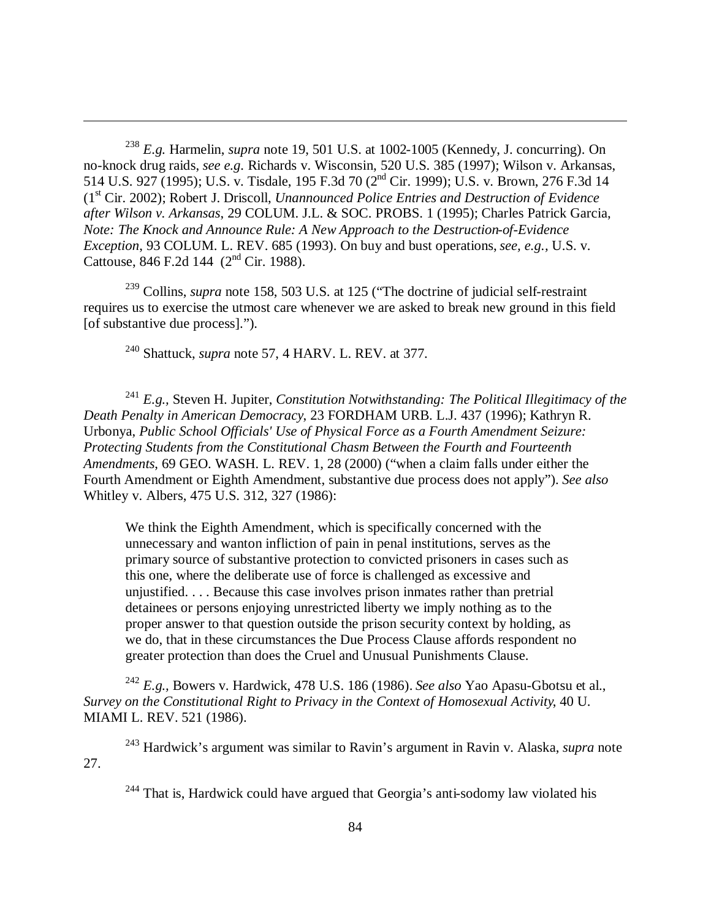<sup>238</sup> *E.g.* Harmelin, *supra* note 19, 501 U.S. at 1002-1005 (Kennedy, J. concurring). On no-knock drug raids, *see e.g.* Richards v. Wisconsin, 520 U.S. 385 (1997); Wilson v. Arkansas, 514 U.S. 927 (1995); U.S. v. Tisdale, 195 F.3d 70 (2nd Cir. 1999); U.S. v. Brown, 276 F.3d 14 (1st Cir. 2002); Robert J. Driscoll, *Unannounced Police Entries and Destruction of Evidence after Wilson v. Arkansas*, 29 COLUM. J.L. & SOC. PROBS. 1 (1995); Charles Patrick Garcia, *Note: The Knock and Announce Rule: A New Approach to the Destruction-of-Evidence Exception*, 93 COLUM. L. REV. 685 (1993). On buy and bust operations, *see, e.g.,* U.S. v. Cattouse,  $846$  F.2d 144 ( $2<sup>nd</sup>$  Cir. 1988).

<sup>239</sup> Collins, *supra* note 158, 503 U.S. at 125 ("The doctrine of judicial self-restraint requires us to exercise the utmost care whenever we are asked to break new ground in this field [of substantive due process].").

<sup>240</sup> Shattuck, *supra* note 57, 4 HARV. L. REV. at 377.

 $\overline{a}$ 

<sup>241</sup> *E.g.,* Steven H. Jupiter, *Constitution Notwithstanding: The Political Illegitimacy of the Death Penalty in American Democracy*, 23 FORDHAM URB. L.J. 437 (1996); Kathryn R. Urbonya, *Public School Officials' Use of Physical Force as a Fourth Amendment Seizure: Protecting Students from the Constitutional Chasm Between the Fourth and Fourteenth Amendments*, 69 GEO. WASH. L. REV. 1, 28 (2000) ("when a claim falls under either the Fourth Amendment or Eighth Amendment, substantive due process does not apply"). *See also* Whitley v. Albers, 475 U.S. 312, 327 (1986):

We think the Eighth Amendment, which is specifically concerned with the unnecessary and wanton infliction of pain in penal institutions, serves as the primary source of substantive protection to convicted prisoners in cases such as this one, where the deliberate use of force is challenged as excessive and unjustified. . . . Because this case involves prison inmates rather than pretrial detainees or persons enjoying unrestricted liberty we imply nothing as to the proper answer to that question outside the prison security context by holding, as we do, that in these circumstances the Due Process Clause affords respondent no greater protection than does the Cruel and Unusual Punishments Clause.

<sup>242</sup> *E.g.,* Bowers v. Hardwick, 478 U.S. 186 (1986). *See also* Yao Apasu-Gbotsu et al., *Survey on the Constitutional Right to Privacy in the Context of Homosexual Activity*, 40 U. MIAMI L. REV. 521 (1986).

<sup>243</sup> Hardwick's argument was similar to Ravin's argument in Ravin v. Alaska, *supra* note 27.

<sup>244</sup> That is, Hardwick could have argued that Georgia's anti-sodomy law violated his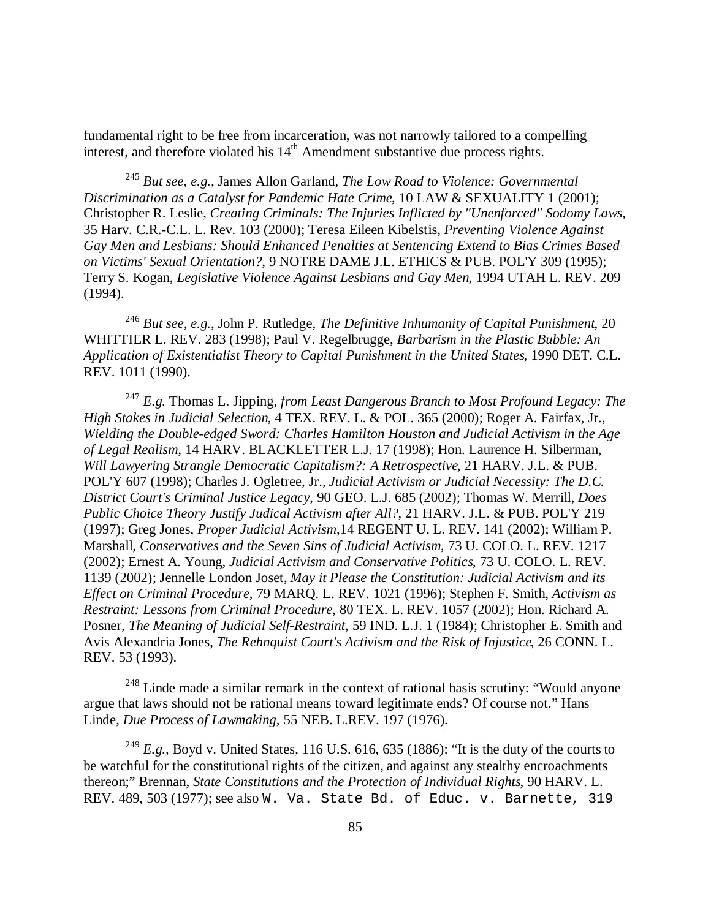fundamental right to be free from incarceration, was not narrowly tailored to a compelling interest, and therefore violated his  $14<sup>th</sup>$  Amendment substantive due process rights.

 $\overline{a}$ 

<sup>245</sup> *But see, e.g.,* James Allon Garland, *The Low Road to Violence: Governmental Discrimination as a Catalyst for Pandemic Hate Crime*, 10 LAW & SEXUALITY 1 (2001); Christopher R. Leslie, *Creating Criminals: The Injuries Inflicted by "Unenforced" Sodomy Laws*, 35 Harv. C.R.-C.L. L. Rev. 103 (2000); Teresa Eileen Kibelstis, *Preventing Violence Against Gay Men and Lesbians: Should Enhanced Penalties at Sentencing Extend to Bias Crimes Based on Victims' Sexual Orientation?*, 9 NOTRE DAME J.L. ETHICS & PUB. POL'Y 309 (1995); Terry S. Kogan, *Legislative Violence Against Lesbians and Gay Men*, 1994 UTAH L. REV. 209 (1994).

<sup>246</sup> *But see, e.g.*, John P. Rutledge, *The Definitive Inhumanity of Capital Punishment*, 20 WHITTIER L. REV. 283 (1998); Paul V. Regelbrugge, *Barbarism in the Plastic Bubble: An Application of Existentialist Theory to Capital Punishment in the United States*, 1990 DET. C.L. REV. 1011 (1990).

<sup>247</sup> *E.g.* Thomas L. Jipping, *from Least Dangerous Branch to Most Profound Legacy: The High Stakes in Judicial Selection*, 4 TEX. REV. L. & POL. 365 (2000); Roger A. Fairfax, Jr., *Wielding the Double-edged Sword: Charles Hamilton Houston and Judicial Activism in the Age of Legal Realism*, 14 HARV. BLACKLETTER L.J. 17 (1998); Hon. Laurence H. Silberman, *Will Lawyering Strangle Democratic Capitalism?: A Retrospective*, 21 HARV. J.L. & PUB. POL'Y 607 (1998); Charles J. Ogletree, Jr., *Judicial Activism or Judicial Necessity: The D.C. District Court's Criminal Justice Legacy*, 90 GEO. L.J. 685 (2002); Thomas W. Merrill, *Does Public Choice Theory Justify Judical Activism after All?*, 21 HARV. J.L. & PUB. POL'Y 219 (1997); Greg Jones, *Proper Judicial Activism*,14 REGENT U. L. REV. 141 (2002); William P. Marshall, *Conservatives and the Seven Sins of Judicial Activism*, 73 U. COLO. L. REV. 1217 (2002); Ernest A. Young, *Judicial Activism and Conservative Politics*, 73 U. COLO. L. REV. 1139 (2002); Jennelle London Joset, *May it Please the Constitution: Judicial Activism and its Effect on Criminal Procedure*, 79 MARQ. L. REV. 1021 (1996); Stephen F. Smith, *Activism as Restraint: Lessons from Criminal Procedure*, 80 TEX. L. REV. 1057 (2002); Hon. Richard A. Posner, *The Meaning of Judicial Self-Restraint*, 59 IND. L.J. 1 (1984); Christopher E. Smith and Avis Alexandria Jones, *The Rehnquist Court's Activism and the Risk of Injustice*, 26 CONN. L. REV. 53 (1993).

<sup>248</sup> Linde made a similar remark in the context of rational basis scrutiny: "Would anyone argue that laws should not be rational means toward legitimate ends? Of course not." Hans Linde, *Due Process of Lawmaking*, 55 NEB. L.REV. 197 (1976).

<sup>249</sup> *E.g.*, Boyd v. United States, 116 U.S. 616, 635 (1886): "It is the duty of the courts to be watchful for the constitutional rights of the citizen, and against any stealthy encroachments thereon;" Brennan, *State Constitutions and the Protection of Individual Rights*, 90 HARV. L. REV. 489, 503 (1977); see also W. Va. State Bd. of Educ. v. Barnette, 319